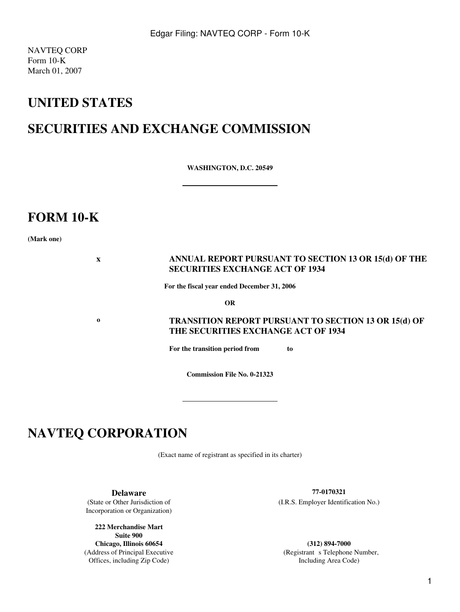NAVTEQ CORP Form 10-K March 01, 2007

# **UNITED STATES**

# **SECURITIES AND EXCHANGE COMMISSION**

**WASHINGTON, D.C. 20549**

# **FORM 10-K**

**(Mark one)**

### **x ANNUAL REPORT PURSUANT TO SECTION 13 OR 15(d) OF THE SECURITIES EXCHANGE ACT OF 1934**

**For the fiscal year ended December 31, 2006**

**OR**

**o TRANSITION REPORT PURSUANT TO SECTION 13 OR 15(d) OF THE SECURITIES EXCHANGE ACT OF 1934**

**For the transition period from to**

**Commission File No. 0-21323**

# **NAVTEQ CORPORATION**

(Exact name of registrant as specified in its charter)

Incorporation or Organization)

**222 Merchandise Mart Suite 900 Chicago, Illinois 60654 (312) 894-7000** Offices, including Zip Code) and the state of the Including Area Code) and Including Area Code

**Delaware 77-0170321** (State or Other Jurisdiction of (I.R.S. Employer Identification No.)

(Address of Principal Executive Telephone Number, Registrant s Telephone Number,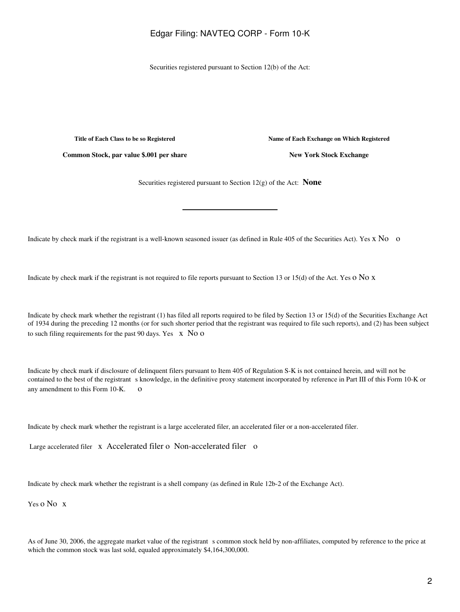Securities registered pursuant to Section 12(b) of the Act:

**Title of Each Class to be so Registered Name of Each Exchange on Which Registered**

**Common Stock, par value \$.001 per share New York Stock Exchange** 

Securities registered pursuant to Section 12(g) of the Act: **None**

Indicate by check mark if the registrant is a well-known seasoned issuer (as defined in Rule 405 of the Securities Act). Yes x No o

Indicate by check mark if the registrant is not required to file reports pursuant to Section 13 or 15(d) of the Act. Yes  $\alpha$  No x

Indicate by check mark whether the registrant (1) has filed all reports required to be filed by Section 13 or 15(d) of the Securities Exchange Act of 1934 during the preceding 12 months (or for such shorter period that the registrant was required to file such reports), and (2) has been subject to such filing requirements for the past 90 days. Yes  $\bar{x}$  No o

Indicate by check mark if disclosure of delinquent filers pursuant to Item 405 of Regulation S-K is not contained herein, and will not be contained to the best of the registrant s knowledge, in the definitive proxy statement incorporated by reference in Part III of this Form 10-K or any amendment to this Form 10-K. o

Indicate by check mark whether the registrant is a large accelerated filer, an accelerated filer or a non-accelerated filer.

Large accelerated filer x Accelerated filer o Non-accelerated filer o

Indicate by check mark whether the registrant is a shell company (as defined in Rule 12b-2 of the Exchange Act).

Yes o No x

As of June 30, 2006, the aggregate market value of the registrant s common stock held by non-affiliates, computed by reference to the price at which the common stock was last sold, equaled approximately \$4,164,300,000.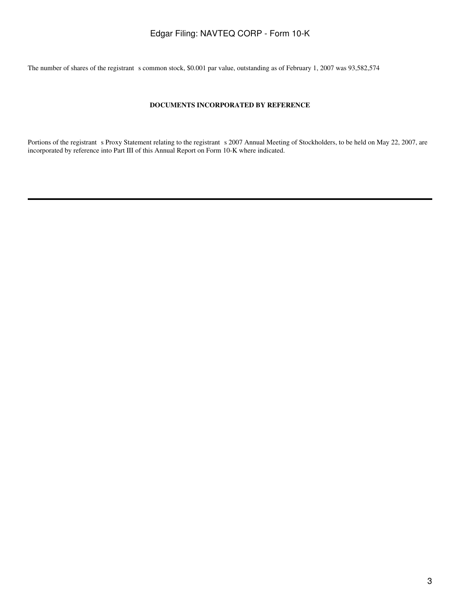The number of shares of the registrant s common stock, \$0.001 par value, outstanding as of February 1, 2007 was 93,582,574

### **DOCUMENTS INCORPORATED BY REFERENCE**

Portions of the registrant s Proxy Statement relating to the registrant s 2007 Annual Meeting of Stockholders, to be held on May 22, 2007, are incorporated by reference into Part III of this Annual Report on Form 10-K where indicated.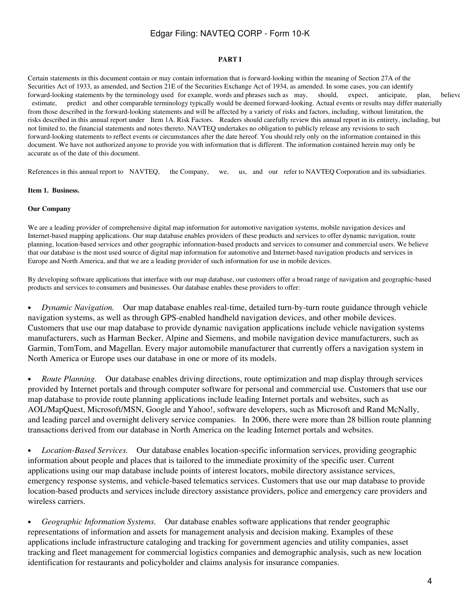### **PART I**

Certain statements in this document contain or may contain information that is forward-looking within the meaning of Section 27A of the Securities Act of 1933, as amended, and Section 21E of the Securities Exchange Act of 1934, as amended. In some cases, you can identify forward-looking statements by the terminology used for example, words and phrases such as may, should, expect, anticipate, plan, believe estimate, predict and other comparable terminology typically would be deemed forward-looking. Actual events or results may differ materially from those described in the forward-looking statements and will be affected by a variety of risks and factors, including, without limitation, the risks described in this annual report under Item 1A. Risk Factors. Readers should carefully review this annual report in its entirety, including, but not limited to, the financial statements and notes thereto. NAVTEQ undertakes no obligation to publicly release any revisions to such forward-looking statements to reflect events or circumstances after the date hereof. You should rely only on the information contained in this document. We have not authorized anyone to provide you with information that is different. The information contained herein may only be accurate as of the date of this document.

References in this annual report to NAVTEQ, the Company, we, us, and our refer to NAVTEQ Corporation and its subsidiaries.

### **Item 1. Business.**

### **Our Company**

We are a leading provider of comprehensive digital map information for automotive navigation systems, mobile navigation devices and Internet-based mapping applications. Our map database enables providers of these products and services to offer dynamic navigation, route planning, location-based services and other geographic information-based products and services to consumer and commercial users. We believe that our database is the most used source of digital map information for automotive and Internet-based navigation products and services in Europe and North America, and that we are a leading provider of such information for use in mobile devices.

By developing software applications that interface with our map database, our customers offer a broad range of navigation and geographic-based products and services to consumers and businesses. Our database enables these providers to offer:

• *Dynamic Navigation.* Our map database enables real-time, detailed turn-by-turn route guidance through vehicle navigation systems, as well as through GPS-enabled handheld navigation devices, and other mobile devices. Customers that use our map database to provide dynamic navigation applications include vehicle navigation systems manufacturers, such as Harman Becker, Alpine and Siemens, and mobile navigation device manufacturers, such as Garmin, TomTom, and Magellan. Every major automobile manufacturer that currently offers a navigation system in North America or Europe uses our database in one or more of its models.

• *Route Planning.* Our database enables driving directions, route optimization and map display through services provided by Internet portals and through computer software for personal and commercial use. Customers that use our map database to provide route planning applications include leading Internet portals and websites, such as AOL/MapQuest, Microsoft/MSN, Google and Yahoo!, software developers, such as Microsoft and Rand McNally, and leading parcel and overnight delivery service companies. In 2006, there were more than 28 billion route planning transactions derived from our database in North America on the leading Internet portals and websites.

• *Location-Based Services.* Our database enables location-specific information services, providing geographic information about people and places that is tailored to the immediate proximity of the specific user. Current applications using our map database include points of interest locators, mobile directory assistance services, emergency response systems, and vehicle-based telematics services. Customers that use our map database to provide location-based products and services include directory assistance providers, police and emergency care providers and wireless carriers.

• *Geographic Information Systems.* Our database enables software applications that render geographic representations of information and assets for management analysis and decision making. Examples of these applications include infrastructure cataloging and tracking for government agencies and utility companies, asset tracking and fleet management for commercial logistics companies and demographic analysis, such as new location identification for restaurants and policyholder and claims analysis for insurance companies.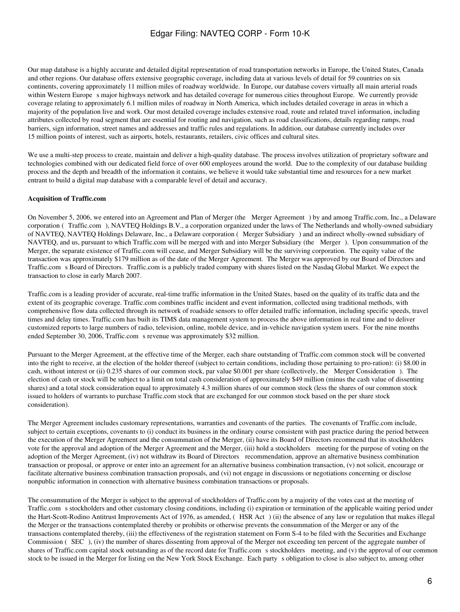Our map database is a highly accurate and detailed digital representation of road transportation networks in Europe, the United States, Canada and other regions. Our database offers extensive geographic coverage, including data at various levels of detail for 59 countries on six continents, covering approximately 11 million miles of roadway worldwide. In Europe, our database covers virtually all main arterial roads within Western Europe s major highways network and has detailed coverage for numerous cities throughout Europe. We currently provide coverage relating to approximately 6.1 million miles of roadway in North America, which includes detailed coverage in areas in which a majority of the population live and work. Our most detailed coverage includes extensive road, route and related travel information, including attributes collected by road segment that are essential for routing and navigation, such as road classifications, details regarding ramps, road barriers, sign information, street names and addresses and traffic rules and regulations. In addition, our database currently includes over 15 million points of interest, such as airports, hotels, restaurants, retailers, civic offices and cultural sites.

We use a multi-step process to create, maintain and deliver a high-quality database. The process involves utilization of proprietary software and technologies combined with our dedicated field force of over 600 employees around the world. Due to the complexity of our database building process and the depth and breadth of the information it contains, we believe it would take substantial time and resources for a new market entrant to build a digital map database with a comparable level of detail and accuracy.

### **Acquisition of Traffic.com**

On November 5, 2006, we entered into an Agreement and Plan of Merger (the Merger Agreement) by and among Traffic.com, Inc., a Delaware corporation (Traffic.com), NAVTEQ Holdings B.V., a corporation organized under the laws of The Netherlands and wholly-owned subsidiary of NAVTEQ, NAVTEQ Holdings Delaware, Inc., a Delaware corporation (Merger Subsidiary) and an indirect wholly-owned subsidiary of NAVTEQ, and us, pursuant to which Traffic.com will be merged with and into Merger Subsidiary (the Merger). Upon consummation of the Merger, the separate existence of Traffic.com will cease, and Merger Subsidiary will be the surviving corporation. The equity value of the transaction was approximately \$179 million as of the date of the Merger Agreement. The Merger was approved by our Board of Directors and Traffic.coms Board of Directors. Traffic.com is a publicly traded company with shares listed on the Nasdaq Global Market. We expect the transaction to close in early March 2007.

Traffic.com is a leading provider of accurate, real-time traffic information in the United States, based on the quality of its traffic data and the extent of its geographic coverage. Traffic.com combines traffic incident and event information, collected using traditional methods, with comprehensive flow data collected through its network of roadside sensors to offer detailed traffic information, including specific speeds, travel times and delay times. Traffic.com has built its TIMS data management system to process the above information in real time and to deliver customized reports to large numbers of radio, television, online, mobile device, and in-vehicle navigation system users. For the nine months ended September 30, 2006, Traffic.com s revenue was approximately \$32 million.

Pursuant to the Merger Agreement, at the effective time of the Merger, each share outstanding of Traffic.com common stock will be converted into the right to receive, at the election of the holder thereof (subject to certain conditions, including those pertaining to pro-ration): (i) \$8.00 in cash, without interest or (ii) 0.235 shares of our common stock, par value \$0.001 per share (collectively, the Merger Consideration). The election of cash or stock will be subject to a limit on total cash consideration of approximately \$49 million (minus the cash value of dissenting shares) and a total stock consideration equal to approximately 4.3 million shares of our common stock (less the shares of our common stock issued to holders of warrants to purchase Traffic.com stock that are exchanged for our common stock based on the per share stock consideration).

The Merger Agreement includes customary representations, warranties and covenants of the parties. The covenants of Traffic.com include, subject to certain exceptions, covenants to (i) conduct its business in the ordinary course consistent with past practice during the period between the execution of the Merger Agreement and the consummation of the Merger, (ii) have its Board of Directors recommend that its stockholders vote for the approval and adoption of the Merger Agreement and the Merger, (iii) hold a stockholders meeting for the purpose of voting on the adoption of the Merger Agreement, (iv) not withdraw its Board of Directors recommendation, approve an alternative business combination transaction or proposal, or approve or enter into an agreement for an alternative business combination transaction, (v) not solicit, encourage or facilitate alternative business combination transaction proposals, and (vi) not engage in discussions or negotiations concerning or disclose nonpublic information in connection with alternative business combination transactions or proposals.

The consummation of the Merger is subject to the approval of stockholders of Traffic.com by a majority of the votes cast at the meeting of Traffic.com s stockholders and other customary closing conditions, including (i) expiration or termination of the applicable waiting period under the Hart-Scott-Rodino Antitrust Improvements Act of 1976, as amended, (HSR Act) (ii) the absence of any law or regulation that makes illegal the Merger or the transactions contemplated thereby or prohibits or otherwise prevents the consummation of the Merger or any of the transactions contemplated thereby, (iii) the effectiveness of the registration statement on Form S-4 to be filed with the Securities and Exchange Commission (SEC), (iv) the number of shares dissenting from approval of the Merger not exceeding ten percent of the aggregate number of shares of Traffic.com capital stock outstanding as of the record date for Traffic.com s stockholders meeting, and (v) the approval of our common stock to be issued in the Merger for listing on the New York Stock Exchange. Each partys obligation to close is also subject to, among other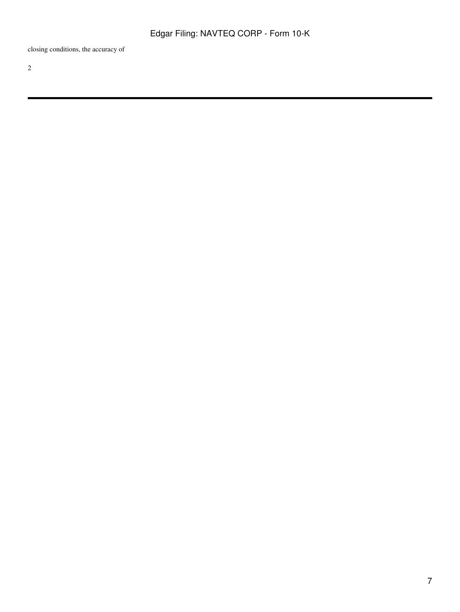closing conditions, the accuracy of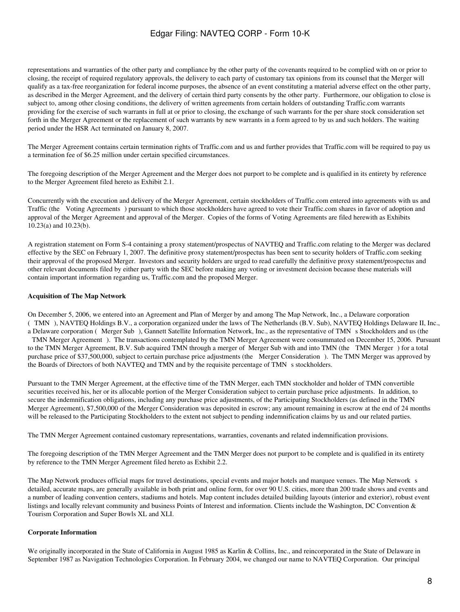representations and warranties of the other party and compliance by the other party of the covenants required to be complied with on or prior to closing, the receipt of required regulatory approvals, the delivery to each party of customary tax opinions from its counsel that the Merger will qualify as a tax-free reorganization for federal income purposes, the absence of an event constituting a material adverse effect on the other party, as described in the Merger Agreement, and the delivery of certain third party consents by the other party. Furthermore, our obligation to close is subject to, among other closing conditions, the delivery of written agreements from certain holders of outstanding Traffic.com warrants providing for the exercise of such warrants in full at or prior to closing, the exchange of such warrants for the per share stock consideration set forth in the Merger Agreement or the replacement of such warrants by new warrants in a form agreed to by us and such holders. The waiting period under the HSR Act terminated on January 8, 2007.

The Merger Agreement contains certain termination rights of Traffic.com and us and further provides that Traffic.com will be required to pay us a termination fee of \$6.25 million under certain specified circumstances.

The foregoing description of the Merger Agreement and the Merger does not purport to be complete and is qualified in its entirety by reference to the Merger Agreement filed hereto as Exhibit 2.1.

Concurrently with the execution and delivery of the Merger Agreement, certain stockholders of Traffic.com entered into agreements with us and Traffic (the Voting Agreements) pursuant to which those stockholders have agreed to vote their Traffic.com shares in favor of adoption and approval of the Merger Agreement and approval of the Merger. Copies of the forms of Voting Agreements are filed herewith as Exhibits 10.23(a) and 10.23(b).

A registration statement on Form S-4 containing a proxy statement/prospectus of NAVTEQ and Traffic.com relating to the Merger was declared effective by the SEC on February 1, 2007. The definitive proxy statement/prospectus has been sent to security holders of Traffic.com seeking their approval of the proposed Merger. Investors and security holders are urged to read carefully the definitive proxy statement/prospectus and other relevant documents filed by either party with the SEC before making any voting or investment decision because these materials will contain important information regarding us, Traffic.com and the proposed Merger.

### **Acquisition of The Map Network**

On December 5, 2006, we entered into an Agreement and Plan of Merger by and among The Map Network, Inc., a Delaware corporation (TMN), NAVTEQ Holdings B.V., a corporation organized under the laws of The Netherlands (B.V. Sub), NAVTEQ Holdings Delaware II, Inc., a Delaware corporation (Merger Sub), Gannett Satellite Information Network, Inc., as the representative of TMN s Stockholders and us (the TMN Merger Agreement). The transactions contemplated by the TMN Merger Agreement were consummated on December 15, 2006. Pursuant to the TMN Merger Agreement, B.V. Sub acquired TMN through a merger of Merger Sub with and into TMN (the TMN Merger) for a total purchase price of \$37,500,000, subject to certain purchase price adjustments (the Merger Consideration). The TMN Merger was approved by the Boards of Directors of both NAVTEQ and TMN and by the requisite percentage of TMN s stockholders.

Pursuant to the TMN Merger Agreement, at the effective time of the TMN Merger, each TMN stockholder and holder of TMN convertible securities received his, her or its allocable portion of the Merger Consideration subject to certain purchase price adjustments. In addition, to secure the indemnification obligations, including any purchase price adjustments, of the Participating Stockholders (as defined in the TMN Merger Agreement), \$7,500,000 of the Merger Consideration was deposited in escrow; any amount remaining in escrow at the end of 24 months will be released to the Participating Stockholders to the extent not subject to pending indemnification claims by us and our related parties.

The TMN Merger Agreement contained customary representations, warranties, covenants and related indemnification provisions.

The foregoing description of the TMN Merger Agreement and the TMN Merger does not purport to be complete and is qualified in its entirety by reference to the TMN Merger Agreement filed hereto as Exhibit 2.2.

The Map Network produces official maps for travel destinations, special events and major hotels and marquee venues. The Map Network s detailed, accurate maps, are generally available in both print and online form, for over 90 U.S. cities, more than 200 trade shows and events and a number of leading convention centers, stadiums and hotels. Map content includes detailed building layouts (interior and exterior), robust event listings and locally relevant community and business Points of Interest and information. Clients include the Washington, DC Convention & Tourism Corporation and Super Bowls XL and XLI.

### **Corporate Information**

We originally incorporated in the State of California in August 1985 as Karlin & Collins, Inc., and reincorporated in the State of Delaware in September 1987 as Navigation Technologies Corporation. In February 2004, we changed our name to NAVTEQ Corporation. Our principal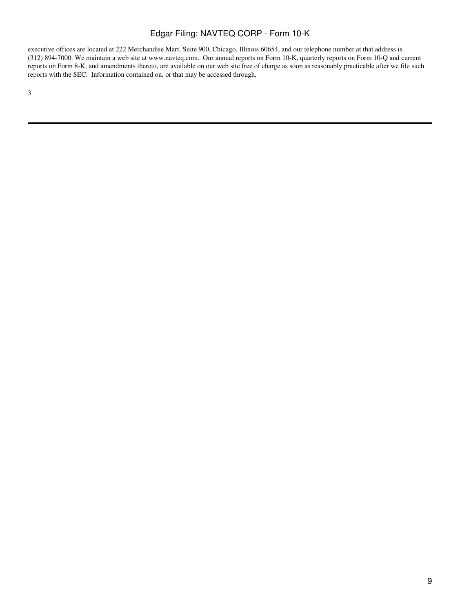executive offices are located at 222 Merchandise Mart, Suite 900, Chicago, Illinois 60654, and our telephone number at that address is (312) 894-7000. We maintain a web site at www.navteq.com. Our annual reports on Form 10-K, quarterly reports on Form 10-Q and current reports on Form 8-K, and amendments thereto, are available on our web site free of charge as soon as reasonably practicable after we file such reports with the SEC. Information contained on, or that may be accessed through,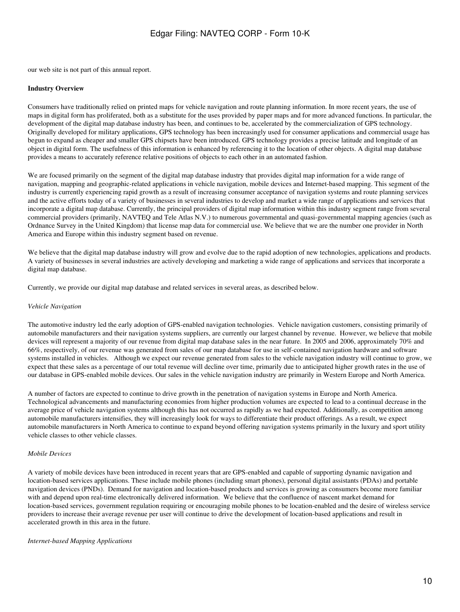our web site is not part of this annual report.

#### **Industry Overview**

Consumers have traditionally relied on printed maps for vehicle navigation and route planning information. In more recent years, the use of maps in digital form has proliferated, both as a substitute for the uses provided by paper maps and for more advanced functions. In particular, the development of the digital map database industry has been, and continues to be, accelerated by the commercialization of GPS technology. Originally developed for military applications, GPS technology has been increasingly used for consumer applications and commercial usage has begun to expand as cheaper and smaller GPS chipsets have been introduced. GPS technology provides a precise latitude and longitude of an object in digital form. The usefulness of this information is enhanced by referencing it to the location of other objects. A digital map database provides a means to accurately reference relative positions of objects to each other in an automated fashion.

We are focused primarily on the segment of the digital map database industry that provides digital map information for a wide range of navigation, mapping and geographic-related applications in vehicle navigation, mobile devices and Internet-based mapping. This segment of the industry is currently experiencing rapid growth as a result of increasing consumer acceptance of navigation systems and route planning services and the active efforts today of a variety of businesses in several industries to develop and market a wide range of applications and services that incorporate a digital map database. Currently, the principal providers of digital map information within this industry segment range from several commercial providers (primarily, NAVTEQ and Tele Atlas N.V.) to numerous governmental and quasi-governmental mapping agencies (such as Ordnance Survey in the United Kingdom) that license map data for commercial use. We believe that we are the number one provider in North America and Europe within this industry segment based on revenue.

We believe that the digital map database industry will grow and evolve due to the rapid adoption of new technologies, applications and products. A variety of businesses in several industries are actively developing and marketing a wide range of applications and services that incorporate a digital map database.

Currently, we provide our digital map database and related services in several areas, as described below.

#### *Vehicle Navigation*

The automotive industry led the early adoption of GPS-enabled navigation technologies. Vehicle navigation customers, consisting primarily of automobile manufacturers and their navigation systems suppliers, are currently our largest channel by revenue. However, we believe that mobile devices will represent a majority of our revenue from digital map database sales in the near future. In 2005 and 2006, approximately 70% and 66%, respectively, of our revenue was generated from sales of our map database for use in self-contained navigation hardware and software systems installed in vehicles. Although we expect our revenue generated from sales to the vehicle navigation industry will continue to grow, we expect that these sales as a percentage of our total revenue will decline over time, primarily due to anticipated higher growth rates in the use of our database in GPS-enabled mobile devices. Our sales in the vehicle navigation industry are primarily in Western Europe and North America.

A number of factors are expected to continue to drive growth in the penetration of navigation systems in Europe and North America. Technological advancements and manufacturing economies from higher production volumes are expected to lead to a continual decrease in the average price of vehicle navigation systems although this has not occurred as rapidly as we had expected. Additionally, as competition among automobile manufacturers intensifies, they will increasingly look for ways to differentiate their product offerings. As a result, we expect automobile manufacturers in North America to continue to expand beyond offering navigation systems primarily in the luxury and sport utility vehicle classes to other vehicle classes.

### *Mobile Devices*

A variety of mobile devices have been introduced in recent years that are GPS-enabled and capable of supporting dynamic navigation and location-based services applications. These include mobile phones (including smart phones), personal digital assistants (PDAs) and portable navigation devices (PNDs). Demand for navigation and location-based products and services is growing as consumers become more familiar with and depend upon real-time electronically delivered information. We believe that the confluence of nascent market demand for location-based services, government regulation requiring or encouraging mobile phones to be location-enabled and the desire of wireless service providers to increase their average revenue per user will continue to drive the development of location-based applications and result in accelerated growth in this area in the future.

#### *Internet-based Mapping Applications*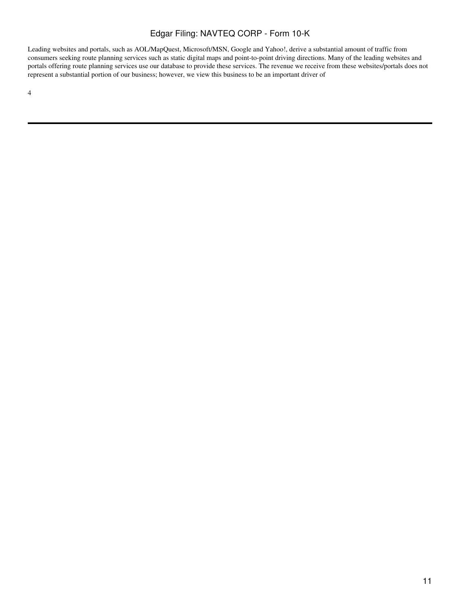Leading websites and portals, such as AOL/MapQuest, Microsoft/MSN, Google and Yahoo!, derive a substantial amount of traffic from consumers seeking route planning services such as static digital maps and point-to-point driving directions. Many of the leading websites and portals offering route planning services use our database to provide these services. The revenue we receive from these websites/portals does not represent a substantial portion of our business; however, we view this business to be an important driver of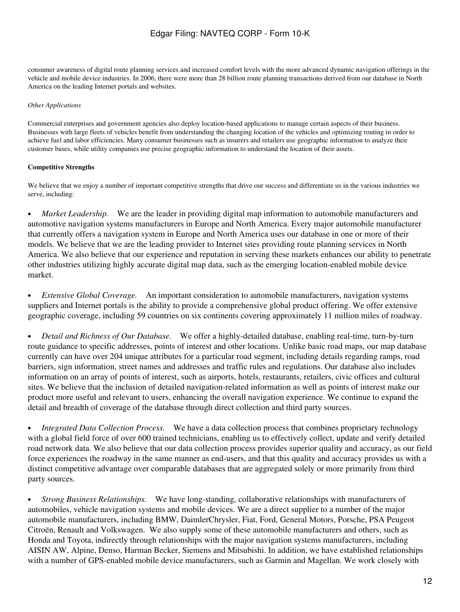consumer awareness of digital route planning services and increased comfort levels with the more advanced dynamic navigation offerings in the vehicle and mobile device industries. In 2006, there were more than 28 billion route planning transactions derived from our database in North America on the leading Internet portals and websites.

### *Other Applications*

Commercial enterprises and government agencies also deploy location-based applications to manage certain aspects of their business. Businesses with large fleets of vehicles benefit from understanding the changing location of the vehicles and optimizing routing in order to achieve fuel and labor efficiencies. Many consumer businesses such as insurers and retailers use geographic information to analyze their customer bases, while utility companies use precise geographic information to understand the location of their assets.

### **Competitive Strengths**

We believe that we enjoy a number of important competitive strengths that drive our success and differentiate us in the various industries we serve, including:

• *Market Leadership.* We are the leader in providing digital map information to automobile manufacturers and automotive navigation systems manufacturers in Europe and North America. Every major automobile manufacturer that currently offers a navigation system in Europe and North America uses our database in one or more of their models. We believe that we are the leading provider to Internet sites providing route planning services in North America. We also believe that our experience and reputation in serving these markets enhances our ability to penetrate other industries utilizing highly accurate digital map data, such as the emerging location-enabled mobile device market.

• *Extensive Global Coverage.* An important consideration to automobile manufacturers, navigation systems suppliers and Internet portals is the ability to provide a comprehensive global product offering. We offer extensive geographic coverage, including 59 countries on six continents covering approximately 11 million miles of roadway.

• *Detail and Richness of Our Database.* We offer a highly-detailed database, enabling real-time, turn-by-turn route guidance to specific addresses, points of interest and other locations. Unlike basic road maps, our map database currently can have over 204 unique attributes for a particular road segment, including details regarding ramps, road barriers, sign information, street names and addresses and traffic rules and regulations. Our database also includes information on an array of points of interest, such as airports, hotels, restaurants, retailers, civic offices and cultural sites. We believe that the inclusion of detailed navigation-related information as well as points of interest make our product more useful and relevant to users, enhancing the overall navigation experience. We continue to expand the detail and breadth of coverage of the database through direct collection and third party sources.

• *Integrated Data Collection Process.* We have a data collection process that combines proprietary technology with a global field force of over 600 trained technicians, enabling us to effectively collect, update and verify detailed road network data. We also believe that our data collection process provides superior quality and accuracy, as our field force experiences the roadway in the same manner as end-users, and that this quality and accuracy provides us with a distinct competitive advantage over comparable databases that are aggregated solely or more primarily from third party sources.

• *Strong Business Relationships.* We have long-standing, collaborative relationships with manufacturers of automobiles, vehicle navigation systems and mobile devices. We are a direct supplier to a number of the major automobile manufacturers, including BMW, DaimlerChrysler, Fiat, Ford, General Motors, Porsche, PSA Peugeot Citroën, Renault and Volkswagen. We also supply some of these automobile manufacturers and others, such as Honda and Toyota, indirectly through relationships with the major navigation systems manufacturers, including AISIN AW, Alpine, Denso, Harman Becker, Siemens and Mitsubishi. In addition, we have established relationships with a number of GPS-enabled mobile device manufacturers, such as Garmin and Magellan. We work closely with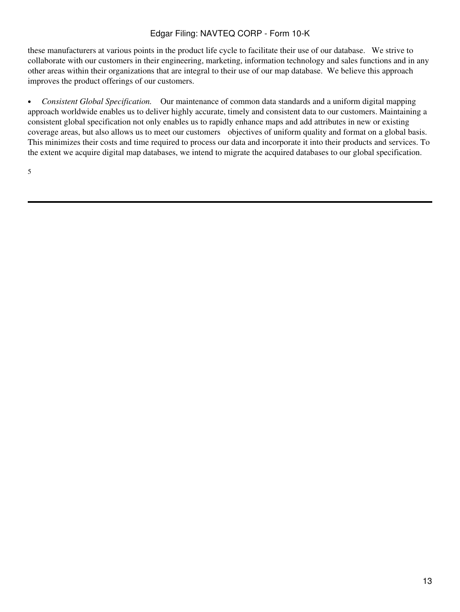these manufacturers at various points in the product life cycle to facilitate their use of our database. We strive to collaborate with our customers in their engineering, marketing, information technology and sales functions and in any other areas within their organizations that are integral to their use of our map database. We believe this approach improves the product offerings of our customers.

• *Consistent Global Specification.* Our maintenance of common data standards and a uniform digital mapping approach worldwide enables us to deliver highly accurate, timely and consistent data to our customers. Maintaining a consistent global specification not only enables us to rapidly enhance maps and add attributes in new or existing coverage areas, but also allows us to meet our customers objectives of uniform quality and format on a global basis. This minimizes their costs and time required to process our data and incorporate it into their products and services. To the extent we acquire digital map databases, we intend to migrate the acquired databases to our global specification.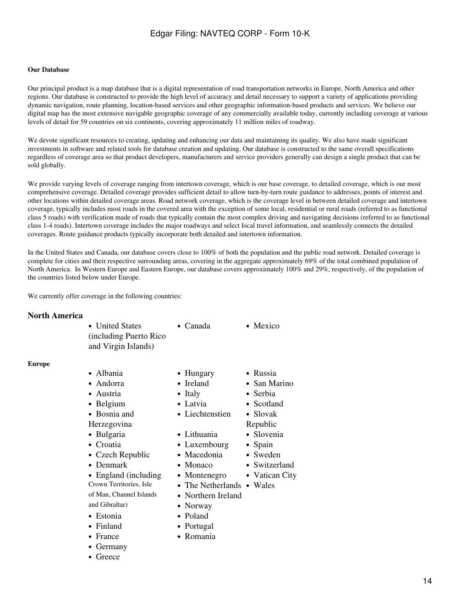### **Our Database**

Our principal product is a map database that is a digital representation of road transportation networks in Europe, North America and other regions. Our database is constructed to provide the high level of accuracy and detail necessary to support a variety of applications providing dynamic navigation, route planning, location-based services and other geographic information-based products and services. We believe our digital map has the most extensive navigable geographic coverage of any commercially available today, currently including coverage at various levels of detail for 59 countries on six continents, covering approximately 11 million miles of roadway.

We devote significant resources to creating, updating and enhancing our data and maintaining its quality. We also have made significant investments in software and related tools for database creation and updating. Our database is constructed to the same overall specifications regardless of coverage area so that product developers, manufacturers and service providers generally can design a single product that can be sold globally.

We provide varying levels of coverage ranging from intertown coverage, which is our base coverage, to detailed coverage, which is our most comprehensive coverage. Detailed coverage provides sufficient detail to allow turn-by-turn route guidance to addresses, points of interest and other locations within detailed coverage areas. Road network coverage, which is the coverage level in between detailed coverage and intertown coverage, typically includes most roads in the covered area with the exception of some local, residential or rural roads (referred to as functional class 5 roads) with verification made of roads that typically contain the most complex driving and navigating decisions (referred to as functional class 1-4 roads). Intertown coverage includes the major roadways and select local travel information, and seamlessly connects the detailed coverages. Route guidance products typically incorporate both detailed and intertown information.

In the United States and Canada, our database covers close to 100% of both the population and the public road network. Detailed coverage is complete for cities and their respective surrounding areas, covering in the aggregate approximately 69% of the total combined population of North America. In Western Europe and Eastern Europe, our database covers approximately 100% and 29%, respectively, of the population of the countries listed below under Europe.

14

We currently offer coverage in the following countries:

### **North America**

**Europe**

| • United States<br>(including Puerto Rico)<br>and Virgin Islands)                                                                                                                                                                                                                                                          | • Canada                                                                                                                                                                                                                                                                 | $\bullet$ Mexico                                                                                                                                           |
|----------------------------------------------------------------------------------------------------------------------------------------------------------------------------------------------------------------------------------------------------------------------------------------------------------------------------|--------------------------------------------------------------------------------------------------------------------------------------------------------------------------------------------------------------------------------------------------------------------------|------------------------------------------------------------------------------------------------------------------------------------------------------------|
| • Albania<br>• Andorra<br>• Austria<br>• Belgium<br>• Bosnia and<br>Herzegovina<br>• Bulgaria<br>$\bullet$ Croatia<br>• Czech Republic<br>• Denmark<br>• England (including<br>Crown Territories, Isle<br>of Man, Channel Islands<br>and Gibraltar)<br>• Estonia<br>• Finland<br>$\bullet$ France<br>• Germany<br>• Greece | • Hungary<br>• Ireland<br>$\bullet$ Italy<br>• Latvia<br>• Liechtenstien<br>• Lithuania<br>• Luxembourg<br>• Macedonia<br>$\bullet$ Monaco<br>• Montenegro<br>• The Netherlands • Wales<br>• Northern Ireland<br>• Norway<br>$\bullet$ Poland<br>• Portugal<br>• Romania | • Russia<br>• San Marino<br>• Serbia<br>• Scotland<br>$\bullet$ Slovak<br>Republic<br>• Slovenia<br>• Spain<br>• Sweden<br>• Switzerland<br>• Vatican City |
|                                                                                                                                                                                                                                                                                                                            |                                                                                                                                                                                                                                                                          |                                                                                                                                                            |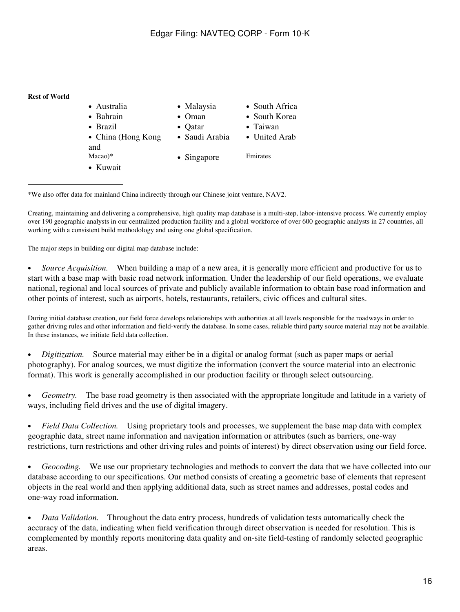### **Rest of World**

| • Australia                  | • Malaysia     | • South Africa |
|------------------------------|----------------|----------------|
| • Bahrain                    | $\bullet$ Oman | • South Korea  |
| $\bullet$ Brazil             | • $Qatar$      | • Taiwan       |
| • China (Hong Kong           | • Saudi Arabia | • United Arab  |
| and<br>$Macao)*$<br>• Kuwait | • Singapore    | Emirates       |

\*We also offer data for mainland China indirectly through our Chinese joint venture, NAV2.

Creating, maintaining and delivering a comprehensive, high quality map database is a multi-step, labor-intensive process. We currently employ over 190 geographic analysts in our centralized production facility and a global workforce of over 600 geographic analysts in 27 countries, all working with a consistent build methodology and using one global specification.

The major steps in building our digital map database include:

• *Source Acquisition.* When building a map of a new area, it is generally more efficient and productive for us to start with a base map with basic road network information. Under the leadership of our field operations, we evaluate national, regional and local sources of private and publicly available information to obtain base road information and other points of interest, such as airports, hotels, restaurants, retailers, civic offices and cultural sites.

During initial database creation, our field force develops relationships with authorities at all levels responsible for the roadways in order to gather driving rules and other information and field-verify the database. In some cases, reliable third party source material may not be available. In these instances, we initiate field data collection.

• *Digitization.* Source material may either be in a digital or analog format (such as paper maps or aerial photography). For analog sources, we must digitize the information (convert the source material into an electronic format). This work is generally accomplished in our production facility or through select outsourcing.

• *Geometry.* The base road geometry is then associated with the appropriate longitude and latitude in a variety of ways, including field drives and the use of digital imagery.

• *Field Data Collection.* Using proprietary tools and processes, we supplement the base map data with complex geographic data, street name information and navigation information or attributes (such as barriers, one-way restrictions, turn restrictions and other driving rules and points of interest) by direct observation using our field force.

• *Geocoding.* We use our proprietary technologies and methods to convert the data that we have collected into our database according to our specifications. Our method consists of creating a geometric base of elements that represent objects in the real world and then applying additional data, such as street names and addresses, postal codes and one-way road information.

• *Data Validation.* Throughout the data entry process, hundreds of validation tests automatically check the accuracy of the data, indicating when field verification through direct observation is needed for resolution. This is complemented by monthly reports monitoring data quality and on-site field-testing of randomly selected geographic areas.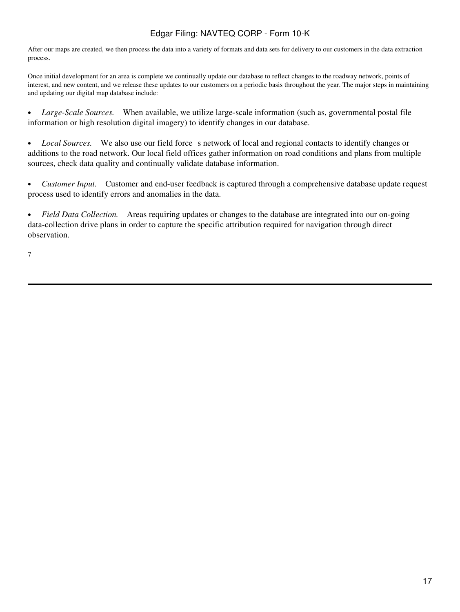After our maps are created, we then process the data into a variety of formats and data sets for delivery to our customers in the data extraction process.

Once initial development for an area is complete we continually update our database to reflect changes to the roadway network, points of interest, and new content, and we release these updates to our customers on a periodic basis throughout the year. The major steps in maintaining and updating our digital map database include:

• Large-Scale Sources. When available, we utilize large-scale information (such as, governmental postal file information or high resolution digital imagery) to identify changes in our database.

• *Local Sources.* We also use our field force s network of local and regional contacts to identify changes or additions to the road network. Our local field offices gather information on road conditions and plans from multiple sources, check data quality and continually validate database information.

• *Customer Input.* Customer and end-user feedback is captured through a comprehensive database update request process used to identify errors and anomalies in the data.

• *Field Data Collection.* Areas requiring updates or changes to the database are integrated into our on-going data-collection drive plans in order to capture the specific attribution required for navigation through direct observation.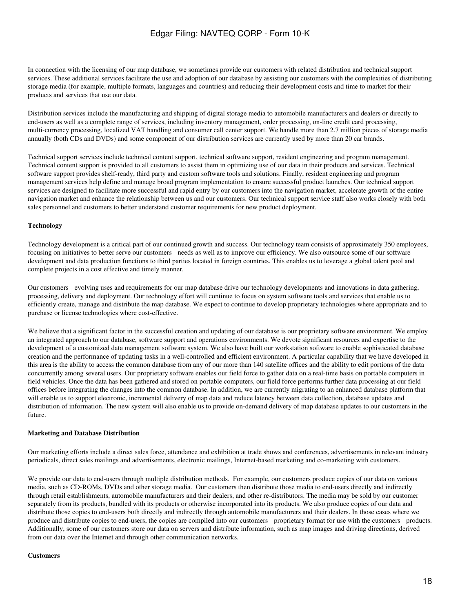In connection with the licensing of our map database, we sometimes provide our customers with related distribution and technical support services. These additional services facilitate the use and adoption of our database by assisting our customers with the complexities of distributing storage media (for example, multiple formats, languages and countries) and reducing their development costs and time to market for their products and services that use our data.

Distribution services include the manufacturing and shipping of digital storage media to automobile manufacturers and dealers or directly to end-users as well as a complete range of services, including inventory management, order processing, on-line credit card processing, multi-currency processing, localized VAT handling and consumer call center support. We handle more than 2.7 million pieces of storage media annually (both CDs and DVDs) and some component of our distribution services are currently used by more than 20 car brands.

Technical support services include technical content support, technical software support, resident engineering and program management. Technical content support is provided to all customers to assist them in optimizing use of our data in their products and services. Technical software support provides shelf-ready, third party and custom software tools and solutions. Finally, resident engineering and program management services help define and manage broad program implementation to ensure successful product launches. Our technical support services are designed to facilitate more successful and rapid entry by our customers into the navigation market, accelerate growth of the entire navigation market and enhance the relationship between us and our customers. Our technical support service staff also works closely with both sales personnel and customers to better understand customer requirements for new product deployment.

### **Technology**

Technology development is a critical part of our continued growth and success. Our technology team consists of approximately 350 employees, focusing on initiatives to better serve our customers needs as well as to improve our efficiency. We also outsource some of our software development and data production functions to third parties located in foreign countries. This enables us to leverage a global talent pool and complete projects in a cost effective and timely manner.

Our customers evolving uses and requirements for our map database drive our technology developments and innovations in data gathering, processing, delivery and deployment. Our technology effort will continue to focus on system software tools and services that enable us to efficiently create, manage and distribute the map database. We expect to continue to develop proprietary technologies where appropriate and to purchase or license technologies where cost-effective.

We believe that a significant factor in the successful creation and updating of our database is our proprietary software environment. We employ an integrated approach to our database, software support and operations environments. We devote significant resources and expertise to the development of a customized data management software system. We also have built our workstation software to enable sophisticated database creation and the performance of updating tasks in a well-controlled and efficient environment. A particular capability that we have developed in this area is the ability to access the common database from any of our more than 140 satellite offices and the ability to edit portions of the data concurrently among several users. Our proprietary software enables our field force to gather data on a real-time basis on portable computers in field vehicles. Once the data has been gathered and stored on portable computers, our field force performs further data processing at our field offices before integrating the changes into the common database. In addition, we are currently migrating to an enhanced database platform that will enable us to support electronic, incremental delivery of map data and reduce latency between data collection, database updates and distribution of information. The new system will also enable us to provide on-demand delivery of map database updates to our customers in the future.

#### **Marketing and Database Distribution**

Our marketing efforts include a direct sales force, attendance and exhibition at trade shows and conferences, advertisements in relevant industry periodicals, direct sales mailings and advertisements, electronic mailings, Internet-based marketing and co-marketing with customers.

We provide our data to end-users through multiple distribution methods. For example, our customers produce copies of our data on various media, such as CD-ROMs, DVDs and other storage media. Our customers then distribute those media to end-users directly and indirectly through retail establishments, automobile manufacturers and their dealers, and other re-distributors. The media may be sold by our customer separately from its products, bundled with its products or otherwise incorporated into its products. We also produce copies of our data and distribute those copies to end-users both directly and indirectly through automobile manufacturers and their dealers. In those cases where we produce and distribute copies to end-users, the copies are compiled into our customers proprietary format for use with the customers products. Additionally, some of our customers store our data on servers and distribute information, such as map images and driving directions, derived from our data over the Internet and through other communication networks.

#### **Customers**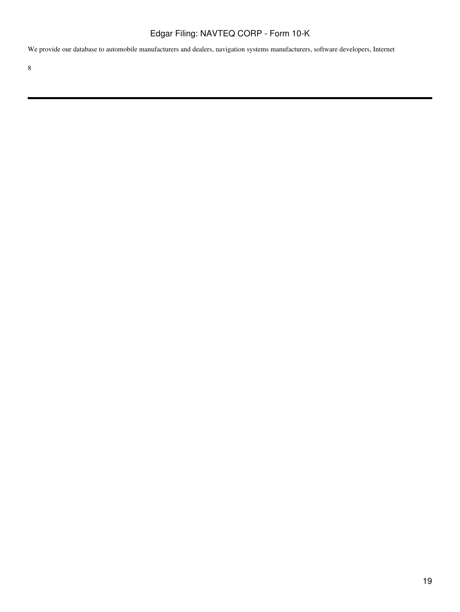We provide our database to automobile manufacturers and dealers, navigation systems manufacturers, software developers, Internet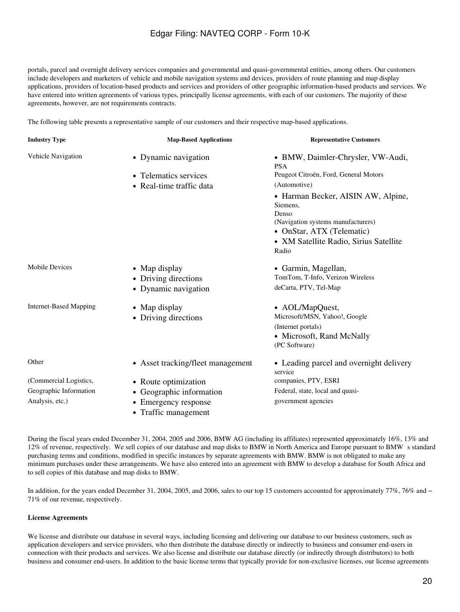portals, parcel and overnight delivery services companies and governmental and quasi-governmental entities, among others. Our customers include developers and marketers of vehicle and mobile navigation systems and devices, providers of route planning and map display applications, providers of location-based products and services and providers of other geographic information-based products and services. We have entered into written agreements of various types, principally license agreements, with each of our customers. The majority of these agreements, however, are not requirements contracts.

The following table presents a representative sample of our customers and their respective map-based applications.

| <b>Industry Type</b>          | <b>Map-Based Applications</b>     | <b>Representative Customers</b>                    |
|-------------------------------|-----------------------------------|----------------------------------------------------|
| Vehicle Navigation            | • Dynamic navigation              | • BMW, Daimler-Chrysler, VW-Audi,<br><b>PSA</b>    |
|                               | • Telematics services             | Peugeot Citroën, Ford, General Motors              |
|                               | • Real-time traffic data          | (Automotive)                                       |
|                               |                                   | • Harman Becker, AISIN AW, Alpine,<br>Siemens,     |
|                               |                                   | Denso<br>(Navigation systems manufacturers)        |
|                               |                                   | • OnStar, ATX (Telematic)                          |
|                               |                                   | • XM Satellite Radio, Sirius Satellite<br>Radio    |
| <b>Mobile Devices</b>         | • Map display                     | • Garmin, Magellan,                                |
|                               | • Driving directions              | TomTom, T-Info, Verizon Wireless                   |
|                               | • Dynamic navigation              | deCarta, PTV, Tel-Map                              |
| <b>Internet-Based Mapping</b> | • Map display                     | • AOL/MapQuest,                                    |
|                               | • Driving directions              | Microsoft/MSN, Yahoo!, Google                      |
|                               |                                   | (Internet portals)                                 |
|                               |                                   | • Microsoft, Rand McNally                          |
|                               |                                   | (PC Software)                                      |
| Other                         | • Asset tracking/fleet management | • Leading parcel and overnight delivery<br>service |
| (Commercial Logistics,        | • Route optimization              | companies, PTV, ESRI                               |
| Geographic Information        | • Geographic information          | Federal, state, local and quasi-                   |
| Analysis, etc.)               | Emergency response                | government agencies                                |
|                               | • Traffic management              |                                                    |

During the fiscal years ended December 31, 2004, 2005 and 2006, BMW AG (including its affiliates) represented approximately 16%, 13% and 12% of revenue, respectively. We sell copies of our database and map disks to BMW in North America and Europe pursuant to BMW s standard purchasing terms and conditions, modified in specific instances by separate agreements with BMW. BMW is not obligated to make any minimum purchases under these arrangements. We have also entered into an agreement with BMW to develop a database for South Africa and to sell copies of this database and map disks to BMW.

In addition, for the years ended December 31, 2004, 2005, and 2006, sales to our top 15 customers accounted for approximately 77%, 76% and − 71% of our revenue, respectively.

### **License Agreements**

We license and distribute our database in several ways, including licensing and delivering our database to our business customers, such as application developers and service providers, who then distribute the database directly or indirectly to business and consumer end-users in connection with their products and services. We also license and distribute our database directly (or indirectly through distributors) to both business and consumer end-users. In addition to the basic license terms that typically provide for non-exclusive licenses, our license agreements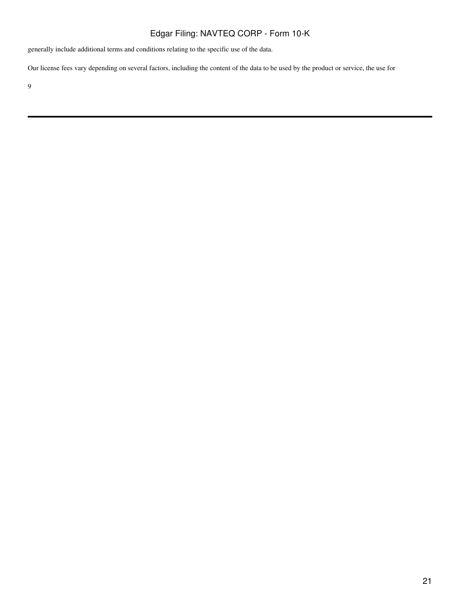generally include additional terms and conditions relating to the specific use of the data.

Our license fees vary depending on several factors, including the content of the data to be used by the product or service, the use for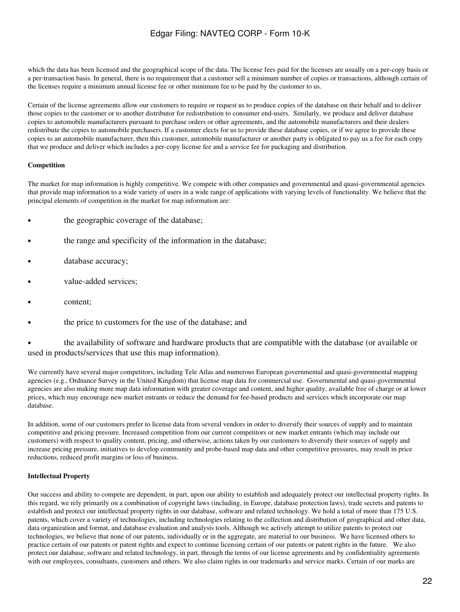which the data has been licensed and the geographical scope of the data. The license fees paid for the licenses are usually on a per-copy basis or a per-transaction basis. In general, there is no requirement that a customer sell a minimum number of copies or transactions, although certain of the licenses require a minimum annual license fee or other minimum fee to be paid by the customer to us.

Certain of the license agreements allow our customers to require or request us to produce copies of the database on their behalf and to deliver those copies to the customer or to another distributor for redistribution to consumer end-users. Similarly, we produce and deliver database copies to automobile manufacturers pursuant to purchase orders or other agreements, and the automobile manufacturers and their dealers redistribute the copies to automobile purchasers. If a customer elects for us to provide these database copies, or if we agree to provide these copies to an automobile manufacturer, then this customer, automobile manufacturer or another party is obligated to pay us a fee for each copy that we produce and deliver which includes a per-copy license fee and a service fee for packaging and distribution.

### **Competition**

The market for map information is highly competitive. We compete with other companies and governmental and quasi-governmental agencies that provide map information to a wide variety of users in a wide range of applications with varying levels of functionality. We believe that the principal elements of competition in the market for map information are:

- the geographic coverage of the database;
- the range and specificity of the information in the database;
- database accuracy;
- value-added services;
- content;
- the price to customers for the use of the database; and

• the availability of software and hardware products that are compatible with the database (or available or used in products/services that use this map information).

We currently have several major competitors, including Tele Atlas and numerous European governmental and quasi-governmental mapping agencies (e.g., Ordnance Survey in the United Kingdom) that license map data for commercial use. Governmental and quasi-governmental agencies are also making more map data information with greater coverage and content, and higher quality, available free of charge or at lower prices, which may encourage new market entrants or reduce the demand for fee-based products and services which incorporate our map database.

In addition, some of our customers prefer to license data from several vendors in order to diversify their sources of supply and to maintain competitive and pricing pressure. Increased competition from our current competitors or new market entrants (which may include our customers) with respect to quality content, pricing, and otherwise, actions taken by our customers to diversify their sources of supply and increase pricing pressure, initiatives to develop community and probe-based map data and other competitive pressures, may result in price reductions, reduced profit margins or loss of business.

### **Intellectual Property**

Our success and ability to compete are dependent, in part, upon our ability to establish and adequately protect our intellectual property rights. In this regard, we rely primarily on a combination of copyright laws (including, in Europe, database protection laws), trade secrets and patents to establish and protect our intellectual property rights in our database, software and related technology. We hold a total of more than 175 U.S. patents, which cover a variety of technologies, including technologies relating to the collection and distribution of geographical and other data, data organization and format, and database evaluation and analysis tools. Although we actively attempt to utilize patents to protect our technologies, we believe that none of our patents, individually or in the aggregate, are material to our business. We have licensed others to practice certain of our patents or patent rights and expect to continue licensing certain of our patents or patent rights in the future. We also protect our database, software and related technology, in part, through the terms of our license agreements and by confidentiality agreements with our employees, consultants, customers and others. We also claim rights in our trademarks and service marks. Certain of our marks are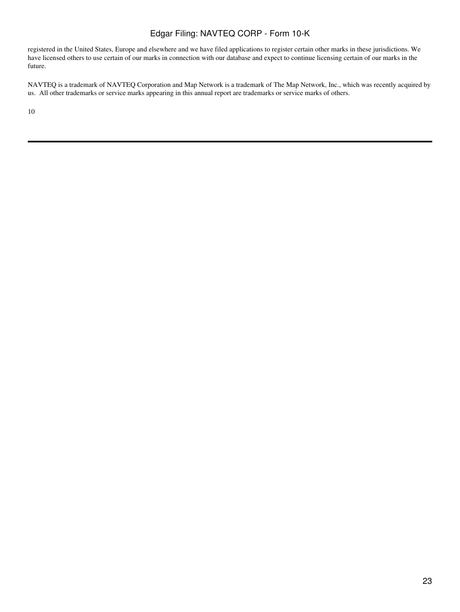registered in the United States, Europe and elsewhere and we have filed applications to register certain other marks in these jurisdictions. We have licensed others to use certain of our marks in connection with our database and expect to continue licensing certain of our marks in the future.

NAVTEQ is a trademark of NAVTEQ Corporation and Map Network is a trademark of The Map Network, Inc., which was recently acquired by us. All other trademarks or service marks appearing in this annual report are trademarks or service marks of others.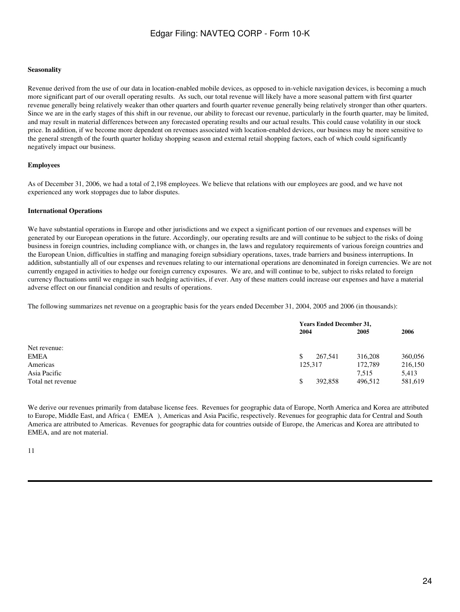### **Seasonality**

Revenue derived from the use of our data in location-enabled mobile devices, as opposed to in-vehicle navigation devices, is becoming a much more significant part of our overall operating results. As such, our total revenue will likely have a more seasonal pattern with first quarter revenue generally being relatively weaker than other quarters and fourth quarter revenue generally being relatively stronger than other quarters. Since we are in the early stages of this shift in our revenue, our ability to forecast our revenue, particularly in the fourth quarter, may be limited, and may result in material differences between any forecasted operating results and our actual results. This could cause volatility in our stock price. In addition, if we become more dependent on revenues associated with location-enabled devices, our business may be more sensitive to the general strength of the fourth quarter holiday shopping season and external retail shopping factors, each of which could significantly negatively impact our business.

### **Employees**

As of December 31, 2006, we had a total of 2,198 employees. We believe that relations with our employees are good, and we have not experienced any work stoppages due to labor disputes.

### **International Operations**

We have substantial operations in Europe and other jurisdictions and we expect a significant portion of our revenues and expenses will be generated by our European operations in the future. Accordingly, our operating results are and will continue to be subject to the risks of doing business in foreign countries, including compliance with, or changes in, the laws and regulatory requirements of various foreign countries and the European Union, difficulties in staffing and managing foreign subsidiary operations, taxes, trade barriers and business interruptions. In addition, substantially all of our expenses and revenues relating to our international operations are denominated in foreign currencies. We are not currently engaged in activities to hedge our foreign currency exposures. We are, and will continue to be, subject to risks related to foreign currency fluctuations until we engage in such hedging activities, if ever. Any of these matters could increase our expenses and have a material adverse effect on our financial condition and results of operations.

The following summarizes net revenue on a geographic basis for the years ended December 31, 2004, 2005 and 2006 (in thousands):

| <b>Years Ended December 31,</b> |           |                 |         |
|---------------------------------|-----------|-----------------|---------|
|                                 |           | 2005            | 2006    |
|                                 |           |                 |         |
|                                 | 267.541   | 316,208         | 360,056 |
|                                 |           | 172,789         | 216,150 |
|                                 |           | 7.515           | 5,413   |
|                                 | 392,858   | 496.512         | 581,619 |
|                                 | \$<br>\$. | 2004<br>125,317 |         |

We derive our revenues primarily from database license fees. Revenues for geographic data of Europe, North America and Korea are attributed to Europe, Middle East, and Africa (EMEA), Americas and Asia Pacific, respectively. Revenues for geographic data for Central and South America are attributed to Americas. Revenues for geographic data for countries outside of Europe, the Americas and Korea are attributed to EMEA, and are not material.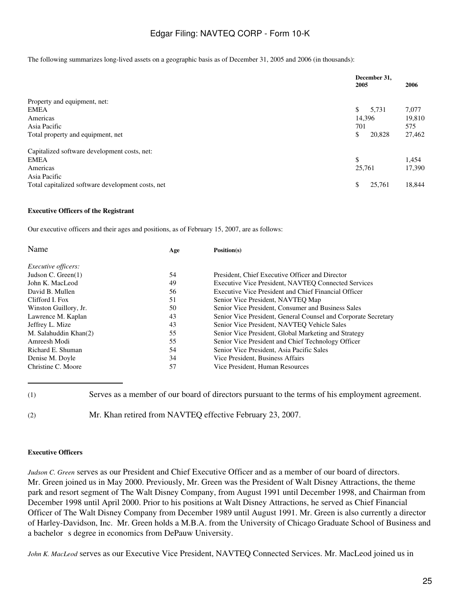The following summarizes long-lived assets on a geographic basis as of December 31, 2005 and 2006 (in thousands):

|                                                   | December 31,<br>2005 | 2006   |
|---------------------------------------------------|----------------------|--------|
| Property and equipment, net:                      |                      |        |
| EMEA                                              | \$<br>5.731          | 7,077  |
| Americas                                          | 14,396               | 19,810 |
| Asia Pacific                                      | 701                  | 575    |
| Total property and equipment, net                 | \$<br>20,828         | 27,462 |
| Capitalized software development costs, net:      |                      |        |
| <b>EMEA</b>                                       | \$                   | 1,454  |
| Americas                                          | 25,761               | 17,390 |
| Asia Pacific                                      |                      |        |
| Total capitalized software development costs, net | 25,761<br>\$         | 18,844 |

### **Executive Officers of the Registrant**

Our executive officers and their ages and positions, as of February 15, 2007, are as follows:

| Name                       | Age | Position(s)                                                    |
|----------------------------|-----|----------------------------------------------------------------|
| <i>Executive officers:</i> |     |                                                                |
| Judson C. Green $(1)$      | 54  | President, Chief Executive Officer and Director                |
| John K. MacLeod            | 49  | Executive Vice President, NAVTEQ Connected Services            |
| David B. Mullen            | 56  | Executive Vice President and Chief Financial Officer           |
| Clifford I. Fox            | 51  | Senior Vice President, NAVTEO Map                              |
| Winston Guillory, Jr.      | 50  | Senior Vice President, Consumer and Business Sales             |
| Lawrence M. Kaplan         | 43  | Senior Vice President, General Counsel and Corporate Secretary |
| Jeffrey L. Mize            | 43  | Senior Vice President, NAVTEQ Vehicle Sales                    |
| M. Salahuddin Khan(2)      | 55  | Senior Vice President, Global Marketing and Strategy           |
| Amreesh Modi               | 55  | Senior Vice President and Chief Technology Officer             |
| Richard E. Shuman          | 54  | Senior Vice President, Asia Pacific Sales                      |
| Denise M. Doyle            | 34  | Vice President, Business Affairs                               |
| Christine C. Moore         | 57  | Vice President, Human Resources                                |

(1) Serves as a member of our board of directors pursuant to the terms of his employment agreement.

(2) Mr. Khan retired from NAVTEQ effective February 23, 2007.

### **Executive Officers**

*Judson C. Green* serves as our President and Chief Executive Officer and as a member of our board of directors. Mr. Green joined us in May 2000. Previously, Mr. Green was the President of Walt Disney Attractions, the theme park and resort segment of The Walt Disney Company, from August 1991 until December 1998, and Chairman from December 1998 until April 2000. Prior to his positions at Walt Disney Attractions, he served as Chief Financial Officer of The Walt Disney Company from December 1989 until August 1991. Mr. Green is also currently a director of Harley-Davidson, Inc. Mr. Green holds a M.B.A. from the University of Chicago Graduate School of Business and a bachelor s degree in economics from DePauw University.

*John K. MacLeod* serves as our Executive Vice President, NAVTEQ Connected Services. Mr. MacLeod joined us in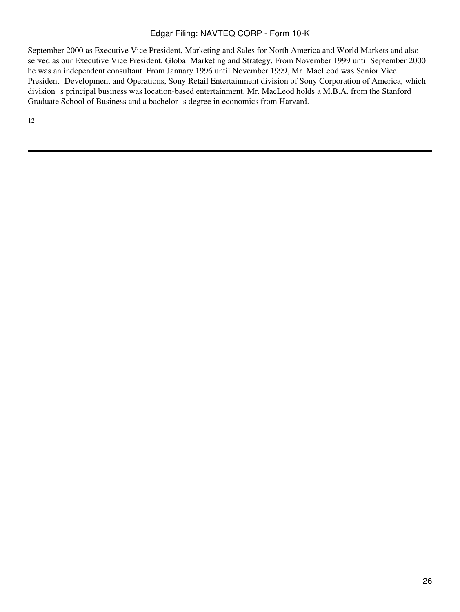September 2000 as Executive Vice President, Marketing and Sales for North America and World Markets and also served as our Executive Vice President, Global Marketing and Strategy. From November 1999 until September 2000 he was an independent consultant. From January 1996 until November 1999, Mr. MacLeod was Senior Vice President Development and Operations, Sony Retail Entertainment division of Sony Corporation of America, which division s principal business was location-based entertainment. Mr. MacLeod holds a M.B.A. from the Stanford Graduate School of Business and a bachelor s degree in economics from Harvard.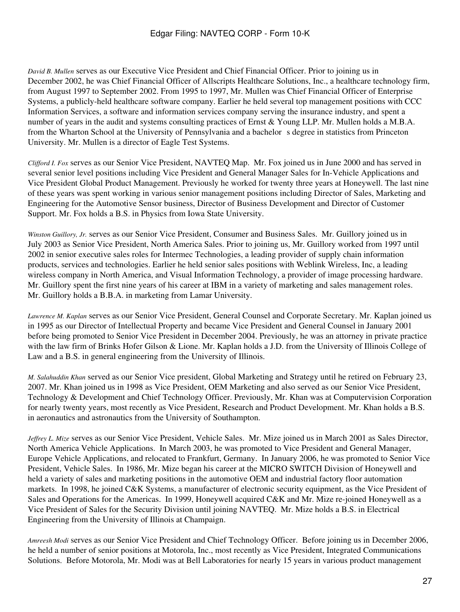*David B. Mullen* serves as our Executive Vice President and Chief Financial Officer. Prior to joining us in December 2002, he was Chief Financial Officer of Allscripts Healthcare Solutions, Inc., a healthcare technology firm, from August 1997 to September 2002. From 1995 to 1997, Mr. Mullen was Chief Financial Officer of Enterprise Systems, a publicly-held healthcare software company. Earlier he held several top management positions with CCC Information Services, a software and information services company serving the insurance industry, and spent a number of years in the audit and systems consulting practices of Ernst & Young LLP. Mr. Mullen holds a M.B.A. from the Wharton School at the University of Pennsylvania and a bachelor s degree in statistics from Princeton University. Mr. Mullen is a director of Eagle Test Systems.

*Clifford I. Fox* serves as our Senior Vice President, NAVTEQ Map. Mr. Fox joined us in June 2000 and has served in several senior level positions including Vice President and General Manager Sales for In-Vehicle Applications and Vice President Global Product Management. Previously he worked for twenty three years at Honeywell. The last nine of these years was spent working in various senior management positions including Director of Sales, Marketing and Engineering for the Automotive Sensor business, Director of Business Development and Director of Customer Support. Mr. Fox holds a B.S. in Physics from Iowa State University.

*Winston Guillory, Jr.* serves as our Senior Vice President, Consumer and Business Sales. Mr. Guillory joined us in July 2003 as Senior Vice President, North America Sales. Prior to joining us, Mr. Guillory worked from 1997 until 2002 in senior executive sales roles for Intermec Technologies, a leading provider of supply chain information products, services and technologies. Earlier he held senior sales positions with Weblink Wireless, Inc, a leading wireless company in North America, and Visual Information Technology, a provider of image processing hardware. Mr. Guillory spent the first nine years of his career at IBM in a variety of marketing and sales management roles. Mr. Guillory holds a B.B.A. in marketing from Lamar University.

*Lawrence M. Kaplan* serves as our Senior Vice President, General Counsel and Corporate Secretary. Mr. Kaplan joined us in 1995 as our Director of Intellectual Property and became Vice President and General Counsel in January 2001 before being promoted to Senior Vice President in December 2004. Previously, he was an attorney in private practice with the law firm of Brinks Hofer Gilson & Lione. Mr. Kaplan holds a J.D. from the University of Illinois College of Law and a B.S. in general engineering from the University of Illinois.

*M. Salahuddin Khan* served as our Senior Vice president, Global Marketing and Strategy until he retired on February 23, 2007. Mr. Khan joined us in 1998 as Vice President, OEM Marketing and also served as our Senior Vice President, Technology & Development and Chief Technology Officer. Previously, Mr. Khan was at Computervision Corporation for nearly twenty years, most recently as Vice President, Research and Product Development. Mr. Khan holds a B.S. in aeronautics and astronautics from the University of Southampton.

*Jeffrey L. Mize* serves as our Senior Vice President, Vehicle Sales. Mr. Mize joined us in March 2001 as Sales Director, North America Vehicle Applications. In March 2003, he was promoted to Vice President and General Manager, Europe Vehicle Applications, and relocated to Frankfurt, Germany. In January 2006, he was promoted to Senior Vice President, Vehicle Sales. In 1986, Mr. Mize began his career at the MICRO SWITCH Division of Honeywell and held a variety of sales and marketing positions in the automotive OEM and industrial factory floor automation markets. In 1998, he joined C&K Systems, a manufacturer of electronic security equipment, as the Vice President of Sales and Operations for the Americas. In 1999, Honeywell acquired C&K and Mr. Mize re-joined Honeywell as a Vice President of Sales for the Security Division until joining NAVTEQ. Mr. Mize holds a B.S. in Electrical Engineering from the University of Illinois at Champaign.

*Amreesh Modi* serves as our Senior Vice President and Chief Technology Officer. Before joining us in December 2006, he held a number of senior positions at Motorola, Inc., most recently as Vice President, Integrated Communications Solutions. Before Motorola, Mr. Modi was at Bell Laboratories for nearly 15 years in various product management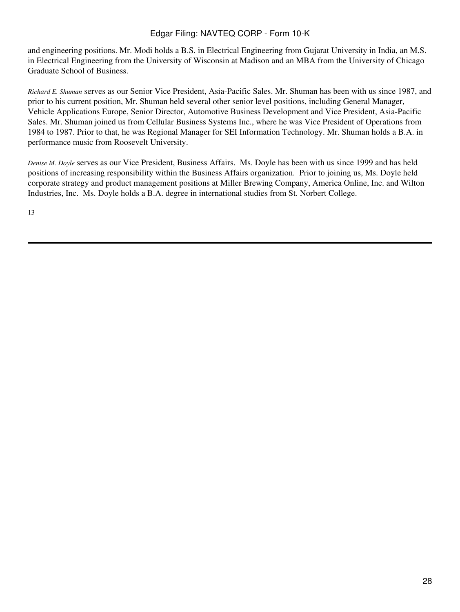and engineering positions. Mr. Modi holds a B.S. in Electrical Engineering from Gujarat University in India, an M.S. in Electrical Engineering from the University of Wisconsin at Madison and an MBA from the University of Chicago Graduate School of Business.

*Richard E. Shuman* serves as our Senior Vice President, Asia-Pacific Sales. Mr. Shuman has been with us since 1987, and prior to his current position, Mr. Shuman held several other senior level positions, including General Manager, Vehicle Applications Europe, Senior Director, Automotive Business Development and Vice President, Asia-Pacific Sales. Mr. Shuman joined us from Cellular Business Systems Inc., where he was Vice President of Operations from 1984 to 1987. Prior to that, he was Regional Manager for SEI Information Technology. Mr. Shuman holds a B.A. in performance music from Roosevelt University.

*Denise M. Doyle* serves as our Vice President, Business Affairs. Ms. Doyle has been with us since 1999 and has held positions of increasing responsibility within the Business Affairs organization. Prior to joining us, Ms. Doyle held corporate strategy and product management positions at Miller Brewing Company, America Online, Inc. and Wilton Industries, Inc. Ms. Doyle holds a B.A. degree in international studies from St. Norbert College.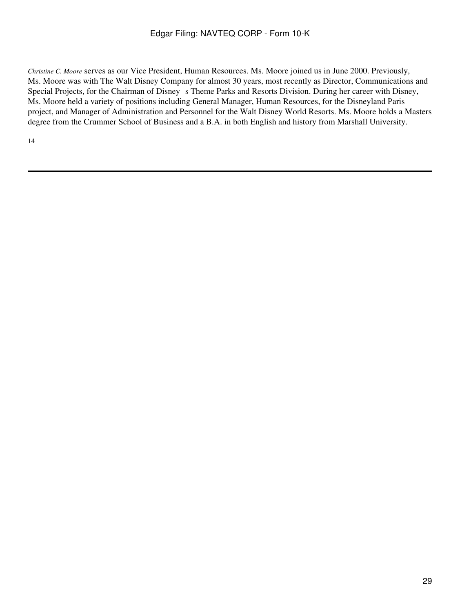*Christine C. Moore* serves as our Vice President, Human Resources. Ms. Moore joined us in June 2000. Previously, Ms. Moore was with The Walt Disney Company for almost 30 years, most recently as Director, Communications and Special Projects, for the Chairman of Disney s Theme Parks and Resorts Division. During her career with Disney, Ms. Moore held a variety of positions including General Manager, Human Resources, for the Disneyland Paris project, and Manager of Administration and Personnel for the Walt Disney World Resorts. Ms. Moore holds a Masters degree from the Crummer School of Business and a B.A. in both English and history from Marshall University.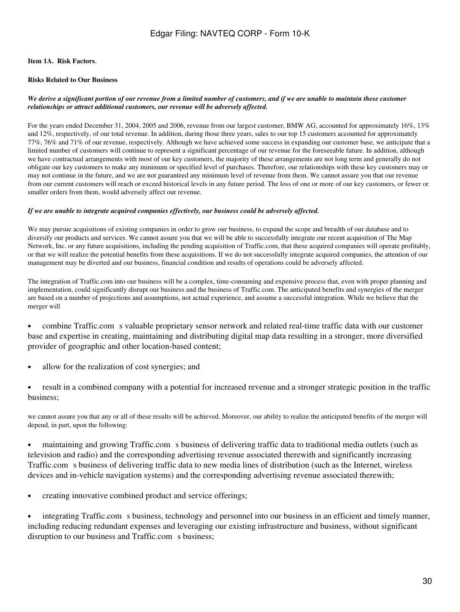### **Item 1A. Risk Factors**.

### **Risks Related to Our Business**

### *We derive a significant portion of our revenue from a limited number of customers, and if we are unable to maintain these customer relationships or attract additional customers, our revenue will be adversely affected.*

For the years ended December 31, 2004, 2005 and 2006, revenue from our largest customer, BMW AG, accounted for approximately 16%, 13% and 12%, respectively, of our total revenue. In addition, during those three years, sales to our top 15 customers accounted for approximately 77%, 76% and 71% of our revenue, respectively. Although we have achieved some success in expanding our customer base, we anticipate that a limited number of customers will continue to represent a significant percentage of our revenue for the foreseeable future. In addition, although we have contractual arrangements with most of our key customers, the majority of these arrangements are not long term and generally do not obligate our key customers to make any minimum or specified level of purchases. Therefore, our relationships with these key customers may or may not continue in the future, and we are not guaranteed any minimum level of revenue from them. We cannot assure you that our revenue from our current customers will reach or exceed historical levels in any future period. The loss of one or more of our key customers, or fewer or smaller orders from them, would adversely affect our revenue.

### *If we are unable to integrate acquired companies effectively, our business could be adversely affected.*

We may pursue acquisitions of existing companies in order to grow our business, to expand the scope and breadth of our database and to diversify our products and services. We cannot assure you that we will be able to successfully integrate our recent acquisition of The Map Network, Inc. or any future acquisitions, including the pending acquisition of Traffic.com, that these acquired companies will operate profitably, or that we will realize the potential benefits from these acquisitions. If we do not successfully integrate acquired companies, the attention of our management may be diverted and our business, financial condition and results of operations could be adversely affected.

The integration of Traffic.com into our business will be a complex, time-consuming and expensive process that, even with proper planning and implementation, could significantly disrupt our business and the business of Traffic.com. The anticipated benefits and synergies of the merger are based on a number of projections and assumptions, not actual experience, and assume a successful integration. While we believe that the merger will

• combine Traffic.com s valuable proprietary sensor network and related real-time traffic data with our customer base and expertise in creating, maintaining and distributing digital map data resulting in a stronger, more diversified provider of geographic and other location-based content;

- allow for the realization of cost synergies; and
- result in a combined company with a potential for increased revenue and a stronger strategic position in the traffic business;

we cannot assure you that any or all of these results will be achieved. Moreover, our ability to realize the anticipated benefits of the merger will depend, in part, upon the following:

• maintaining and growing Traffic.com s business of delivering traffic data to traditional media outlets (such as television and radio) and the corresponding advertising revenue associated therewith and significantly increasing Traffic.com s business of delivering traffic data to new media lines of distribution (such as the Internet, wireless devices and in-vehicle navigation systems) and the corresponding advertising revenue associated therewith;

• creating innovative combined product and service offerings;

• integrating Traffic.com s business, technology and personnel into our business in an efficient and timely manner, including reducing redundant expenses and leveraging our existing infrastructure and business, without significant disruption to our business and Traffic.com s business;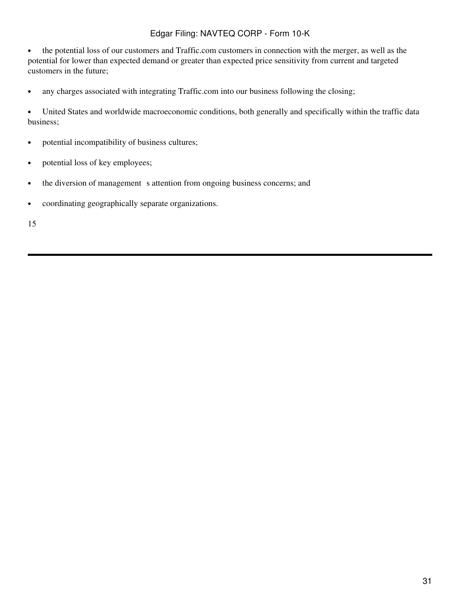• the potential loss of our customers and Traffic.com customers in connection with the merger, as well as the potential for lower than expected demand or greater than expected price sensitivity from current and targeted customers in the future;

• any charges associated with integrating Traffic.com into our business following the closing;

• United States and worldwide macroeconomic conditions, both generally and specifically within the traffic data business;

- potential incompatibility of business cultures;
- potential loss of key employees;
- the diversion of management s attention from ongoing business concerns; and
- coordinating geographically separate organizations.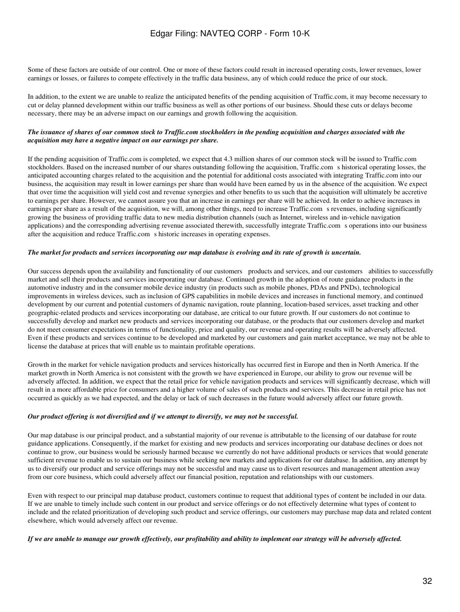Some of these factors are outside of our control. One or more of these factors could result in increased operating costs, lower revenues, lower earnings or losses, or failures to compete effectively in the traffic data business, any of which could reduce the price of our stock.

In addition, to the extent we are unable to realize the anticipated benefits of the pending acquisition of Traffic.com, it may become necessary to cut or delay planned development within our traffic business as well as other portions of our business. Should these cuts or delays become necessary, there may be an adverse impact on our earnings and growth following the acquisition.

### *The issuance of shares of our common stock to Traffic.com stockholders in the pending acquisition and charges associated with the acquisition may have a negative impact on our earnings per share.*

If the pending acquisition of Traffic.com is completed, we expect that 4.3 million shares of our common stock will be issued to Traffic.com stockholders. Based on the increased number of our shares outstanding following the acquisition, Traffic.com s historical operating losses, the anticipated accounting charges related to the acquisition and the potential for additional costs associated with integrating Traffic.com into our business, the acquisition may result in lower earnings per share than would have been earned by us in the absence of the acquisition. We expect that over time the acquisition will yield cost and revenue synergies and other benefits to us such that the acquisition will ultimately be accretive to earnings per share. However, we cannot assure you that an increase in earnings per share will be achieved. In order to achieve increases in earnings per share as a result of the acquisition, we will, among other things, need to increase Traffic.com s revenues, including significantly growing the business of providing traffic data to new media distribution channels (such as Internet, wireless and in-vehicle navigation applications) and the corresponding advertising revenue associated therewith, successfully integrate Traffic.coms operations into our business after the acquisition and reduce Traffic.com s historic increases in operating expenses.

### *The market for products and services incorporating our map database is evolving and its rate of growth is uncertain.*

Our success depends upon the availability and functionality of our customers products and services, and our customers abilities to successfully market and sell their products and services incorporating our database. Continued growth in the adoption of route guidance products in the automotive industry and in the consumer mobile device industry (in products such as mobile phones, PDAs and PNDs), technological improvements in wireless devices, such as inclusion of GPS capabilities in mobile devices and increases in functional memory, and continued development by our current and potential customers of dynamic navigation, route planning, location-based services, asset tracking and other geographic-related products and services incorporating our database, are critical to our future growth. If our customers do not continue to successfully develop and market new products and services incorporating our database, or the products that our customers develop and market do not meet consumer expectations in terms of functionality, price and quality, our revenue and operating results will be adversely affected. Even if these products and services continue to be developed and marketed by our customers and gain market acceptance, we may not be able to license the database at prices that will enable us to maintain profitable operations.

Growth in the market for vehicle navigation products and services historically has occurred first in Europe and then in North America. If the market growth in North America is not consistent with the growth we have experienced in Europe, our ability to grow our revenue will be adversely affected. In addition, we expect that the retail price for vehicle navigation products and services will significantly decrease, which will result in a more affordable price for consumers and a higher volume of sales of such products and services. This decrease in retail price has not occurred as quickly as we had expected, and the delay or lack of such decreases in the future would adversely affect our future growth.

#### *Our product offering is not diversified and if we attempt to diversify, we may not be successful.*

Our map database is our principal product, and a substantial majority of our revenue is attributable to the licensing of our database for route guidance applications. Consequently, if the market for existing and new products and services incorporating our database declines or does not continue to grow, our business would be seriously harmed because we currently do not have additional products or services that would generate sufficient revenue to enable us to sustain our business while seeking new markets and applications for our database. In addition, any attempt by us to diversify our product and service offerings may not be successful and may cause us to divert resources and management attention away from our core business, which could adversely affect our financial position, reputation and relationships with our customers.

Even with respect to our principal map database product, customers continue to request that additional types of content be included in our data. If we are unable to timely include such content in our product and service offerings or do not effectively determine what types of content to include and the related prioritization of developing such product and service offerings, our customers may purchase map data and related content elsewhere, which would adversely affect our revenue.

### *If we are unable to manage our growth effectively, our profitability and ability to implement our strategy will be adversely affected.*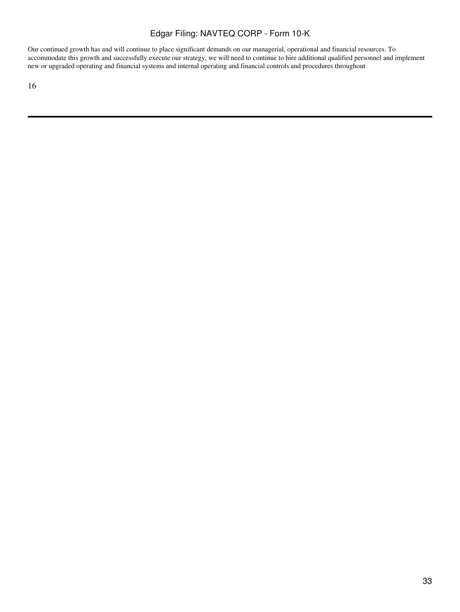Our continued growth has and will continue to place significant demands on our managerial, operational and financial resources. To accommodate this growth and successfully execute our strategy, we will need to continue to hire additional qualified personnel and implement new or upgraded operating and financial systems and internal operating and financial controls and procedures throughout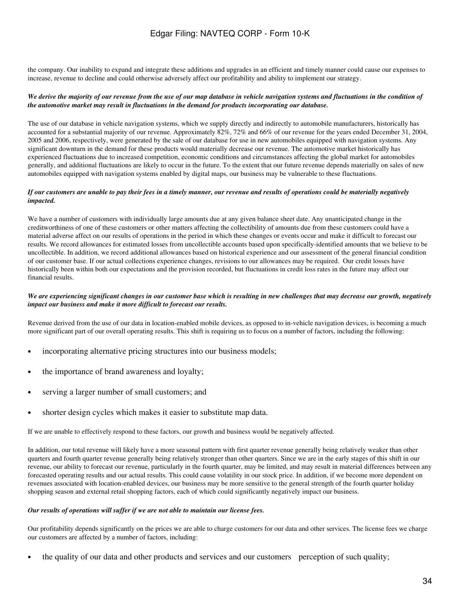the company. Our inability to expand and integrate these additions and upgrades in an efficient and timely manner could cause our expenses to increase, revenue to decline and could otherwise adversely affect our profitability and ability to implement our strategy.

### *We derive the majority of our revenue from the use of our map database in vehicle navigation systems and fluctuations in the condition of the automotive market may result in fluctuations in the demand for products incorporating our database.*

The use of our database in vehicle navigation systems, which we supply directly and indirectly to automobile manufacturers, historically has accounted for a substantial majority of our revenue. Approximately 82%, 72% and 66% of our revenue for the years ended December 31, 2004, 2005 and 2006, respectively, were generated by the sale of our database for use in new automobiles equipped with navigation systems. Any significant downturn in the demand for these products would materially decrease our revenue. The automotive market historically has experienced fluctuations due to increased competition, economic conditions and circumstances affecting the global market for automobiles generally, and additional fluctuations are likely to occur in the future. To the extent that our future revenue depends materially on sales of new automobiles equipped with navigation systems enabled by digital maps, our business may be vulnerable to these fluctuations.

### *If our customers are unable to pay their fees in a timely manner, our revenue and results of operations could be materially negatively impacted.*

We have a number of customers with individually large amounts due at any given balance sheet date. Any unanticipated change in the creditworthiness of one of these customers or other matters affecting the collectibility of amounts due from these customers could have a material adverse affect on our results of operations in the period in which these changes or events occur and make it difficult to forecast our results. We record allowances for estimated losses from uncollectible accounts based upon specifically-identified amounts that we believe to be uncollectible. In addition, we record additional allowances based on historical experience and our assessment of the general financial condition of our customer base. If our actual collections experience changes, revisions to our allowances may be required. Our credit losses have historically been within both our expectations and the provision recorded, but fluctuations in credit loss rates in the future may affect our financial results.

### *We are experiencing significant changes in our customer base which is resulting in new challenges that may decrease our growth, negatively impact our business and make it more difficult to forecast our results.*

Revenue derived from the use of our data in location-enabled mobile devices, as opposed to in-vehicle navigation devices, is becoming a much more significant part of our overall operating results. This shift is requiring us to focus on a number of factors, including the following:

- incorporating alternative pricing structures into our business models;
- the importance of brand awareness and loyalty;
- serving a larger number of small customers; and
- shorter design cycles which makes it easier to substitute map data.

If we are unable to effectively respond to these factors, our growth and business would be negatively affected.

In addition, our total revenue will likely have a more seasonal pattern with first quarter revenue generally being relatively weaker than other quarters and fourth quarter revenue generally being relatively stronger than other quarters. Since we are in the early stages of this shift in our revenue, our ability to forecast our revenue, particularly in the fourth quarter, may be limited, and may result in material differences between any forecasted operating results and our actual results. This could cause volatility in our stock price. In addition, if we become more dependent on revenues associated with location-enabled devices, our business may be more sensitive to the general strength of the fourth quarter holiday shopping season and external retail shopping factors, each of which could significantly negatively impact our business.

### *Our results of operations will suffer if we are not able to maintain our license fees.*

Our profitability depends significantly on the prices we are able to charge customers for our data and other services. The license fees we charge our customers are affected by a number of factors, including:

• the quality of our data and other products and services and our customers perception of such quality;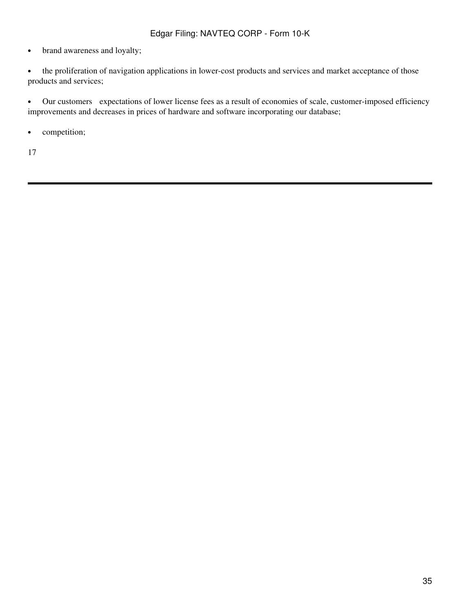- brand awareness and loyalty;
- the proliferation of navigation applications in lower-cost products and services and market acceptance of those products and services;

• Our customers expectations of lower license fees as a result of economies of scale, customer-imposed efficiency improvements and decreases in prices of hardware and software incorporating our database;

• competition;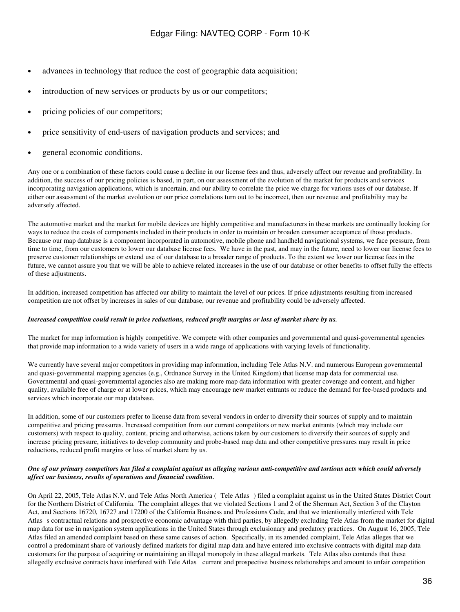- advances in technology that reduce the cost of geographic data acquisition;
- introduction of new services or products by us or our competitors;
- pricing policies of our competitors;
- price sensitivity of end-users of navigation products and services; and
- general economic conditions.

Any one or a combination of these factors could cause a decline in our license fees and thus, adversely affect our revenue and profitability. In addition, the success of our pricing policies is based, in part, on our assessment of the evolution of the market for products and services incorporating navigation applications, which is uncertain, and our ability to correlate the price we charge for various uses of our database. If either our assessment of the market evolution or our price correlations turn out to be incorrect, then our revenue and profitability may be adversely affected.

The automotive market and the market for mobile devices are highly competitive and manufacturers in these markets are continually looking for ways to reduce the costs of components included in their products in order to maintain or broaden consumer acceptance of those products. Because our map database is a component incorporated in automotive, mobile phone and handheld navigational systems, we face pressure, from time to time, from our customers to lower our database license fees. We have in the past, and may in the future, need to lower our license fees to preserve customer relationships or extend use of our database to a broader range of products. To the extent we lower our license fees in the future, we cannot assure you that we will be able to achieve related increases in the use of our database or other benefits to offset fully the effects of these adjustments.

In addition, increased competition has affected our ability to maintain the level of our prices. If price adjustments resulting from increased competition are not offset by increases in sales of our database, our revenue and profitability could be adversely affected.

#### *Increased competition could result in price reductions, reduced profit margins or loss of market share by us.*

The market for map information is highly competitive. We compete with other companies and governmental and quasi-governmental agencies that provide map information to a wide variety of users in a wide range of applications with varying levels of functionality.

We currently have several major competitors in providing map information, including Tele Atlas N.V. and numerous European governmental and quasi-governmental mapping agencies (e.g., Ordnance Survey in the United Kingdom) that license map data for commercial use. Governmental and quasi-governmental agencies also are making more map data information with greater coverage and content, and higher quality, available free of charge or at lower prices, which may encourage new market entrants or reduce the demand for fee-based products and services which incorporate our map database.

In addition, some of our customers prefer to license data from several vendors in order to diversify their sources of supply and to maintain competitive and pricing pressures. Increased competition from our current competitors or new market entrants (which may include our customers) with respect to quality, content, pricing and otherwise, actions taken by our customers to diversify their sources of supply and increase pricing pressure, initiatives to develop community and probe-based map data and other competitive pressures may result in price reductions, reduced profit margins or loss of market share by us.

### *One of our primary competitors has filed a complaint against us alleging various anti-competitive and tortious acts which could adversely affect our business, results of operations and financial condition.*

On April 22, 2005, Tele Atlas N.V. and Tele Atlas North America (Tele Atlas) filed a complaint against us in the United States District Court for the Northern District of California. The complaint alleges that we violated Sections 1 and 2 of the Sherman Act, Section 3 of the Clayton Act, and Sections 16720, 16727 and 17200 of the California Business and Professions Code, and that we intentionally interfered with Tele Atlass contractual relations and prospective economic advantage with third parties, by allegedly excluding Tele Atlas from the market for digital map data for use in navigation system applications in the United States through exclusionary and predatory practices. On August 16, 2005, Tele Atlas filed an amended complaint based on these same causes of action. Specifically, in its amended complaint, Tele Atlas alleges that we control a predominant share of variously defined markets for digital map data and have entered into exclusive contracts with digital map data customers for the purpose of acquiring or maintaining an illegal monopoly in these alleged markets. Tele Atlas also contends that these allegedly exclusive contracts have interfered with Tele Atlas current and prospective business relationships and amount to unfair competition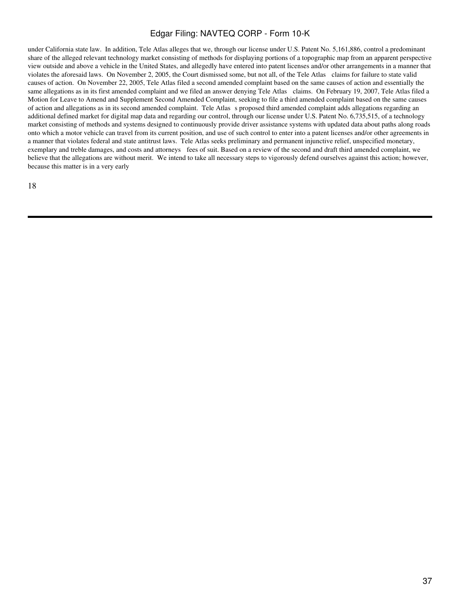under California state law. In addition, Tele Atlas alleges that we, through our license under U.S. Patent No. 5,161,886, control a predominant share of the alleged relevant technology market consisting of methods for displaying portions of a topographic map from an apparent perspective view outside and above a vehicle in the United States, and allegedly have entered into patent licenses and/or other arrangements in a manner that violates the aforesaid laws. On November 2, 2005, the Court dismissed some, but not all, of the Tele Atlas claims for failure to state valid causes of action. On November 22, 2005, Tele Atlas filed a second amended complaint based on the same causes of action and essentially the same allegations as in its first amended complaint and we filed an answer denying Tele Atlas claims. On February 19, 2007, Tele Atlas filed a Motion for Leave to Amend and Supplement Second Amended Complaint, seeking to file a third amended complaint based on the same causes of action and allegations as in its second amended complaint. Tele Atlass proposed third amended complaint adds allegations regarding an additional defined market for digital map data and regarding our control, through our license under U.S. Patent No. 6,735,515, of a technology market consisting of methods and systems designed to continuously provide driver assistance systems with updated data about paths along roads onto which a motor vehicle can travel from its current position, and use of such control to enter into a patent licenses and/or other agreements in a manner that violates federal and state antitrust laws. Tele Atlas seeks preliminary and permanent injunctive relief, unspecified monetary, exemplary and treble damages, and costs and attorneys fees of suit. Based on a review of the second and draft third amended complaint, we believe that the allegations are without merit. We intend to take all necessary steps to vigorously defend ourselves against this action; however, because this matter is in a very early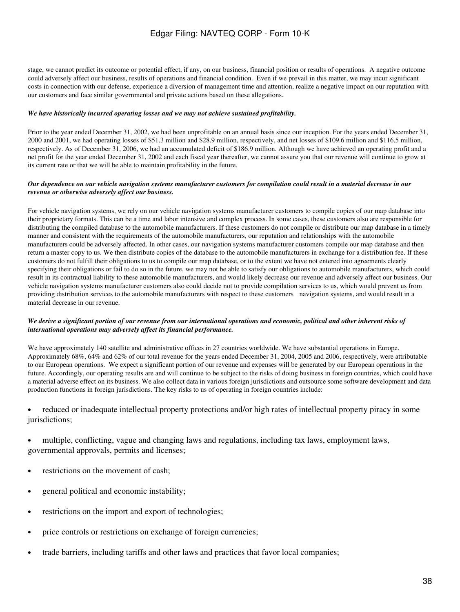stage, we cannot predict its outcome or potential effect, if any, on our business, financial position or results of operations. A negative outcome could adversely affect our business, results of operations and financial condition. Even if we prevail in this matter, we may incur significant costs in connection with our defense, experience a diversion of management time and attention, realize a negative impact on our reputation with our customers and face similar governmental and private actions based on these allegations.

### *We have historically incurred operating losses and we may not achieve sustained profitability.*

Prior to the year ended December 31, 2002, we had been unprofitable on an annual basis since our inception. For the years ended December 31, 2000 and 2001, we had operating losses of \$51.3 million and \$28.9 million, respectively, and net losses of \$109.6 million and \$116.5 million, respectively. As of December 31, 2006, we had an accumulated deficit of \$186.9 million. Although we have achieved an operating profit and a net profit for the year ended December 31, 2002 and each fiscal year thereafter, we cannot assure you that our revenue will continue to grow at its current rate or that we will be able to maintain profitability in the future.

### *Our dependence on our vehicle navigation systems manufacturer customers for compilation could result in a material decrease in our revenue or otherwise adversely affect our business.*

For vehicle navigation systems, we rely on our vehicle navigation systems manufacturer customers to compile copies of our map database into their proprietary formats. This can be a time and labor intensive and complex process. In some cases, these customers also are responsible for distributing the compiled database to the automobile manufacturers. If these customers do not compile or distribute our map database in a timely manner and consistent with the requirements of the automobile manufacturers, our reputation and relationships with the automobile manufacturers could be adversely affected. In other cases, our navigation systems manufacturer customers compile our map database and then return a master copy to us. We then distribute copies of the database to the automobile manufacturers in exchange for a distribution fee. If these customers do not fulfill their obligations to us to compile our map database, or to the extent we have not entered into agreements clearly specifying their obligations or fail to do so in the future, we may not be able to satisfy our obligations to automobile manufacturers, which could result in its contractual liability to these automobile manufacturers, and would likely decrease our revenue and adversely affect our business. Our vehicle navigation systems manufacturer customers also could decide not to provide compilation services to us, which would prevent us from providing distribution services to the automobile manufacturers with respect to these customers navigation systems, and would result in a material decrease in our revenue.

### *We derive a significant portion of our revenue from our international operations and economic, political and other inherent risks of international operations may adversely affect its financial performance.*

We have approximately 140 satellite and administrative offices in 27 countries worldwide. We have substantial operations in Europe. Approximately 68%, 64% and 62% of our total revenue for the years ended December 31, 2004, 2005 and 2006, respectively, were attributable to our European operations. We expect a significant portion of our revenue and expenses will be generated by our European operations in the future. Accordingly, our operating results are and will continue to be subject to the risks of doing business in foreign countries, which could have a material adverse effect on its business. We also collect data in various foreign jurisdictions and outsource some software development and data production functions in foreign jurisdictions. The key risks to us of operating in foreign countries include:

## • reduced or inadequate intellectual property protections and/or high rates of intellectual property piracy in some jurisdictions;

- multiple, conflicting, vague and changing laws and regulations, including tax laws, employment laws, governmental approvals, permits and licenses;
- restrictions on the movement of cash;
- general political and economic instability;
- restrictions on the import and export of technologies;
- price controls or restrictions on exchange of foreign currencies;
- trade barriers, including tariffs and other laws and practices that favor local companies;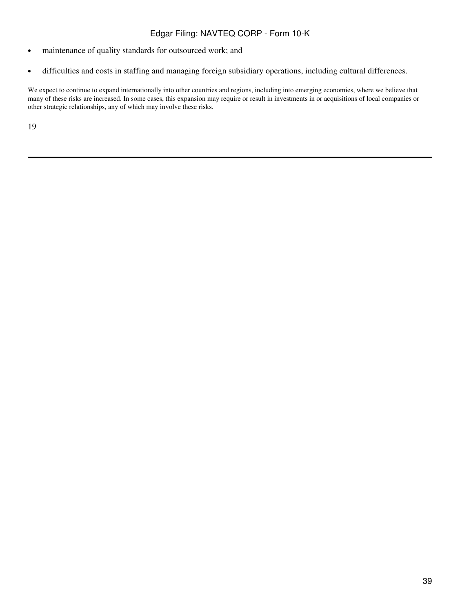- maintenance of quality standards for outsourced work; and
- difficulties and costs in staffing and managing foreign subsidiary operations, including cultural differences.

We expect to continue to expand internationally into other countries and regions, including into emerging economies, where we believe that many of these risks are increased. In some cases, this expansion may require or result in investments in or acquisitions of local companies or other strategic relationships, any of which may involve these risks.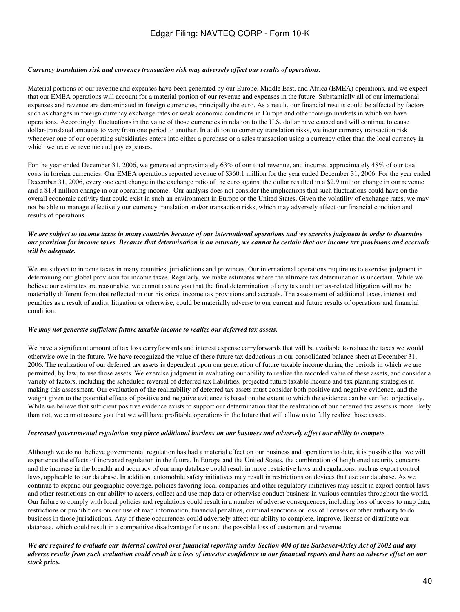### *Currency translation risk and currency transaction risk may adversely affect our results of operations.*

Material portions of our revenue and expenses have been generated by our Europe, Middle East, and Africa (EMEA) operations, and we expect that our EMEA operations will account for a material portion of our revenue and expenses in the future. Substantially all of our international expenses and revenue are denominated in foreign currencies, principally the euro. As a result, our financial results could be affected by factors such as changes in foreign currency exchange rates or weak economic conditions in Europe and other foreign markets in which we have operations. Accordingly, fluctuations in the value of those currencies in relation to the U.S. dollar have caused and will continue to cause dollar-translated amounts to vary from one period to another. In addition to currency translation risks, we incur currency transaction risk whenever one of our operating subsidiaries enters into either a purchase or a sales transaction using a currency other than the local currency in which we receive revenue and pay expenses.

For the year ended December 31, 2006, we generated approximately 63% of our total revenue, and incurred approximately 48% of our total costs in foreign currencies. Our EMEA operations reported revenue of \$360.1 million for the year ended December 31, 2006. For the year ended December 31, 2006, every one cent change in the exchange ratio of the euro against the dollar resulted in a \$2.9 million change in our revenue and a \$1.4 million change in our operating income. Our analysis does not consider the implications that such fluctuations could have on the overall economic activity that could exist in such an environment in Europe or the United States. Given the volatility of exchange rates, we may not be able to manage effectively our currency translation and/or transaction risks, which may adversely affect our financial condition and results of operations.

### *We are subject to income taxes in many countries because of our international operations and we exercise judgment in order to determine our provision for income taxes. Because that determination is an estimate, we cannot be certain that our income tax provisions and accruals will be adequate.*

We are subject to income taxes in many countries, jurisdictions and provinces. Our international operations require us to exercise judgment in determining our global provision for income taxes. Regularly, we make estimates where the ultimate tax determination is uncertain. While we believe our estimates are reasonable, we cannot assure you that the final determination of any tax audit or tax-related litigation will not be materially different from that reflected in our historical income tax provisions and accruals. The assessment of additional taxes, interest and penalties as a result of audits, litigation or otherwise, could be materially adverse to our current and future results of operations and financial condition.

#### *We may not generate sufficient future taxable income to realize our deferred tax assets.*

We have a significant amount of tax loss carryforwards and interest expense carryforwards that will be available to reduce the taxes we would otherwise owe in the future. We have recognized the value of these future tax deductions in our consolidated balance sheet at December 31, 2006. The realization of our deferred tax assets is dependent upon our generation of future taxable income during the periods in which we are permitted, by law, to use those assets. We exercise judgment in evaluating our ability to realize the recorded value of these assets, and consider a variety of factors, including the scheduled reversal of deferred tax liabilities, projected future taxable income and tax planning strategies in making this assessment. Our evaluation of the realizability of deferred tax assets must consider both positive and negative evidence, and the weight given to the potential effects of positive and negative evidence is based on the extent to which the evidence can be verified objectively. While we believe that sufficient positive evidence exists to support our determination that the realization of our deferred tax assets is more likely than not, we cannot assure you that we will have profitable operations in the future that will allow us to fully realize those assets.

#### *Increased governmental regulation may place additional burdens on our business and adversely affect our ability to compete.*

Although we do not believe governmental regulation has had a material effect on our business and operations to date, it is possible that we will experience the effects of increased regulation in the future. In Europe and the United States, the combination of heightened security concerns and the increase in the breadth and accuracy of our map database could result in more restrictive laws and regulations, such as export control laws, applicable to our database. In addition, automobile safety initiatives may result in restrictions on devices that use our database. As we continue to expand our geographic coverage, policies favoring local companies and other regulatory initiatives may result in export control laws and other restrictions on our ability to access, collect and use map data or otherwise conduct business in various countries throughout the world. Our failure to comply with local policies and regulations could result in a number of adverse consequences, including loss of access to map data, restrictions or prohibitions on our use of map information, financial penalties, criminal sanctions or loss of licenses or other authority to do business in those jurisdictions. Any of these occurrences could adversely affect our ability to complete, improve, license or distribute our database, which could result in a competitive disadvantage for us and the possible loss of customers and revenue.

*We are required to evaluate our internal control over financial reporting under Section 404 of the Sarbanes-Oxley Act of 2002 and any adverse results from such evaluation could result in a loss of investor confidence in our financial reports and have an adverse effect on our stock price.*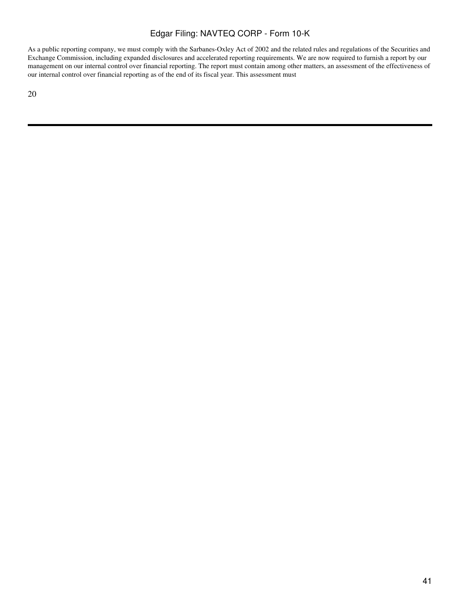As a public reporting company, we must comply with the Sarbanes-Oxley Act of 2002 and the related rules and regulations of the Securities and Exchange Commission, including expanded disclosures and accelerated reporting requirements. We are now required to furnish a report by our management on our internal control over financial reporting. The report must contain among other matters, an assessment of the effectiveness of our internal control over financial reporting as of the end of its fiscal year. This assessment must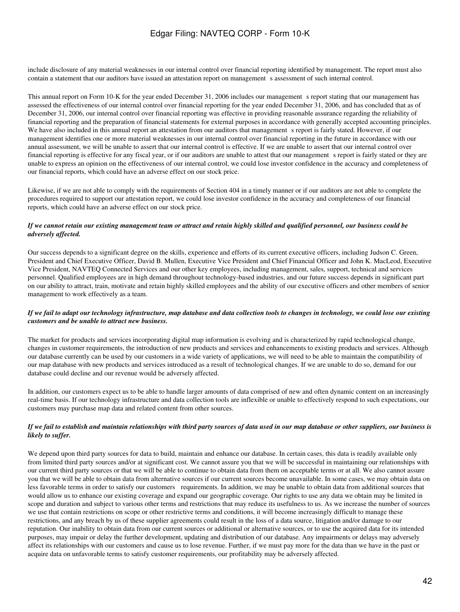include disclosure of any material weaknesses in our internal control over financial reporting identified by management. The report must also contain a statement that our auditors have issued an attestation report on management s assessment of such internal control.

This annual report on Form 10-K for the year ended December 31, 2006 includes our management s report stating that our management has assessed the effectiveness of our internal control over financial reporting for the year ended December 31, 2006, and has concluded that as of December 31, 2006, our internal control over financial reporting was effective in providing reasonable assurance regarding the reliability of financial reporting and the preparation of financial statements for external purposes in accordance with generally accepted accounting principles. We have also included in this annual report an attestation from our auditors that management s report is fairly stated. However, if our management identifies one or more material weaknesses in our internal control over financial reporting in the future in accordance with our annual assessment, we will be unable to assert that our internal control is effective. If we are unable to assert that our internal control over financial reporting is effective for any fiscal year, or if our auditors are unable to attest that our managements report is fairly stated or they are unable to express an opinion on the effectiveness of our internal control, we could lose investor confidence in the accuracy and completeness of our financial reports, which could have an adverse effect on our stock price.

Likewise, if we are not able to comply with the requirements of Section 404 in a timely manner or if our auditors are not able to complete the procedures required to support our attestation report, we could lose investor confidence in the accuracy and completeness of our financial reports, which could have an adverse effect on our stock price.

### *If we cannot retain our existing management team or attract and retain highly skilled and qualified personnel, our business could be adversely affected.*

Our success depends to a significant degree on the skills, experience and efforts of its current executive officers, including Judson C. Green, President and Chief Executive Officer, David B. Mullen, Executive Vice President and Chief Financial Officer and John K. MacLeod, Executive Vice President, NAVTEQ Connected Services and our other key employees, including management, sales, support, technical and services personnel. Qualified employees are in high demand throughout technology-based industries, and our future success depends in significant part on our ability to attract, train, motivate and retain highly skilled employees and the ability of our executive officers and other members of senior management to work effectively as a team.

### *If we fail to adapt our technology infrastructure, map database and data collection tools to changes in technology, we could lose our existing customers and be unable to attract new business.*

The market for products and services incorporating digital map information is evolving and is characterized by rapid technological change, changes in customer requirements, the introduction of new products and services and enhancements to existing products and services. Although our database currently can be used by our customers in a wide variety of applications, we will need to be able to maintain the compatibility of our map database with new products and services introduced as a result of technological changes. If we are unable to do so, demand for our database could decline and our revenue would be adversely affected.

In addition, our customers expect us to be able to handle larger amounts of data comprised of new and often dynamic content on an increasingly real-time basis. If our technology infrastructure and data collection tools are inflexible or unable to effectively respond to such expectations, our customers may purchase map data and related content from other sources.

### *If we fail to establish and maintain relationships with third party sources of data used in our map database or other suppliers, our business is likely to suffer.*

We depend upon third party sources for data to build, maintain and enhance our database. In certain cases, this data is readily available only from limited third party sources and/or at significant cost. We cannot assure you that we will be successful in maintaining our relationships with our current third party sources or that we will be able to continue to obtain data from them on acceptable terms or at all. We also cannot assure you that we will be able to obtain data from alternative sources if our current sources become unavailable. In some cases, we may obtain data on less favorable terms in order to satisfy our customers requirements. In addition, we may be unable to obtain data from additional sources that would allow us to enhance our existing coverage and expand our geographic coverage. Our rights to use any data we obtain may be limited in scope and duration and subject to various other terms and restrictions that may reduce its usefulness to us. As we increase the number of sources we use that contain restrictions on scope or other restrictive terms and conditions, it will become increasingly difficult to manage these restrictions, and any breach by us of these supplier agreements could result in the loss of a data source, litigation and/or damage to our reputation. Our inability to obtain data from our current sources or additional or alternative sources, or to use the acquired data for its intended purposes, may impair or delay the further development, updating and distribution of our database. Any impairments or delays may adversely affect its relationships with our customers and cause us to lose revenue. Further, if we must pay more for the data than we have in the past or acquire data on unfavorable terms to satisfy customer requirements, our profitability may be adversely affected.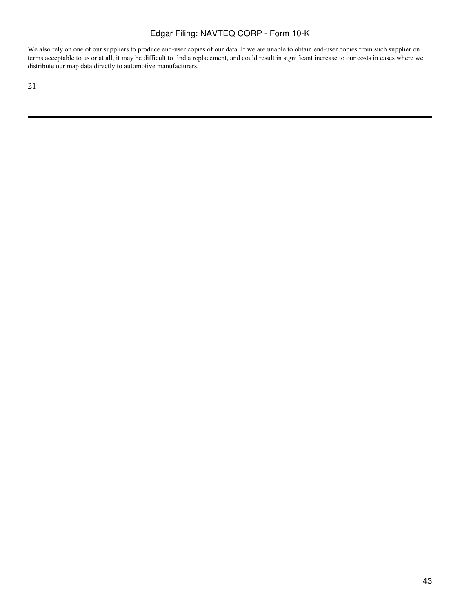We also rely on one of our suppliers to produce end-user copies of our data. If we are unable to obtain end-user copies from such supplier on terms acceptable to us or at all, it may be difficult to find a replacement, and could result in significant increase to our costs in cases where we distribute our map data directly to automotive manufacturers.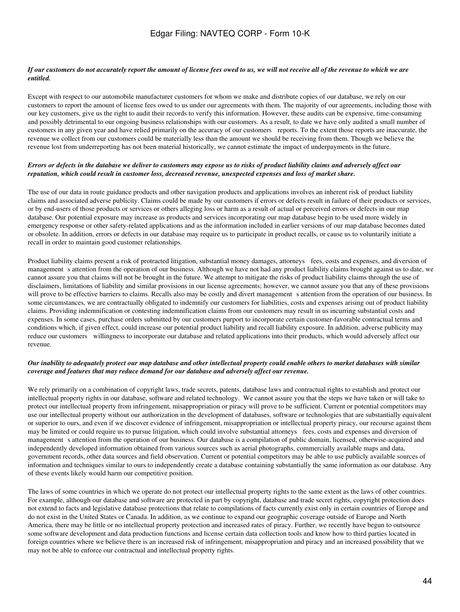### *If our customers do not accurately report the amount of license fees owed to us, we will not receive all of the revenue to which we are entitled.*

Except with respect to our automobile manufacturer customers for whom we make and distribute copies of our database, we rely on our customers to report the amount of license fees owed to us under our agreements with them. The majority of our agreements, including those with our key customers, give us the right to audit their records to verify this information. However, these audits can be expensive, time-consuming and possibly detrimental to our ongoing business relationships with our customers. As a result, to date we have only audited a small number of customers in any given year and have relied primarily on the accuracy of our customers reports. To the extent those reports are inaccurate, the revenue we collect from our customers could be materially less than the amount we should be receiving from them. Though we believe the revenue lost from underreporting has not been material historically, we cannot estimate the impact of underpayments in the future.

### *Errors or defects in the database we deliver to customers may expose us to risks of product liability claims and adversely affect our reputation, which could result in customer loss, decreased revenue, unexpected expenses and loss of market share.*

The use of our data in route guidance products and other navigation products and applications involves an inherent risk of product liability claims and associated adverse publicity. Claims could be made by our customers if errors or defects result in failure of their products or services, or by end-users of those products or services or others alleging loss or harm as a result of actual or perceived errors or defects in our map database. Our potential exposure may increase as products and services incorporating our map database begin to be used more widely in emergency response or other safety-related applications and as the information included in earlier versions of our map database becomes dated or obsolete. In addition, errors or defects in our database may require us to participate in product recalls, or cause us to voluntarily initiate a recall in order to maintain good customer relationships.

Product liability claims present a risk of protracted litigation, substantial money damages, attorneys fees, costs and expenses, and diversion of management s attention from the operation of our business. Although we have not had any product liability claims brought against us to date, we cannot assure you that claims will not be brought in the future. We attempt to mitigate the risks of product liability claims through the use of disclaimers, limitations of liability and similar provisions in our license agreements; however, we cannot assure you that any of these provisions will prove to be effective barriers to claims. Recalls also may be costly and divert management s attention from the operation of our business. In some circumstances, we are contractually obligated to indemnify our customers for liabilities, costs and expenses arising out of product liability claims. Providing indemnification or contesting indemnification claims from our customers may result in us incurring substantial costs and expenses. In some cases, purchase orders submitted by our customers purport to incorporate certain customer-favorable contractual terms and conditions which, if given effect, could increase our potential product liability and recall liability exposure. In addition, adverse publicity may reduce our customers willingness to incorporate our database and related applications into their products, which would adversely affect our revenue.

### *Our inability to adequately protect our map database and other intellectual property could enable others to market databases with similar coverage and features that may reduce demand for our database and adversely affect our revenue.*

We rely primarily on a combination of copyright laws, trade secrets, patents, database laws and contractual rights to establish and protect our intellectual property rights in our database, software and related technology. We cannot assure you that the steps we have taken or will take to protect our intellectual property from infringement, misappropriation or piracy will prove to be sufficient. Current or potential competitors may use our intellectual property without our authorization in the development of databases, software or technologies that are substantially equivalent or superior to ours, and even if we discover evidence of infringement, misappropriation or intellectual property piracy, our recourse against them may be limited or could require us to pursue litigation, which could involve substantial attorneys fees, costs and expenses and diversion of management s attention from the operation of our business. Our database is a compilation of public domain, licensed, otherwise-acquired and independently developed information obtained from various sources such as aerial photographs, commercially available maps and data, government records, other data sources and field observation. Current or potential competitors may be able to use publicly available sources of information and techniques similar to ours to independently create a database containing substantially the same information as our database. Any of these events likely would harm our competitive position.

The laws of some countries in which we operate do not protect our intellectual property rights to the same extent as the laws of other countries. For example, although our database and software are protected in part by copyright, database and trade secret rights, copyright protection does not extend to facts and legislative database protections that relate to compilations of facts currently exist only in certain countries of Europe and do not exist in the United States or Canada. In addition, as we continue to expand our geographic coverage outside of Europe and North America, there may be little or no intellectual property protection and increased rates of piracy. Further, we recently have begun to outsource some software development and data production functions and license certain data collection tools and know how to third parties located in foreign countries where we believe there is an increased risk of infringement, misappropriation and piracy and an increased possibility that we may not be able to enforce our contractual and intellectual property rights.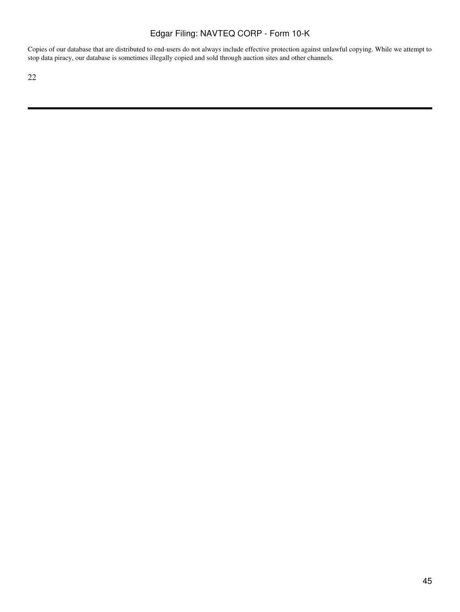Copies of our database that are distributed to end-users do not always include effective protection against unlawful copying. While we attempt to stop data piracy, our database is sometimes illegally copied and sold through auction sites and other channels.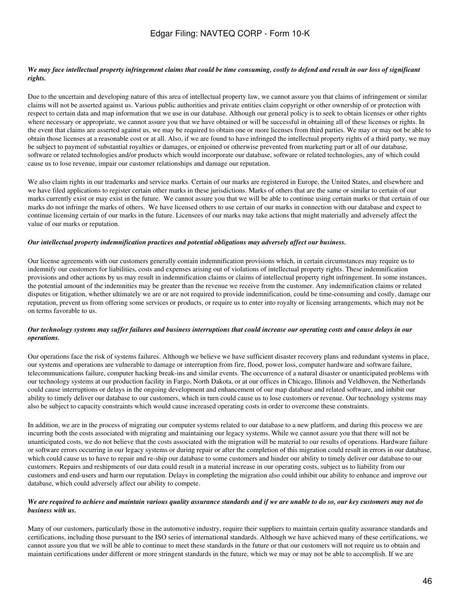### *We may face intellectual property infringement claims that could be time consuming, costly to defend and result in our loss of significant rights.*

Due to the uncertain and developing nature of this area of intellectual property law, we cannot assure you that claims of infringement or similar claims will not be asserted against us. Various public authorities and private entities claim copyright or other ownership of or protection with respect to certain data and map information that we use in our database. Although our general policy is to seek to obtain licenses or other rights where necessary or appropriate, we cannot assure you that we have obtained or will be successful in obtaining all of these licenses or rights. In the event that claims are asserted against us, we may be required to obtain one or more licenses from third parties. We may or may not be able to obtain those licenses at a reasonable cost or at all. Also, if we are found to have infringed the intellectual property rights of a third party, we may be subject to payment of substantial royalties or damages, or enjoined or otherwise prevented from marketing part or all of our database, software or related technologies and/or products which would incorporate our database, software or related technologies, any of which could cause us to lose revenue, impair our customer relationships and damage our reputation.

We also claim rights in our trademarks and service marks. Certain of our marks are registered in Europe, the United States, and elsewhere and we have filed applications to register certain other marks in these jurisdictions. Marks of others that are the same or similar to certain of our marks currently exist or may exist in the future. We cannot assure you that we will be able to continue using certain marks or that certain of our marks do not infringe the marks of others. We have licensed others to use certain of our marks in connection with our database and expect to continue licensing certain of our marks in the future. Licensees of our marks may take actions that might materially and adversely affect the value of our marks or reputation.

#### *Our intellectual property indemnification practices and potential obligations may adversely affect our business.*

Our license agreements with our customers generally contain indemnification provisions which, in certain circumstances may require us to indemnify our customers for liabilities, costs and expenses arising out of violations of intellectual property rights. These indemnification provisions and other actions by us may result in indemnification claims or claims of intellectual property right infringement. In some instances, the potential amount of the indemnities may be greater than the revenue we receive from the customer. Any indemnification claims or related disputes or litigation, whether ultimately we are or are not required to provide indemnification, could be time-consuming and costly, damage our reputation, prevent us from offering some services or products, or require us to enter into royalty or licensing arrangements, which may not be on terms favorable to us.

### *Our technology systems may suffer failures and business interruptions that could increase our operating costs and cause delays in our operations.*

Our operations face the risk of systems failures. Although we believe we have sufficient disaster recovery plans and redundant systems in place, our systems and operations are vulnerable to damage or interruption from fire, flood, power loss, computer hardware and software failure, telecommunications failure, computer hacking break-ins and similar events. The occurrence of a natural disaster or unanticipated problems with our technology systems at our production facility in Fargo, North Dakota, or at our offices in Chicago, Illinois and Veldhoven, the Netherlands could cause interruptions or delays in the ongoing development and enhancement of our map database and related software, and inhibit our ability to timely deliver our database to our customers, which in turn could cause us to lose customers or revenue. Our technology systems may also be subject to capacity constraints which would cause increased operating costs in order to overcome these constraints.

In addition, we are in the process of migrating our computer systems related to our database to a new platform, and during this process we are incurring both the costs associated with migrating and maintaining our legacy systems. While we cannot assure you that there will not be unanticipated costs, we do not believe that the costs associated with the migration will be material to our results of operations. Hardware failure or software errors occurring in our legacy systems or during repair or after the completion of this migration could result in errors in our database, which could cause us to have to repair and re-ship our database to some customers and hinder our ability to timely deliver our database to our customers. Repairs and reshipments of our data could result in a material increase in our operating costs, subject us to liability from our customers and end-users and harm our reputation. Delays in completing the migration also could inhibit our ability to enhance and improve our database, which could adversely affect our ability to compete.

### *We are required to achieve and maintain various quality assurance standards and if we are unable to do so, our key customers may not do business with us.*

Many of our customers, particularly those in the automotive industry, require their suppliers to maintain certain quality assurance standards and certifications, including those pursuant to the ISO series of international standards. Although we have achieved many of these certifications, we cannot assure you that we will be able to continue to meet these standards in the future or that our customers will not require us to obtain and maintain certifications under different or more stringent standards in the future, which we may or may not be able to accomplish. If we are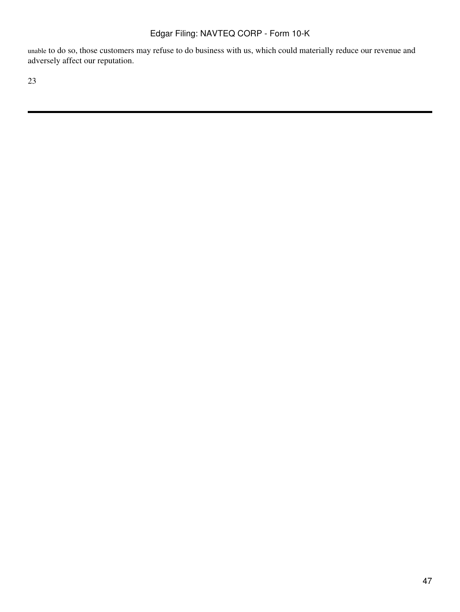unable to do so, those customers may refuse to do business with us, which could materially reduce our revenue and adversely affect our reputation.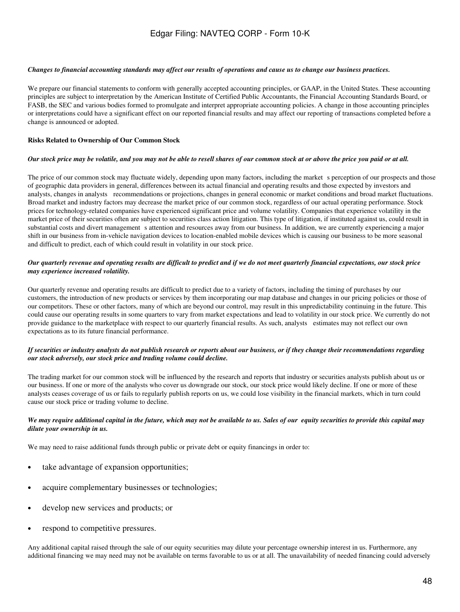#### *Changes to financial accounting standards may affect our results of operations and cause us to change our business practices.*

We prepare our financial statements to conform with generally accepted accounting principles, or GAAP, in the United States. These accounting principles are subject to interpretation by the American Institute of Certified Public Accountants, the Financial Accounting Standards Board, or FASB, the SEC and various bodies formed to promulgate and interpret appropriate accounting policies. A change in those accounting principles or interpretations could have a significant effect on our reported financial results and may affect our reporting of transactions completed before a change is announced or adopted.

#### **Risks Related to Ownership of Our Common Stock**

#### *Our stock price may be volatile, and you may not be able to resell shares of our common stock at or above the price you paid or at all.*

The price of our common stock may fluctuate widely, depending upon many factors, including the market s perception of our prospects and those of geographic data providers in general, differences between its actual financial and operating results and those expected by investors and analysts, changes in analysts recommendations or projections, changes in general economic or market conditions and broad market fluctuations. Broad market and industry factors may decrease the market price of our common stock, regardless of our actual operating performance. Stock prices for technology-related companies have experienced significant price and volume volatility. Companies that experience volatility in the market price of their securities often are subject to securities class action litigation. This type of litigation, if instituted against us, could result in substantial costs and divert management s attention and resources away from our business. In addition, we are currently experiencing a major shift in our business from in-vehicle navigation devices to location-enabled mobile devices which is causing our business to be more seasonal and difficult to predict, each of which could result in volatility in our stock price.

### *Our quarterly revenue and operating results are difficult to predict and if we do not meet quarterly financial expectations, our stock price may experience increased volatility.*

Our quarterly revenue and operating results are difficult to predict due to a variety of factors, including the timing of purchases by our customers, the introduction of new products or services by them incorporating our map database and changes in our pricing policies or those of our competitors. These or other factors, many of which are beyond our control, may result in this unpredictability continuing in the future. This could cause our operating results in some quarters to vary from market expectations and lead to volatility in our stock price. We currently do not provide guidance to the marketplace with respect to our quarterly financial results. As such, analysts estimates may not reflect our own expectations as to its future financial performance.

#### *If securities or industry analysts do not publish research or reports about our business, or if they change their recommendations regarding our stock adversely, our stock price and trading volume could decline.*

The trading market for our common stock will be influenced by the research and reports that industry or securities analysts publish about us or our business. If one or more of the analysts who cover us downgrade our stock, our stock price would likely decline. If one or more of these analysts ceases coverage of us or fails to regularly publish reports on us, we could lose visibility in the financial markets, which in turn could cause our stock price or trading volume to decline.

### *We may require additional capital in the future, which may not be available to us. Sales of our equity securities to provide this capital may dilute your ownership in us.*

We may need to raise additional funds through public or private debt or equity financings in order to:

- take advantage of expansion opportunities;
- acquire complementary businesses or technologies;
- develop new services and products; or
- respond to competitive pressures.

Any additional capital raised through the sale of our equity securities may dilute your percentage ownership interest in us. Furthermore, any additional financing we may need may not be available on terms favorable to us or at all. The unavailability of needed financing could adversely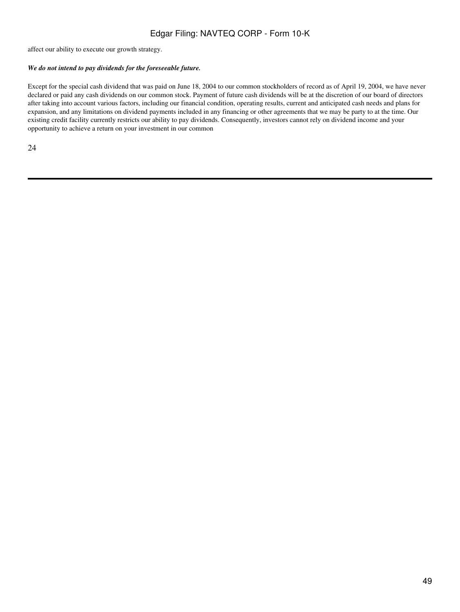affect our ability to execute our growth strategy.

## *We do not intend to pay dividends for the foreseeable future.*

Except for the special cash dividend that was paid on June 18, 2004 to our common stockholders of record as of April 19, 2004, we have never declared or paid any cash dividends on our common stock. Payment of future cash dividends will be at the discretion of our board of directors after taking into account various factors, including our financial condition, operating results, current and anticipated cash needs and plans for expansion, and any limitations on dividend payments included in any financing or other agreements that we may be party to at the time. Our existing credit facility currently restricts our ability to pay dividends. Consequently, investors cannot rely on dividend income and your opportunity to achieve a return on your investment in our common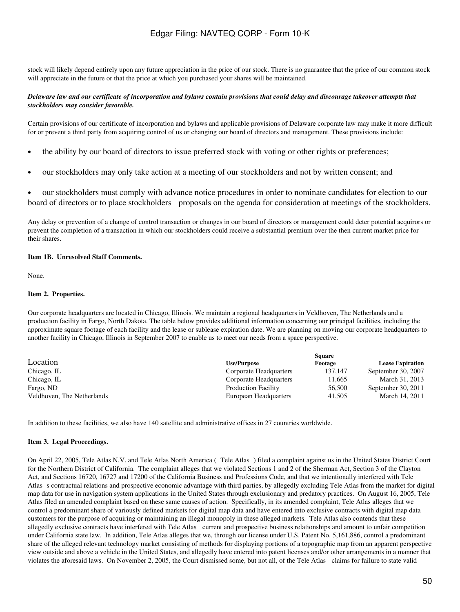stock will likely depend entirely upon any future appreciation in the price of our stock. There is no guarantee that the price of our common stock will appreciate in the future or that the price at which you purchased your shares will be maintained.

### *Delaware law and our certificate of incorporation and bylaws contain provisions that could delay and discourage takeover attempts that stockholders may consider favorable.*

Certain provisions of our certificate of incorporation and bylaws and applicable provisions of Delaware corporate law may make it more difficult for or prevent a third party from acquiring control of us or changing our board of directors and management. These provisions include:

- the ability by our board of directors to issue preferred stock with voting or other rights or preferences;
- our stockholders may only take action at a meeting of our stockholders and not by written consent; and

• our stockholders must comply with advance notice procedures in order to nominate candidates for election to our board of directors or to place stockholders proposals on the agenda for consideration at meetings of the stockholders.

Any delay or prevention of a change of control transaction or changes in our board of directors or management could deter potential acquirors or prevent the completion of a transaction in which our stockholders could receive a substantial premium over the then current market price for their shares.

### **Item 1B. Unresolved Staff Comments.**

None.

### **Item 2. Properties.**

Our corporate headquarters are located in Chicago, Illinois. We maintain a regional headquarters in Veldhoven, The Netherlands and a production facility in Fargo, North Dakota. The table below provides additional information concerning our principal facilities, including the approximate square footage of each facility and the lease or sublease expiration date. We are planning on moving our corporate headquarters to another facility in Chicago, Illinois in September 2007 to enable us to meet our needs from a space perspective.

|                            | <b>Square</b>              |         |                         |  |  |
|----------------------------|----------------------------|---------|-------------------------|--|--|
| Location                   | <b>Use/Purpose</b>         | Footage | <b>Lease Expiration</b> |  |  |
| Chicago, IL                | Corporate Headquarters     | 137.147 | September 30, 2007      |  |  |
| Chicago, IL                | Corporate Headquarters     | 11.665  | March 31, 2013          |  |  |
| Fargo, ND                  | <b>Production Facility</b> | 56,500  | September 30, 2011      |  |  |
| Veldhoven, The Netherlands | European Headquarters      | 41.505  | March 14, 2011          |  |  |

In addition to these facilities, we also have 140 satellite and administrative offices in 27 countries worldwide.

### **Item 3. Legal Proceedings.**

On April 22, 2005, Tele Atlas N.V. and Tele Atlas North America (Tele Atlas) filed a complaint against us in the United States District Court for the Northern District of California. The complaint alleges that we violated Sections 1 and 2 of the Sherman Act, Section 3 of the Clayton Act, and Sections 16720, 16727 and 17200 of the California Business and Professions Code, and that we intentionally interfered with Tele Atlass contractual relations and prospective economic advantage with third parties, by allegedly excluding Tele Atlas from the market for digital map data for use in navigation system applications in the United States through exclusionary and predatory practices. On August 16, 2005, Tele Atlas filed an amended complaint based on these same causes of action. Specifically, in its amended complaint, Tele Atlas alleges that we control a predominant share of variously defined markets for digital map data and have entered into exclusive contracts with digital map data customers for the purpose of acquiring or maintaining an illegal monopoly in these alleged markets. Tele Atlas also contends that these allegedly exclusive contracts have interfered with Tele Atlas current and prospective business relationships and amount to unfair competition under California state law. In addition, Tele Atlas alleges that we, through our license under U.S. Patent No. 5,161,886, control a predominant share of the alleged relevant technology market consisting of methods for displaying portions of a topographic map from an apparent perspective view outside and above a vehicle in the United States, and allegedly have entered into patent licenses and/or other arrangements in a manner that violates the aforesaid laws. On November 2, 2005, the Court dismissed some, but not all, of the Tele Atlas claims for failure to state valid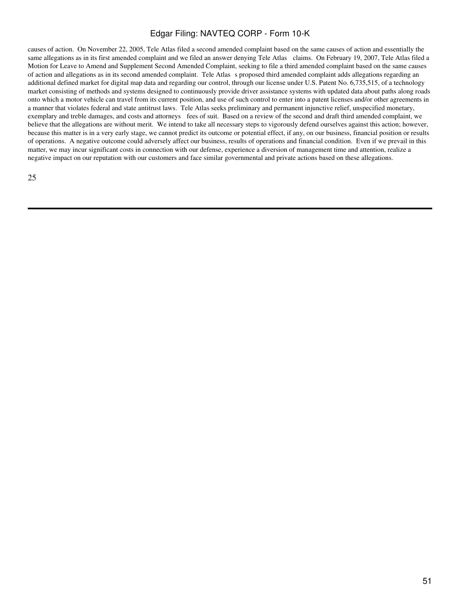causes of action. On November 22, 2005, Tele Atlas filed a second amended complaint based on the same causes of action and essentially the same allegations as in its first amended complaint and we filed an answer denying Tele Atlas claims. On February 19, 2007, Tele Atlas filed a Motion for Leave to Amend and Supplement Second Amended Complaint, seeking to file a third amended complaint based on the same causes of action and allegations as in its second amended complaint. Tele Atlass proposed third amended complaint adds allegations regarding an additional defined market for digital map data and regarding our control, through our license under U.S. Patent No. 6,735,515, of a technology market consisting of methods and systems designed to continuously provide driver assistance systems with updated data about paths along roads onto which a motor vehicle can travel from its current position, and use of such control to enter into a patent licenses and/or other agreements in a manner that violates federal and state antitrust laws. Tele Atlas seeks preliminary and permanent injunctive relief, unspecified monetary, exemplary and treble damages, and costs and attorneys fees of suit. Based on a review of the second and draft third amended complaint, we believe that the allegations are without merit. We intend to take all necessary steps to vigorously defend ourselves against this action; however, because this matter is in a very early stage, we cannot predict its outcome or potential effect, if any, on our business, financial position or results of operations. A negative outcome could adversely affect our business, results of operations and financial condition. Even if we prevail in this matter, we may incur significant costs in connection with our defense, experience a diversion of management time and attention, realize a negative impact on our reputation with our customers and face similar governmental and private actions based on these allegations.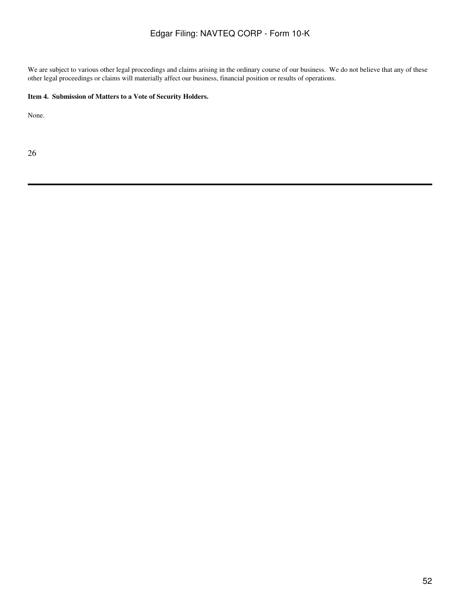We are subject to various other legal proceedings and claims arising in the ordinary course of our business. We do not believe that any of these other legal proceedings or claims will materially affect our business, financial position or results of operations.

## **Item 4. Submission of Matters to a Vote of Security Holders.**

None.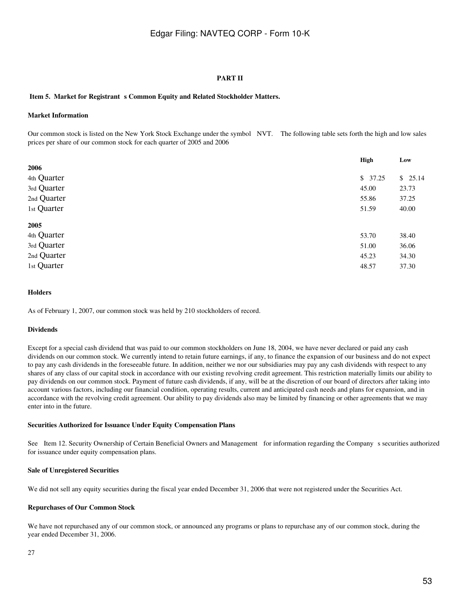### **PART II**

### Item 5. Market for Registrant s Common Equity and Related Stockholder Matters.

#### **Market Information**

Our common stock is listed on the New York Stock Exchange under the symbol NVT. The following table sets forth the high and low sales prices per share of our common stock for each quarter of 2005 and 2006

|             | <b>High</b> | Low     |
|-------------|-------------|---------|
| 2006        |             |         |
| 4th Quarter | \$37.25     | \$25.14 |
| 3rd Quarter | 45.00       | 23.73   |
| 2nd Quarter | 55.86       | 37.25   |
| 1st Quarter | 51.59       | 40.00   |
| 2005        |             |         |
| 4th Quarter | 53.70       | 38.40   |
| 3rd Quarter | 51.00       | 36.06   |
| 2nd Quarter | 45.23       | 34.30   |
| 1st Quarter | 48.57       | 37.30   |

### **Holders**

As of February 1, 2007, our common stock was held by 210 stockholders of record.

#### **Dividends**

Except for a special cash dividend that was paid to our common stockholders on June 18, 2004, we have never declared or paid any cash dividends on our common stock. We currently intend to retain future earnings, if any, to finance the expansion of our business and do not expect to pay any cash dividends in the foreseeable future. In addition, neither we nor our subsidiaries may pay any cash dividends with respect to any shares of any class of our capital stock in accordance with our existing revolving credit agreement. This restriction materially limits our ability to pay dividends on our common stock. Payment of future cash dividends, if any, will be at the discretion of our board of directors after taking into account various factors, including our financial condition, operating results, current and anticipated cash needs and plans for expansion, and in accordance with the revolving credit agreement. Our ability to pay dividends also may be limited by financing or other agreements that we may enter into in the future.

#### **Securities Authorized for Issuance Under Equity Compensation Plans**

See Item 12. Security Ownership of Certain Beneficial Owners and Management for information regarding the Company s securities authorized for issuance under equity compensation plans.

#### **Sale of Unregistered Securities**

We did not sell any equity securities during the fiscal year ended December 31, 2006 that were not registered under the Securities Act.

#### **Repurchases of Our Common Stock**

We have not repurchased any of our common stock, or announced any programs or plans to repurchase any of our common stock, during the year ended December 31, 2006.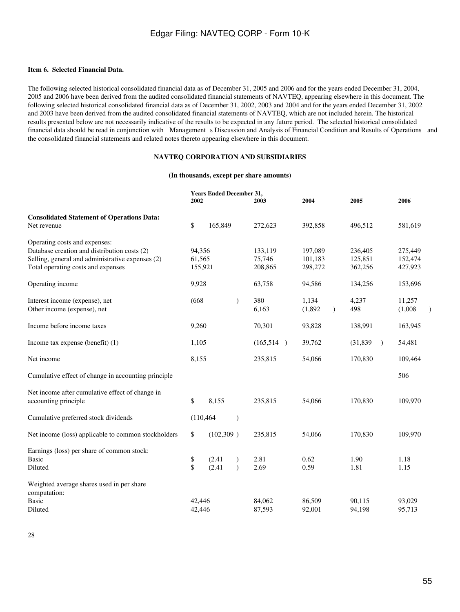### **Item 6. Selected Financial Data.**

The following selected historical consolidated financial data as of December 31, 2005 and 2006 and for the years ended December 31, 2004, 2005 and 2006 have been derived from the audited consolidated financial statements of NAVTEQ, appearing elsewhere in this document. The following selected historical consolidated financial data as of December 31, 2002, 2003 and 2004 and for the years ended December 31, 2002 and 2003 have been derived from the audited consolidated financial statements of NAVTEQ, which are not included herein. The historical results presented below are not necessarily indicative of the results to be expected in any future period. The selected historical consolidated financial data should be read in conjunction with Management s Discussion and Analysis of Financial Condition and Results of Operations and the consolidated financial statements and related notes thereto appearing elsewhere in this document.

## **NAVTEQ CORPORATION AND SUBSIDIARIES**

#### **(In thousands, except per share amounts)**

|                                                           | 2002   | <b>Years Ended December 31,</b> |           | 2003      | 2004    |           | 2005      |           | 2006    |  |
|-----------------------------------------------------------|--------|---------------------------------|-----------|-----------|---------|-----------|-----------|-----------|---------|--|
| <b>Consolidated Statement of Operations Data:</b>         |        |                                 |           |           |         |           |           |           |         |  |
| Net revenue                                               | \$     | 165,849                         |           | 272,623   | 392,858 |           | 496,512   |           | 581,619 |  |
| Operating costs and expenses:                             |        |                                 |           |           |         |           |           |           |         |  |
| Database creation and distribution costs (2)              | 94,356 |                                 |           | 133,119   | 197,089 |           | 236,405   |           | 275,449 |  |
| Selling, general and administrative expenses (2)          | 61,565 |                                 |           | 75,746    | 101,183 |           | 125.851   |           | 152,474 |  |
| Total operating costs and expenses                        |        | 155,921                         |           | 208,865   | 298,272 |           | 362,256   |           | 427,923 |  |
| Operating income                                          | 9,928  |                                 |           | 63,758    | 94,586  |           | 134,256   |           | 153,696 |  |
| Interest income (expense), net                            | (668)  |                                 | $\lambda$ | 380       | 1,134   |           | 4,237     |           | 11,257  |  |
| Other income (expense), net                               |        |                                 |           | 6,163     | (1,892) | $\lambda$ | 498       |           | (1,008) |  |
| Income before income taxes                                | 9,260  |                                 |           | 70,301    | 93,828  |           | 138,991   |           | 163,945 |  |
| Income tax expense (benefit) (1)                          | 1,105  |                                 |           | (165,514) | 39,762  |           | (31, 839) | $\lambda$ | 54,481  |  |
| Net income                                                | 8,155  |                                 |           | 235,815   | 54,066  |           | 170,830   |           | 109,464 |  |
| Cumulative effect of change in accounting principle       |        |                                 |           |           |         |           |           |           | 506     |  |
| Net income after cumulative effect of change in           |        |                                 |           |           |         |           |           |           |         |  |
| accounting principle                                      | \$     | 8,155                           |           | 235,815   | 54,066  |           | 170,830   |           | 109,970 |  |
| Cumulative preferred stock dividends                      |        | (110, 464)                      | $\lambda$ |           |         |           |           |           |         |  |
| Net income (loss) applicable to common stockholders       | \$     | (102,309)                       |           | 235,815   | 54,066  |           | 170,830   |           | 109,970 |  |
| Earnings (loss) per share of common stock:                |        |                                 |           |           |         |           |           |           |         |  |
| <b>Basic</b>                                              | \$     | (2.41)                          | $\lambda$ | 2.81      | 0.62    |           | 1.90      |           | 1.18    |  |
| Diluted                                                   | \$     | (2.41)                          | $\lambda$ | 2.69      | 0.59    |           | 1.81      |           | 1.15    |  |
| Weighted average shares used in per share<br>computation: |        |                                 |           |           |         |           |           |           |         |  |
| <b>Basic</b>                                              | 42,446 |                                 |           | 84,062    | 86,509  |           | 90,115    |           | 93,029  |  |
| Diluted                                                   | 42,446 |                                 |           | 87,593    | 92,001  |           | 94,198    |           | 95,713  |  |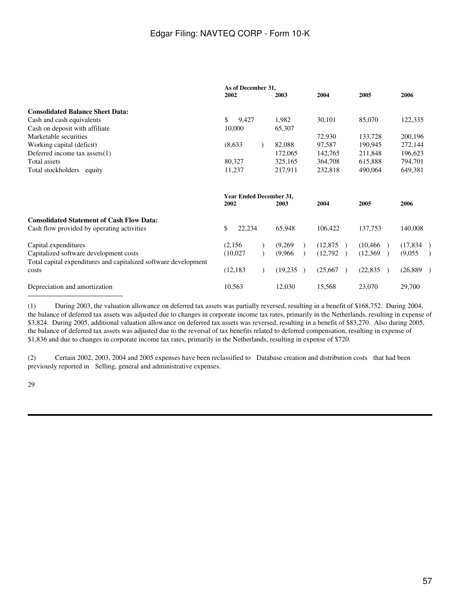|                                                                 | As of December 31,             |          |                            |           |          |
|-----------------------------------------------------------------|--------------------------------|----------|----------------------------|-----------|----------|
|                                                                 | 2002                           | 2003     | 2004                       | 2005      | 2006     |
| <b>Consolidated Balance Sheet Data:</b>                         |                                |          |                            |           |          |
| Cash and cash equivalents                                       | \$<br>9,427                    | 1,982    | 30,101                     | 85,070    | 122,335  |
| Cash on deposit with affiliate                                  | 10,000                         | 65,307   |                            |           |          |
| Marketable securities                                           |                                |          | 72,930                     | 133,728   | 200,196  |
| Working capital (deficit)                                       | (8,633)                        | 82,088   | 97,587                     | 190,945   | 272,144  |
| Deferred income tax assets(1)                                   |                                | 172,065  | 142,765                    | 211,848   | 196,623  |
| Total assets                                                    | 80,327                         | 325,165  | 364,708                    | 615,888   | 794,701  |
| Total stockholders equity                                       | 11,237                         | 217,911  | 232,818                    | 490,064   | 649,381  |
|                                                                 | <b>Year Ended December 31,</b> |          |                            |           |          |
|                                                                 | 2002                           | 2003     | 2004                       | 2005      | 2006     |
| <b>Consolidated Statement of Cash Flow Data:</b>                |                                |          |                            |           |          |
| Cash flow provided by operating activities                      | \$<br>22,234                   | 65,948   | 106,422                    | 137,753   | 140,008  |
| Capital expenditures                                            | (2,156)                        | (9,269)  | (12, 875)<br>$\rightarrow$ | (10, 466) | (17,834) |
| Capitalized software development costs                          | (10,027)                       | (9,966)  | (12,792)                   | (12,369)  | (9,055)  |
| Total capital expenditures and capitalized software development |                                |          |                            |           |          |
| costs                                                           | (12, 183)                      | (19,235) | (25,667)                   | (22, 835) | (26,889) |
| Depreciation and amortization                                   | 10,563                         | 12,030   | 15,568                     | 23,070    | 29,700   |

(1) During 2003, the valuation allowance on deferred tax assets was partially reversed, resulting in a benefit of \$168,752. During 2004, the balance of deferred tax assets was adjusted due to changes in corporate income tax rates, primarily in the Netherlands, resulting in expense of \$3,824. During 2005, additional valuation allowance on deferred tax assets was reversed, resulting in a benefit of \$83,270. Also during 2005, the balance of deferred tax assets was adjusted due to the reversal of tax benefits related to deferred compensation, resulting in expense of \$1,836 and due to changes in corporate income tax rates, primarily in the Netherlands, resulting in expense of \$720.

(2) Certain 2002, 2003, 2004 and 2005 expenses have been reclassified to Database creation and distribution costs that had been previously reported in Selling, general and administrative expenses.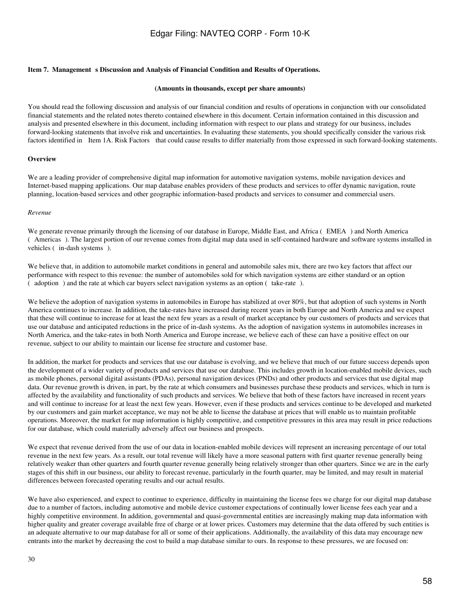#### Item 7. Management s Discussion and Analysis of Financial Condition and Results of Operations.

#### **(Amounts in thousands, except per share amounts)**

You should read the following discussion and analysis of our financial condition and results of operations in conjunction with our consolidated financial statements and the related notes thereto contained elsewhere in this document. Certain information contained in this discussion and analysis and presented elsewhere in this document, including information with respect to our plans and strategy for our business, includes forward-looking statements that involve risk and uncertainties. In evaluating these statements, you should specifically consider the various risk factors identified in Item 1A. Risk Factors that could cause results to differ materially from those expressed in such forward-looking statements.

#### **Overview**

We are a leading provider of comprehensive digital map information for automotive navigation systems, mobile navigation devices and Internet-based mapping applications. Our map database enables providers of these products and services to offer dynamic navigation, route planning, location-based services and other geographic information-based products and services to consumer and commercial users.

#### *Revenue*

We generate revenue primarily through the licensing of our database in Europe, Middle East, and Africa (EMEA) and North America (Americas). The largest portion of our revenue comes from digital map data used in self-contained hardware and software systems installed in vehicles (in-dash systems).

We believe that, in addition to automobile market conditions in general and automobile sales mix, there are two key factors that affect our performance with respect to this revenue: the number of automobiles sold for which navigation systems are either standard or an option (adoption) and the rate at which car buyers select navigation systems as an option (take-rate).

We believe the adoption of navigation systems in automobiles in Europe has stabilized at over 80%, but that adoption of such systems in North America continues to increase. In addition, the take-rates have increased during recent years in both Europe and North America and we expect that these will continue to increase for at least the next few years as a result of market acceptance by our customers of products and services that use our database and anticipated reductions in the price of in-dash systems. As the adoption of navigation systems in automobiles increases in North America, and the take-rates in both North America and Europe increase, we believe each of these can have a positive effect on our revenue, subject to our ability to maintain our license fee structure and customer base.

In addition, the market for products and services that use our database is evolving, and we believe that much of our future success depends upon the development of a wider variety of products and services that use our database. This includes growth in location-enabled mobile devices, such as mobile phones, personal digital assistants (PDAs), personal navigation devices (PNDs) and other products and services that use digital map data. Our revenue growth is driven, in part, by the rate at which consumers and businesses purchase these products and services, which in turn is affected by the availability and functionality of such products and services. We believe that both of these factors have increased in recent years and will continue to increase for at least the next few years. However, even if these products and services continue to be developed and marketed by our customers and gain market acceptance, we may not be able to license the database at prices that will enable us to maintain profitable operations. Moreover, the market for map information is highly competitive, and competitive pressures in this area may result in price reductions for our database, which could materially adversely affect our business and prospects.

We expect that revenue derived from the use of our data in location-enabled mobile devices will represent an increasing percentage of our total revenue in the next few years. As a result, our total revenue will likely have a more seasonal pattern with first quarter revenue generally being relatively weaker than other quarters and fourth quarter revenue generally being relatively stronger than other quarters. Since we are in the early stages of this shift in our business, our ability to forecast revenue, particularly in the fourth quarter, may be limited, and may result in material differences between forecasted operating results and our actual results.

We have also experienced, and expect to continue to experience, difficulty in maintaining the license fees we charge for our digital map database due to a number of factors, including automotive and mobile device customer expectations of continually lower license fees each year and a highly competitive environment. In addition, governmental and quasi-governmental entities are increasingly making map data information with higher quality and greater coverage available free of charge or at lower prices. Customers may determine that the data offered by such entities is an adequate alternative to our map database for all or some of their applications. Additionally, the availability of this data may encourage new entrants into the market by decreasing the cost to build a map database similar to ours. In response to these pressures, we are focused on: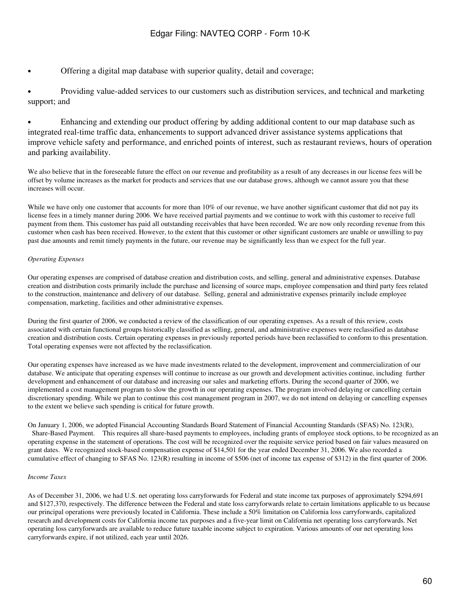• Offering a digital map database with superior quality, detail and coverage;

• Providing value-added services to our customers such as distribution services, and technical and marketing support; and

• Enhancing and extending our product offering by adding additional content to our map database such as integrated real-time traffic data, enhancements to support advanced driver assistance systems applications that improve vehicle safety and performance, and enriched points of interest, such as restaurant reviews, hours of operation and parking availability.

We also believe that in the foreseeable future the effect on our revenue and profitability as a result of any decreases in our license fees will be offset by volume increases as the market for products and services that use our database grows, although we cannot assure you that these increases will occur.

While we have only one customer that accounts for more than 10% of our revenue, we have another significant customer that did not pay its license fees in a timely manner during 2006. We have received partial payments and we continue to work with this customer to receive full payment from them. This customer has paid all outstanding receivables that have been recorded. We are now only recording revenue from this customer when cash has been received. However, to the extent that this customer or other significant customers are unable or unwilling to pay past due amounts and remit timely payments in the future, our revenue may be significantly less than we expect for the full year.

## *Operating Expenses*

Our operating expenses are comprised of database creation and distribution costs, and selling, general and administrative expenses. Database creation and distribution costs primarily include the purchase and licensing of source maps, employee compensation and third party fees related to the construction, maintenance and delivery of our database. Selling, general and administrative expenses primarily include employee compensation, marketing, facilities and other administrative expenses.

During the first quarter of 2006, we conducted a review of the classification of our operating expenses. As a result of this review, costs associated with certain functional groups historically classified as selling, general, and administrative expenses were reclassified as database creation and distribution costs. Certain operating expenses in previously reported periods have been reclassified to conform to this presentation. Total operating expenses were not affected by the reclassification.

Our operating expenses have increased as we have made investments related to the development, improvement and commercialization of our database. We anticipate that operating expenses will continue to increase as our growth and development activities continue, including further development and enhancement of our database and increasing our sales and marketing efforts. During the second quarter of 2006, we implemented a cost management program to slow the growth in our operating expenses. The program involved delaying or cancelling certain discretionary spending. While we plan to continue this cost management program in 2007, we do not intend on delaying or cancelling expenses to the extent we believe such spending is critical for future growth.

On January 1, 2006, we adopted Financial Accounting Standards Board Statement of Financial Accounting Standards (SFAS) No. 123(R), Share-Based Payment. This requires all share-based payments to employees, including grants of employee stock options, to be recognized as an operating expense in the statement of operations. The cost will be recognized over the requisite service period based on fair values measured on grant dates. We recognized stock-based compensation expense of \$14,501 for the year ended December 31, 2006. We also recorded a cumulative effect of changing to SFAS No. 123(R) resulting in income of \$506 (net of income tax expense of \$312) in the first quarter of 2006.

## *Income Taxes*

As of December 31, 2006, we had U.S. net operating loss carryforwards for Federal and state income tax purposes of approximately \$294,691 and \$127,370, respectively. The difference between the Federal and state loss carryforwards relate to certain limitations applicable to us because our principal operations were previously located in California. These include a 50% limitation on California loss carryforwards, capitalized research and development costs for California income tax purposes and a five-year limit on California net operating loss carryforwards. Net operating loss carryforwards are available to reduce future taxable income subject to expiration. Various amounts of our net operating loss carryforwards expire, if not utilized, each year until 2026.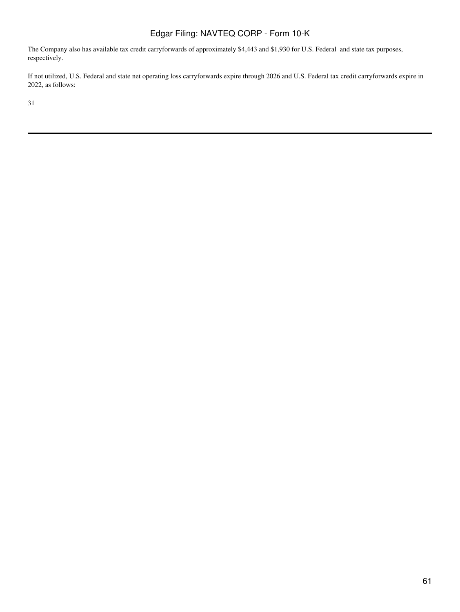The Company also has available tax credit carryforwards of approximately \$4,443 and \$1,930 for U.S. Federal and state tax purposes, respectively.

If not utilized, U.S. Federal and state net operating loss carryforwards expire through 2026 and U.S. Federal tax credit carryforwards expire in 2022, as follows: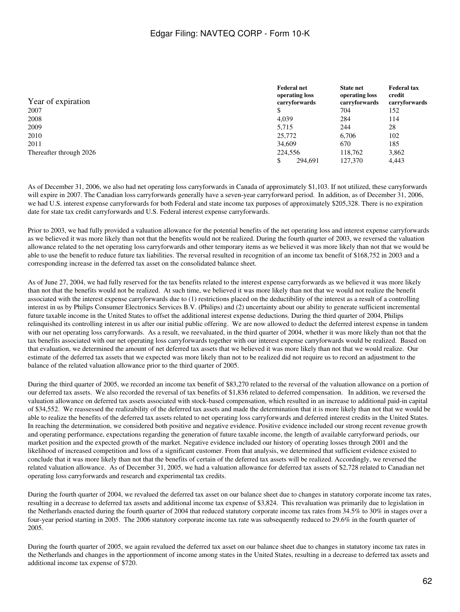| Year of expiration      | <b>Federal net</b><br>operating loss<br>carryforwards | <b>State net</b><br>operating loss<br>carryforwards | <b>Federal tax</b><br>credit<br>carryforwards |
|-------------------------|-------------------------------------------------------|-----------------------------------------------------|-----------------------------------------------|
| 2007                    |                                                       | 704                                                 | 152                                           |
| 2008                    | 4.039                                                 | 284                                                 | 114                                           |
| 2009                    | 5.715                                                 | 244                                                 | 28                                            |
| 2010                    | 25,772                                                | 6.706                                               | 102                                           |
| 2011                    | 34,609                                                | 670                                                 | 185                                           |
| Thereafter through 2026 | 224,556                                               | 118,762                                             | 3,862                                         |
|                         | 294.691                                               | 127,370                                             | 4.443                                         |

As of December 31, 2006, we also had net operating loss carryforwards in Canada of approximately \$1,103. If not utilized, these carryforwards will expire in 2007. The Canadian loss carryforwards generally have a seven-year carryforward period. In addition, as of December 31, 2006, we had U.S. interest expense carryforwards for both Federal and state income tax purposes of approximately \$205,328. There is no expiration date for state tax credit carryforwards and U.S. Federal interest expense carryforwards.

Prior to 2003, we had fully provided a valuation allowance for the potential benefits of the net operating loss and interest expense carryforwards as we believed it was more likely than not that the benefits would not be realized. During the fourth quarter of 2003, we reversed the valuation allowance related to the net operating loss carryforwards and other temporary items as we believed it was more likely than not that we would be able to use the benefit to reduce future tax liabilities. The reversal resulted in recognition of an income tax benefit of \$168,752 in 2003 and a corresponding increase in the deferred tax asset on the consolidated balance sheet.

As of June 27, 2004, we had fully reserved for the tax benefits related to the interest expense carryforwards as we believed it was more likely than not that the benefits would not be realized. At such time, we believed it was more likely than not that we would not realize the benefit associated with the interest expense carryforwards due to (1) restrictions placed on the deductibility of the interest as a result of a controlling interest in us by Philips Consumer Electronics Services B.V. (Philips) and (2) uncertainty about our ability to generate sufficient incremental future taxable income in the United States to offset the additional interest expense deductions. During the third quarter of 2004, Philips relinquished its controlling interest in us after our initial public offering. We are now allowed to deduct the deferred interest expense in tandem with our net operating loss carryforwards. As a result, we reevaluated, in the third quarter of 2004, whether it was more likely than not that the tax benefits associated with our net operating loss carryforwards together with our interest expense carryforwards would be realized. Based on that evaluation, we determined the amount of net deferred tax assets that we believed it was more likely than not that we would realize. Our estimate of the deferred tax assets that we expected was more likely than not to be realized did not require us to record an adjustment to the balance of the related valuation allowance prior to the third quarter of 2005.

During the third quarter of 2005, we recorded an income tax benefit of \$83,270 related to the reversal of the valuation allowance on a portion of our deferred tax assets. We also recorded the reversal of tax benefits of \$1,836 related to deferred compensation. In addition, we reversed the valuation allowance on deferred tax assets associated with stock-based compensation, which resulted in an increase to additional paid-in capital of \$34,552. We reassessed the realizability of the deferred tax assets and made the determination that it is more likely than not that we would be able to realize the benefits of the deferred tax assets related to net operating loss carryforwards and deferred interest credits in the United States. In reaching the determination, we considered both positive and negative evidence. Positive evidence included our strong recent revenue growth and operating performance, expectations regarding the generation of future taxable income, the length of available carryforward periods, our market position and the expected growth of the market. Negative evidence included our history of operating losses through 2001 and the likelihood of increased competition and loss of a significant customer. From that analysis, we determined that sufficient evidence existed to conclude that it was more likely than not that the benefits of certain of the deferred tax assets will be realized. Accordingly, we reversed the related valuation allowance. As of December 31, 2005, we had a valuation allowance for deferred tax assets of \$2,728 related to Canadian net operating loss carryforwards and research and experimental tax credits.

During the fourth quarter of 2004, we revalued the deferred tax asset on our balance sheet due to changes in statutory corporate income tax rates, resulting in a decrease to deferred tax assets and additional income tax expense of \$3,824. This revaluation was primarily due to legislation in the Netherlands enacted during the fourth quarter of 2004 that reduced statutory corporate income tax rates from 34.5% to 30% in stages over a four-year period starting in 2005. The 2006 statutory corporate income tax rate was subsequently reduced to 29.6% in the fourth quarter of 2005.

During the fourth quarter of 2005, we again revalued the deferred tax asset on our balance sheet due to changes in statutory income tax rates in the Netherlands and changes in the apportionment of income among states in the United States, resulting in a decrease to deferred tax assets and additional income tax expense of \$720.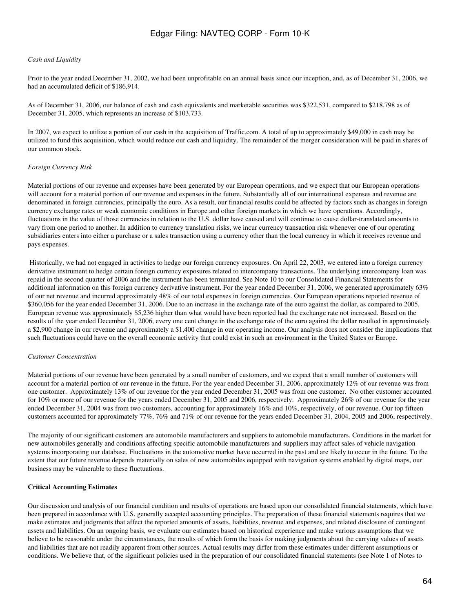#### *Cash and Liquidity*

Prior to the year ended December 31, 2002, we had been unprofitable on an annual basis since our inception, and, as of December 31, 2006, we had an accumulated deficit of \$186,914.

As of December 31, 2006, our balance of cash and cash equivalents and marketable securities was \$322,531, compared to \$218,798 as of December 31, 2005, which represents an increase of \$103,733.

In 2007, we expect to utilize a portion of our cash in the acquisition of Traffic.com. A total of up to approximately \$49,000 in cash may be utilized to fund this acquisition, which would reduce our cash and liquidity. The remainder of the merger consideration will be paid in shares of our common stock.

#### *Foreign Currency Risk*

Material portions of our revenue and expenses have been generated by our European operations, and we expect that our European operations will account for a material portion of our revenue and expenses in the future. Substantially all of our international expenses and revenue are denominated in foreign currencies, principally the euro. As a result, our financial results could be affected by factors such as changes in foreign currency exchange rates or weak economic conditions in Europe and other foreign markets in which we have operations. Accordingly, fluctuations in the value of those currencies in relation to the U.S. dollar have caused and will continue to cause dollar-translated amounts to vary from one period to another. In addition to currency translation risks, we incur currency transaction risk whenever one of our operating subsidiaries enters into either a purchase or a sales transaction using a currency other than the local currency in which it receives revenue and pays expenses.

 Historically, we had not engaged in activities to hedge our foreign currency exposures. On April 22, 2003, we entered into a foreign currency derivative instrument to hedge certain foreign currency exposures related to intercompany transactions. The underlying intercompany loan was repaid in the second quarter of 2006 and the instrument has been terminated. See Note 10 to our Consolidated Financial Statements for additional information on this foreign currency derivative instrument. For the year ended December 31, 2006, we generated approximately 63% of our net revenue and incurred approximately 48% of our total expenses in foreign currencies. Our European operations reported revenue of \$360,056 for the year ended December 31, 2006. Due to an increase in the exchange rate of the euro against the dollar, as compared to 2005, European revenue was approximately \$5,236 higher than what would have been reported had the exchange rate not increased. Based on the results of the year ended December 31, 2006, every one cent change in the exchange rate of the euro against the dollar resulted in approximately a \$2,900 change in our revenue and approximately a \$1,400 change in our operating income. Our analysis does not consider the implications that such fluctuations could have on the overall economic activity that could exist in such an environment in the United States or Europe.

#### *Customer Concentration*

Material portions of our revenue have been generated by a small number of customers, and we expect that a small number of customers will account for a material portion of our revenue in the future. For the year ended December 31, 2006, approximately 12% of our revenue was from one customer. Approximately 13% of our revenue for the year ended December 31, 2005 was from one customer. No other customer accounted for 10% or more of our revenue for the years ended December 31, 2005 and 2006, respectively. Approximately 26% of our revenue for the year ended December 31, 2004 was from two customers, accounting for approximately 16% and 10%, respectively, of our revenue. Our top fifteen customers accounted for approximately 77%, 76% and 71% of our revenue for the years ended December 31, 2004, 2005 and 2006, respectively.

The majority of our significant customers are automobile manufacturers and suppliers to automobile manufacturers. Conditions in the market for new automobiles generally and conditions affecting specific automobile manufacturers and suppliers may affect sales of vehicle navigation systems incorporating our database. Fluctuations in the automotive market have occurred in the past and are likely to occur in the future. To the extent that our future revenue depends materially on sales of new automobiles equipped with navigation systems enabled by digital maps, our business may be vulnerable to these fluctuations.

### **Critical Accounting Estimates**

Our discussion and analysis of our financial condition and results of operations are based upon our consolidated financial statements, which have been prepared in accordance with U.S. generally accepted accounting principles. The preparation of these financial statements requires that we make estimates and judgments that affect the reported amounts of assets, liabilities, revenue and expenses, and related disclosure of contingent assets and liabilities. On an ongoing basis, we evaluate our estimates based on historical experience and make various assumptions that we believe to be reasonable under the circumstances, the results of which form the basis for making judgments about the carrying values of assets and liabilities that are not readily apparent from other sources. Actual results may differ from these estimates under different assumptions or conditions. We believe that, of the significant policies used in the preparation of our consolidated financial statements (see Note 1 of Notes to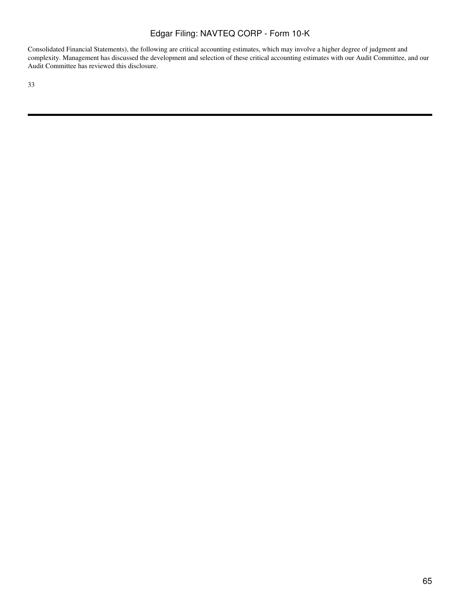Consolidated Financial Statements), the following are critical accounting estimates, which may involve a higher degree of judgment and complexity. Management has discussed the development and selection of these critical accounting estimates with our Audit Committee, and our Audit Committee has reviewed this disclosure.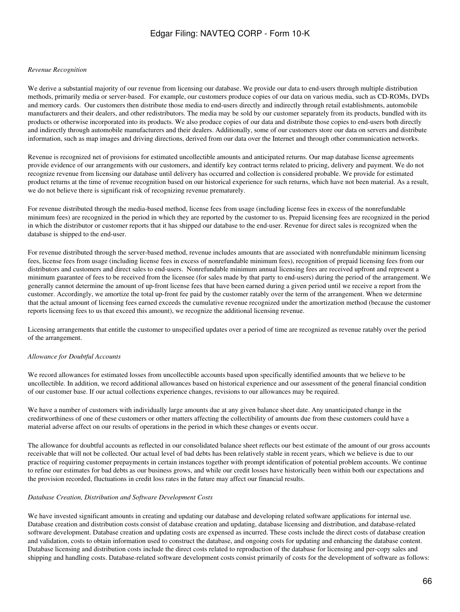#### *Revenue Recognition*

We derive a substantial majority of our revenue from licensing our database. We provide our data to end-users through multiple distribution methods, primarily media or server-based. For example, our customers produce copies of our data on various media, such as CD-ROMs, DVDs and memory cards. Our customers then distribute those media to end-users directly and indirectly through retail establishments, automobile manufacturers and their dealers, and other redistributors. The media may be sold by our customer separately from its products, bundled with its products or otherwise incorporated into its products. We also produce copies of our data and distribute those copies to end-users both directly and indirectly through automobile manufacturers and their dealers. Additionally, some of our customers store our data on servers and distribute information, such as map images and driving directions, derived from our data over the Internet and through other communication networks.

Revenue is recognized net of provisions for estimated uncollectible amounts and anticipated returns. Our map database license agreements provide evidence of our arrangements with our customers, and identify key contract terms related to pricing, delivery and payment. We do not recognize revenue from licensing our database until delivery has occurred and collection is considered probable. We provide for estimated product returns at the time of revenue recognition based on our historical experience for such returns, which have not been material. As a result, we do not believe there is significant risk of recognizing revenue prematurely.

For revenue distributed through the media-based method, license fees from usage (including license fees in excess of the nonrefundable minimum fees) are recognized in the period in which they are reported by the customer to us. Prepaid licensing fees are recognized in the period in which the distributor or customer reports that it has shipped our database to the end-user. Revenue for direct sales is recognized when the database is shipped to the end-user.

For revenue distributed through the server-based method, revenue includes amounts that are associated with nonrefundable minimum licensing fees, license fees from usage (including license fees in excess of nonrefundable minimum fees), recognition of prepaid licensing fees from our distributors and customers and direct sales to end-users. Nonrefundable minimum annual licensing fees are received upfront and represent a minimum guarantee of fees to be received from the licensee (for sales made by that party to end-users) during the period of the arrangement. We generally cannot determine the amount of up-front license fees that have been earned during a given period until we receive a report from the customer. Accordingly, we amortize the total up-front fee paid by the customer ratably over the term of the arrangement. When we determine that the actual amount of licensing fees earned exceeds the cumulative revenue recognized under the amortization method (because the customer reports licensing fees to us that exceed this amount), we recognize the additional licensing revenue.

Licensing arrangements that entitle the customer to unspecified updates over a period of time are recognized as revenue ratably over the period of the arrangement.

#### *Allowance for Doubtful Accounts*

We record allowances for estimated losses from uncollectible accounts based upon specifically identified amounts that we believe to be uncollectible. In addition, we record additional allowances based on historical experience and our assessment of the general financial condition of our customer base. If our actual collections experience changes, revisions to our allowances may be required.

We have a number of customers with individually large amounts due at any given balance sheet date. Any unanticipated change in the creditworthiness of one of these customers or other matters affecting the collectibility of amounts due from these customers could have a material adverse affect on our results of operations in the period in which these changes or events occur.

The allowance for doubtful accounts as reflected in our consolidated balance sheet reflects our best estimate of the amount of our gross accounts receivable that will not be collected. Our actual level of bad debts has been relatively stable in recent years, which we believe is due to our practice of requiring customer prepayments in certain instances together with prompt identification of potential problem accounts. We continue to refine our estimates for bad debts as our business grows, and while our credit losses have historically been within both our expectations and the provision recorded, fluctuations in credit loss rates in the future may affect our financial results.

#### *Database Creation, Distribution and Software Development Costs*

We have invested significant amounts in creating and updating our database and developing related software applications for internal use. Database creation and distribution costs consist of database creation and updating, database licensing and distribution, and database-related software development. Database creation and updating costs are expensed as incurred. These costs include the direct costs of database creation and validation, costs to obtain information used to construct the database, and ongoing costs for updating and enhancing the database content. Database licensing and distribution costs include the direct costs related to reproduction of the database for licensing and per-copy sales and shipping and handling costs. Database-related software development costs consist primarily of costs for the development of software as follows: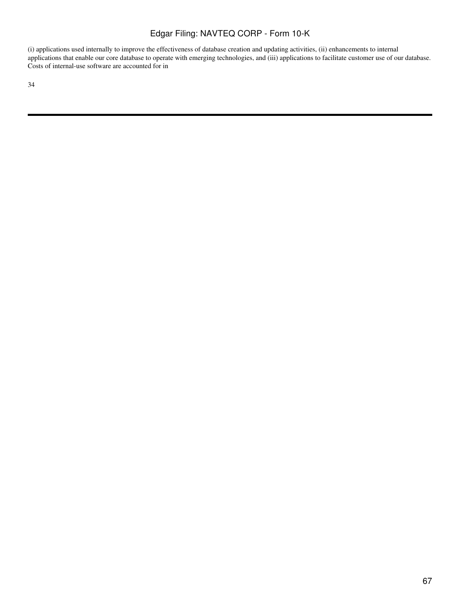(i) applications used internally to improve the effectiveness of database creation and updating activities, (ii) enhancements to internal applications that enable our core database to operate with emerging technologies, and (iii) applications to facilitate customer use of our database. Costs of internal-use software are accounted for in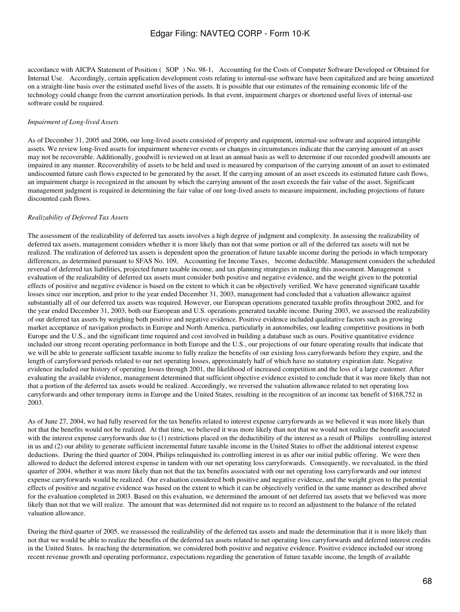accordance with AICPA Statement of Position (SOP) No. 98-1, Accounting for the Costs of Computer Software Developed or Obtained for Internal Use. Accordingly, certain application development costs relating to internal-use software have been capitalized and are being amortized on a straight-line basis over the estimated useful lives of the assets. It is possible that our estimates of the remaining economic life of the technology could change from the current amortization periods. In that event, impairment charges or shortened useful lives of internal-use software could be required.

#### *Impairment of Long-lived Assets*

As of December 31, 2005 and 2006, our long-lived assets consisted of property and equipment, internal-use software and acquired intangible assets. We review long-lived assets for impairment whenever events or changes in circumstances indicate that the carrying amount of an asset may not be recoverable. Additionally, goodwill is reviewed on at least an annual basis as well to determine if our recorded goodwill amounts are impaired in any manner. Recoverability of assets to be held and used is measured by comparison of the carrying amount of an asset to estimated undiscounted future cash flows expected to be generated by the asset. If the carrying amount of an asset exceeds its estimated future cash flows, an impairment charge is recognized in the amount by which the carrying amount of the asset exceeds the fair value of the asset. Significant management judgment is required in determining the fair value of our long-lived assets to measure impairment, including projections of future discounted cash flows.

#### *Realizability of Deferred Tax Assets*

The assessment of the realizability of deferred tax assets involves a high degree of judgment and complexity. In assessing the realizability of deferred tax assets, management considers whether it is more likely than not that some portion or all of the deferred tax assets will not be realized. The realization of deferred tax assets is dependent upon the generation of future taxable income during the periods in which temporary differences, as determined pursuant to SFAS No. 109, Accounting for Income Taxes, become deductible. Management considers the scheduled reversal of deferred tax liabilities, projected future taxable income, and tax planning strategies in making this assessment. Managements evaluation of the realizability of deferred tax assets must consider both positive and negative evidence, and the weight given to the potential effects of positive and negative evidence is based on the extent to which it can be objectively verified. We have generated significant taxable losses since our inception, and prior to the year ended December 31, 2003, management had concluded that a valuation allowance against substantially all of our deferred tax assets was required. However, our European operations generated taxable profits throughout 2002, and for the year ended December 31, 2003, both our European and U.S. operations generated taxable income. During 2003, we assessed the realizability of our deferred tax assets by weighing both positive and negative evidence. Positive evidence included qualitative factors such as growing market acceptance of navigation products in Europe and North America, particularly in automobiles, our leading competitive positions in both Europe and the U.S., and the significant time required and cost involved in building a database such as ours. Positive quantitative evidence included our strong recent operating performance in both Europe and the U.S., our projections of our future operating results that indicate that we will be able to generate sufficient taxable income to fully realize the benefits of our existing loss carryforwards before they expire, and the length of carryforward periods related to our net operating losses, approximately half of which have no statutory expiration date. Negative evidence included our history of operating losses through 2001, the likelihood of increased competition and the loss of a large customer. After evaluating the available evidence, management determined that sufficient objective evidence existed to conclude that it was more likely than not that a portion of the deferred tax assets would be realized. Accordingly, we reversed the valuation allowance related to net operating loss carryforwards and other temporary items in Europe and the United States, resulting in the recognition of an income tax benefit of \$168,752 in 2003.

As of June 27, 2004, we had fully reserved for the tax benefits related to interest expense carryforwards as we believed it was more likely than not that the benefits would not be realized. At that time, we believed it was more likely than not that we would not realize the benefit associated with the interest expense carryforwards due to (1) restrictions placed on the deductibility of the interest as a result of Philips controlling interest in us and (2) our ability to generate sufficient incremental future taxable income in the United States to offset the additional interest expense deductions. During the third quarter of 2004, Philips relinquished its controlling interest in us after our initial public offering. We were then allowed to deduct the deferred interest expense in tandem with our net operating loss carryforwards. Consequently, we reevaluated, in the third quarter of 2004, whether it was more likely than not that the tax benefits associated with our net operating loss carryforwards and our interest expense carryforwards would be realized. Our evaluation considered both positive and negative evidence, and the weight given to the potential effects of positive and negative evidence was based on the extent to which it can be objectively verified in the same manner as described above for the evaluation completed in 2003. Based on this evaluation, we determined the amount of net deferred tax assets that we believed was more likely than not that we will realize. The amount that was determined did not require us to record an adjustment to the balance of the related valuation allowance.

During the third quarter of 2005, we reassessed the realizability of the deferred tax assets and made the determination that it is more likely than not that we would be able to realize the benefits of the deferred tax assets related to net operating loss carryforwards and deferred interest credits in the United States. In reaching the determination, we considered both positive and negative evidence. Positive evidence included our strong recent revenue growth and operating performance, expectations regarding the generation of future taxable income, the length of available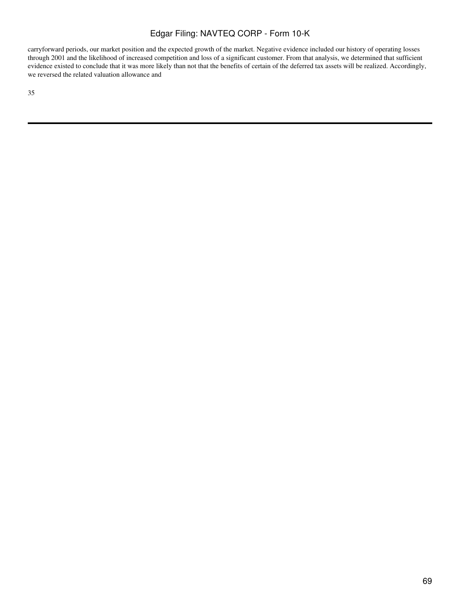carryforward periods, our market position and the expected growth of the market. Negative evidence included our history of operating losses through 2001 and the likelihood of increased competition and loss of a significant customer. From that analysis, we determined that sufficient evidence existed to conclude that it was more likely than not that the benefits of certain of the deferred tax assets will be realized. Accordingly, we reversed the related valuation allowance and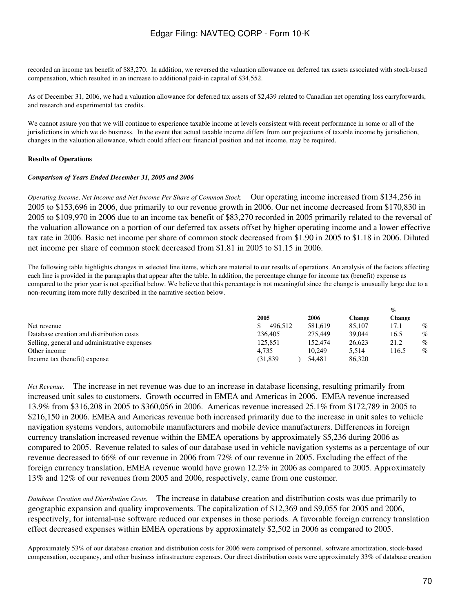recorded an income tax benefit of \$83,270. In addition, we reversed the valuation allowance on deferred tax assets associated with stock-based compensation, which resulted in an increase to additional paid-in capital of \$34,552.

As of December 31, 2006, we had a valuation allowance for deferred tax assets of \$2,439 related to Canadian net operating loss carryforwards, and research and experimental tax credits.

We cannot assure you that we will continue to experience taxable income at levels consistent with recent performance in some or all of the jurisdictions in which we do business. In the event that actual taxable income differs from our projections of taxable income by jurisdiction, changes in the valuation allowance, which could affect our financial position and net income, may be required.

## **Results of Operations**

### *Comparison of Years Ended December 31, 2005 and 2006*

*Operating Income, Net Income and Net Income Per Share of Common Stock.* Our operating income increased from \$134,256 in 2005 to \$153,696 in 2006, due primarily to our revenue growth in 2006. Our net income decreased from \$170,830 in 2005 to \$109,970 in 2006 due to an income tax benefit of \$83,270 recorded in 2005 primarily related to the reversal of the valuation allowance on a portion of our deferred tax assets offset by higher operating income and a lower effective tax rate in 2006. Basic net income per share of common stock decreased from \$1.90 in 2005 to \$1.18 in 2006. Diluted net income per share of common stock decreased from \$1.81 in 2005 to \$1.15 in 2006.

The following table highlights changes in selected line items, which are material to our results of operations. An analysis of the factors affecting each line is provided in the paragraphs that appear after the table. In addition, the percentage change for income tax (benefit) expense as compared to the prior year is not specified below. We believe that this percentage is not meaningful since the change is unusually large due to a non-recurring item more fully described in the narrative section below.

| 2005     | 2006    | <b>Change</b> | <b>Change</b> |      |
|----------|---------|---------------|---------------|------|
| 496.512  | 581,619 | 85,107        | 17.1          | %    |
| 236,405  | 275,449 | 39,044        | 16.5          | %    |
| 125.851  | 152,474 | 26.623        | 21.2          | $\%$ |
| 4.735    | 10.249  | 5.514         | 116.5         | $\%$ |
| (31,839) | 54.481  | 86,320        |               |      |
|          |         |               |               | $\%$ |

*Net Revenue.* The increase in net revenue was due to an increase in database licensing, resulting primarily from increased unit sales to customers. Growth occurred in EMEA and Americas in 2006. EMEA revenue increased 13.9% from \$316,208 in 2005 to \$360,056 in 2006. Americas revenue increased 25.1% from \$172,789 in 2005 to \$216,150 in 2006. EMEA and Americas revenue both increased primarily due to the increase in unit sales to vehicle navigation systems vendors, automobile manufacturers and mobile device manufacturers. Differences in foreign currency translation increased revenue within the EMEA operations by approximately \$5,236 during 2006 as compared to 2005. Revenue related to sales of our database used in vehicle navigation systems as a percentage of our revenue decreased to 66% of our revenue in 2006 from 72% of our revenue in 2005. Excluding the effect of the foreign currency translation, EMEA revenue would have grown 12.2% in 2006 as compared to 2005. Approximately 13% and 12% of our revenues from 2005 and 2006, respectively, came from one customer.

*Database Creation and Distribution Costs.* The increase in database creation and distribution costs was due primarily to geographic expansion and quality improvements. The capitalization of \$12,369 and \$9,055 for 2005 and 2006, respectively, for internal-use software reduced our expenses in those periods. A favorable foreign currency translation effect decreased expenses within EMEA operations by approximately \$2,502 in 2006 as compared to 2005.

Approximately 53% of our database creation and distribution costs for 2006 were comprised of personnel, software amortization, stock-based compensation, occupancy, and other business infrastructure expenses. Our direct distribution costs were approximately 33% of database creation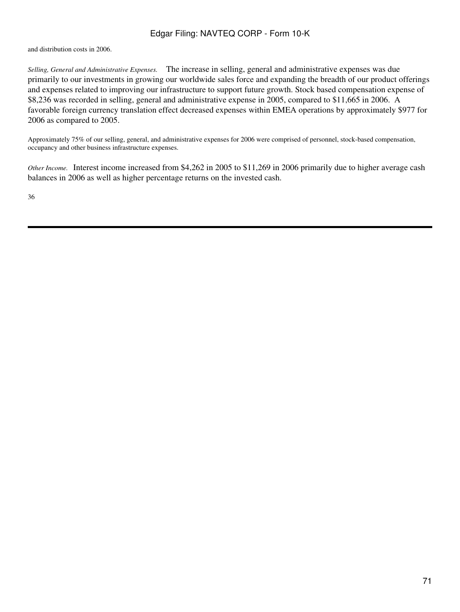and distribution costs in 2006.

*Selling, General and Administrative Expenses.* The increase in selling, general and administrative expenses was due primarily to our investments in growing our worldwide sales force and expanding the breadth of our product offerings and expenses related to improving our infrastructure to support future growth. Stock based compensation expense of \$8,236 was recorded in selling, general and administrative expense in 2005, compared to \$11,665 in 2006. A favorable foreign currency translation effect decreased expenses within EMEA operations by approximately \$977 for 2006 as compared to 2005.

Approximately 75% of our selling, general, and administrative expenses for 2006 were comprised of personnel, stock-based compensation, occupancy and other business infrastructure expenses.

*Other Income.* Interest income increased from \$4,262 in 2005 to \$11,269 in 2006 primarily due to higher average cash balances in 2006 as well as higher percentage returns on the invested cash.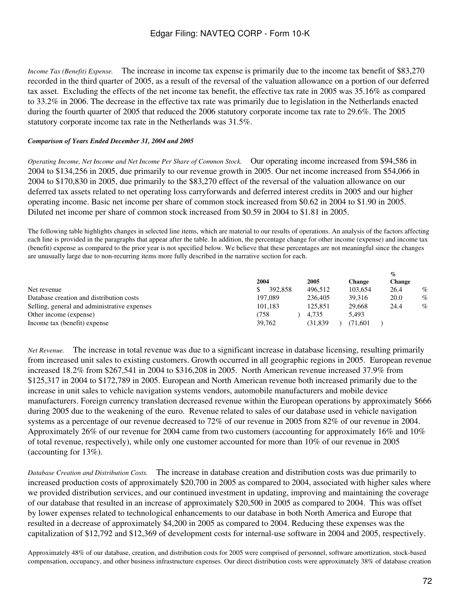*Income Tax (Benefit) Expense.* The increase in income tax expense is primarily due to the income tax benefit of \$83,270 recorded in the third quarter of 2005, as a result of the reversal of the valuation allowance on a portion of our deferred tax asset. Excluding the effects of the net income tax benefit, the effective tax rate in 2005 was 35.16% as compared to 33.2% in 2006. The decrease in the effective tax rate was primarily due to legislation in the Netherlands enacted during the fourth quarter of 2005 that reduced the 2006 statutory corporate income tax rate to 29.6%. The 2005 statutory corporate income tax rate in the Netherlands was 31.5%.

## *Comparison of Years Ended December 31, 2004 and 2005*

*Operating Income, Net Income and Net Income Per Share of Common Stock.* Our operating income increased from \$94,586 in 2004 to \$134,256 in 2005, due primarily to our revenue growth in 2005. Our net income increased from \$54,066 in 2004 to \$170,830 in 2005, due primarily to the \$83,270 effect of the reversal of the valuation allowance on our deferred tax assets related to net operating loss carryforwards and deferred interest credits in 2005 and our higher operating income. Basic net income per share of common stock increased from \$0.62 in 2004 to \$1.90 in 2005. Diluted net income per share of common stock increased from \$0.59 in 2004 to \$1.81 in 2005.

The following table highlights changes in selected line items, which are material to our results of operations. An analysis of the factors affecting each line is provided in the paragraphs that appear after the table. In addition, the percentage change for other income (expense) and income tax (benefit) expense as compared to the prior year is not specified below. We believe that these percentages are not meaningful since the changes are unusually large due to non-recurring items more fully described in the narrative section for each.

|                                              |         |         |         | $\%$          |
|----------------------------------------------|---------|---------|---------|---------------|
|                                              | 2004    | 2005    | Change  | <b>Change</b> |
| Net revenue                                  | 392,858 | 496.512 | 103.654 | $\%$<br>26.4  |
| Database creation and distribution costs     | 197,089 | 236,405 | 39.316  | $\%$<br>20.0  |
| Selling, general and administrative expenses | 101.183 | 125.851 | 29,668  | $\%$<br>24.4  |
| Other income (expense)                       | (758    | 4.735   | 5.493   |               |
| Income tax (benefit) expense                 | 39.762  | (31.839 | (71.601 |               |

*Net Revenue.* The increase in total revenue was due to a significant increase in database licensing, resulting primarily from increased unit sales to existing customers. Growth occurred in all geographic regions in 2005. European revenue increased 18.2% from \$267,541 in 2004 to \$316,208 in 2005. North American revenue increased 37.9% from \$125,317 in 2004 to \$172,789 in 2005. European and North American revenue both increased primarily due to the increase in unit sales to vehicle navigation systems vendors, automobile manufacturers and mobile device manufacturers. Foreign currency translation decreased revenue within the European operations by approximately \$666 during 2005 due to the weakening of the euro. Revenue related to sales of our database used in vehicle navigation systems as a percentage of our revenue decreased to 72% of our revenue in 2005 from 82% of our revenue in 2004. Approximately 26% of our revenue for 2004 came from two customers (accounting for approximately 16% and 10% of total revenue, respectively), while only one customer accounted for more than 10% of our revenue in 2005 (accounting for 13%).

*Database Creation and Distribution Costs.* The increase in database creation and distribution costs was due primarily to increased production costs of approximately \$20,700 in 2005 as compared to 2004, associated with higher sales where we provided distribution services, and our continued investment in updating, improving and maintaining the coverage of our database that resulted in an increase of approximately \$20,500 in 2005 as compared to 2004. This was offset by lower expenses related to technological enhancements to our database in both North America and Europe that resulted in a decrease of approximately \$4,200 in 2005 as compared to 2004. Reducing these expenses was the capitalization of \$12,792 and \$12,369 of development costs for internal-use software in 2004 and 2005, respectively.

Approximately 48% of our database, creation, and distribution costs for 2005 were comprised of personnel, software amortization, stock-based compensation, occupancy, and other business infrastructure expenses. Our direct distribution costs were approximately 38% of database creation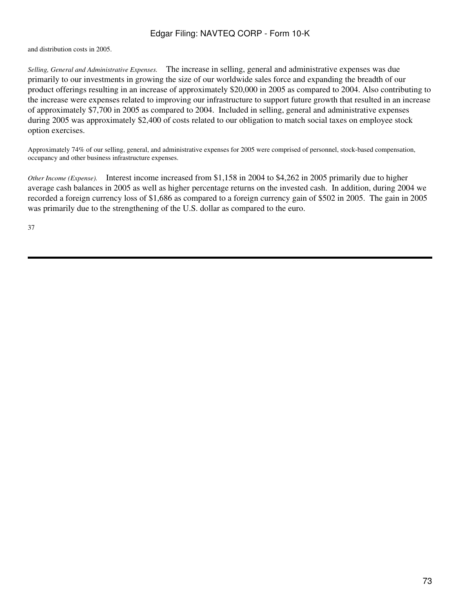and distribution costs in 2005.

*Selling, General and Administrative Expenses.* The increase in selling, general and administrative expenses was due primarily to our investments in growing the size of our worldwide sales force and expanding the breadth of our product offerings resulting in an increase of approximately \$20,000 in 2005 as compared to 2004. Also contributing to the increase were expenses related to improving our infrastructure to support future growth that resulted in an increase of approximately \$7,700 in 2005 as compared to 2004. Included in selling, general and administrative expenses during 2005 was approximately \$2,400 of costs related to our obligation to match social taxes on employee stock option exercises.

Approximately 74% of our selling, general, and administrative expenses for 2005 were comprised of personnel, stock-based compensation, occupancy and other business infrastructure expenses.

*Other Income (Expense).* Interest income increased from \$1,158 in 2004 to \$4,262 in 2005 primarily due to higher average cash balances in 2005 as well as higher percentage returns on the invested cash. In addition, during 2004 we recorded a foreign currency loss of \$1,686 as compared to a foreign currency gain of \$502 in 2005. The gain in 2005 was primarily due to the strengthening of the U.S. dollar as compared to the euro.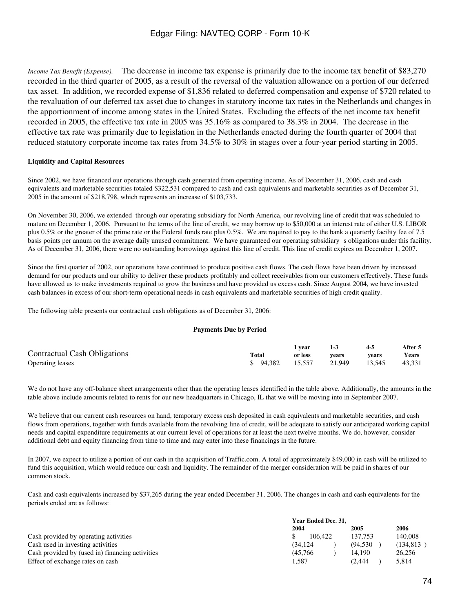*Income Tax Benefit (Expense).* The decrease in income tax expense is primarily due to the income tax benefit of \$83,270 recorded in the third quarter of 2005, as a result of the reversal of the valuation allowance on a portion of our deferred tax asset. In addition, we recorded expense of \$1,836 related to deferred compensation and expense of \$720 related to the revaluation of our deferred tax asset due to changes in statutory income tax rates in the Netherlands and changes in the apportionment of income among states in the United States. Excluding the effects of the net income tax benefit recorded in 2005, the effective tax rate in 2005 was 35.16% as compared to 38.3% in 2004. The decrease in the effective tax rate was primarily due to legislation in the Netherlands enacted during the fourth quarter of 2004 that reduced statutory corporate income tax rates from 34.5% to 30% in stages over a four-year period starting in 2005.

### **Liquidity and Capital Resources**

Since 2002, we have financed our operations through cash generated from operating income. As of December 31, 2006, cash and cash equivalents and marketable securities totaled \$322,531 compared to cash and cash equivalents and marketable securities as of December 31, 2005 in the amount of \$218,798, which represents an increase of \$103,733.

On November 30, 2006, we extended through our operating subsidiary for North America, our revolving line of credit that was scheduled to mature on December 1, 2006. Pursuant to the terms of the line of credit, we may borrow up to \$50,000 at an interest rate of either U.S. LIBOR plus 0.5% or the greater of the prime rate or the Federal funds rate plus 0.5%. We are required to pay to the bank a quarterly facility fee of 7.5 basis points per annum on the average daily unused commitment. We have guaranteed our operating subsidiarys obligations under this facility. As of December 31, 2006, there were no outstanding borrowings against this line of credit. This line of credit expires on December 1, 2007.

Since the first quarter of 2002, our operations have continued to produce positive cash flows. The cash flows have been driven by increased demand for our products and our ability to deliver these products profitably and collect receivables from our customers effectively. These funds have allowed us to make investments required to grow the business and have provided us excess cash. Since August 2004, we have invested cash balances in excess of our short-term operational needs in cash equivalents and marketable securities of high credit quality.

The following table presents our contractual cash obligations as of December 31, 2006:

### **Payments Due by Period**

|                                     |                  | l vear  |               | $4 - 5$ | After 5 |
|-------------------------------------|------------------|---------|---------------|---------|---------|
| <b>Contractual Cash Obligations</b> | <b>Total</b>     | or less | vears         | vears   | Years   |
| <b>Operating leases</b>             | \$ 94.382 15.557 |         | 21.949 13.545 |         | 43,331  |

We do not have any off-balance sheet arrangements other than the operating leases identified in the table above. Additionally, the amounts in the table above include amounts related to rents for our new headquarters in Chicago, IL that we will be moving into in September 2007.

We believe that our current cash resources on hand, temporary excess cash deposited in cash equivalents and marketable securities, and cash flows from operations, together with funds available from the revolving line of credit, will be adequate to satisfy our anticipated working capital needs and capital expenditure requirements at our current level of operations for at least the next twelve months. We do, however, consider additional debt and equity financing from time to time and may enter into these financings in the future.

In 2007, we expect to utilize a portion of our cash in the acquisition of Traffic.com. A total of approximately \$49,000 in cash will be utilized to fund this acquisition, which would reduce our cash and liquidity. The remainder of the merger consideration will be paid in shares of our common stock.

Cash and cash equivalents increased by \$37,265 during the year ended December 31, 2006. The changes in cash and cash equivalents for the periods ended are as follows:

|                                                 | Year Ended Dec. 31, |          |            |  |  |  |
|-------------------------------------------------|---------------------|----------|------------|--|--|--|
|                                                 | 2004                | 2005     | 2006       |  |  |  |
| Cash provided by operating activities           | 106.422             | 137.753  | 140,008    |  |  |  |
| Cash used in investing activities               | (34.124)            | (94.530) | (134, 813) |  |  |  |
| Cash provided by (used in) financing activities | (45.766)            | 14.190   | 26.256     |  |  |  |
| Effect of exchange rates on cash                | 1.587               | (2.444   | 5.814      |  |  |  |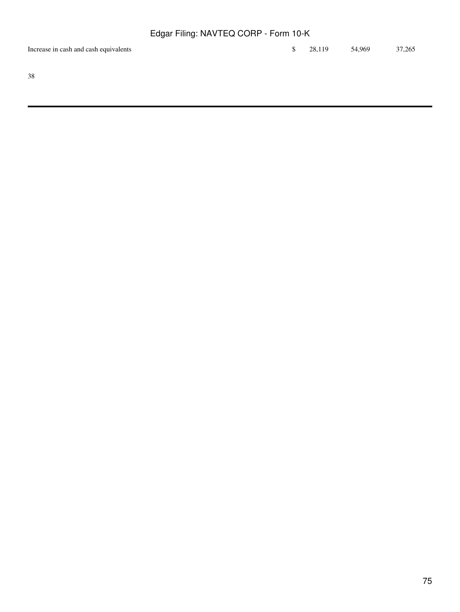| Increase in cash and cash equivalents |  | $\frac{1}{28}$ , 28, 119 54, 969 37, 265 |  |
|---------------------------------------|--|------------------------------------------|--|
|                                       |  |                                          |  |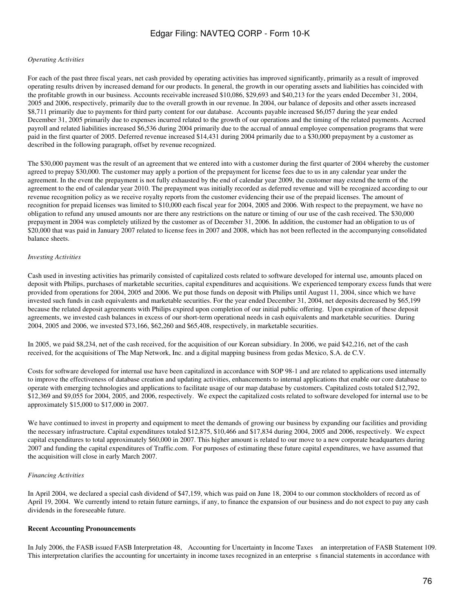#### *Operating Activities*

For each of the past three fiscal years, net cash provided by operating activities has improved significantly, primarily as a result of improved operating results driven by increased demand for our products. In general, the growth in our operating assets and liabilities has coincided with the profitable growth in our business. Accounts receivable increased \$10,086, \$29,693 and \$40,213 for the years ended December 31, 2004, 2005 and 2006, respectively, primarily due to the overall growth in our revenue. In 2004, our balance of deposits and other assets increased \$8,711 primarily due to payments for third party content for our database. Accounts payable increased \$6,057 during the year ended December 31, 2005 primarily due to expenses incurred related to the growth of our operations and the timing of the related payments. Accrued payroll and related liabilities increased \$6,536 during 2004 primarily due to the accrual of annual employee compensation programs that were paid in the first quarter of 2005. Deferred revenue increased \$14,431 during 2004 primarily due to a \$30,000 prepayment by a customer as described in the following paragraph, offset by revenue recognized.

The \$30,000 payment was the result of an agreement that we entered into with a customer during the first quarter of 2004 whereby the customer agreed to prepay \$30,000. The customer may apply a portion of the prepayment for license fees due to us in any calendar year under the agreement. In the event the prepayment is not fully exhausted by the end of calendar year 2009, the customer may extend the term of the agreement to the end of calendar year 2010. The prepayment was initially recorded as deferred revenue and will be recognized according to our revenue recognition policy as we receive royalty reports from the customer evidencing their use of the prepaid licenses. The amount of recognition for prepaid licenses was limited to \$10,000 each fiscal year for 2004, 2005 and 2006. With respect to the prepayment, we have no obligation to refund any unused amounts nor are there any restrictions on the nature or timing of our use of the cash received. The \$30,000 prepayment in 2004 was completely utilized by the customer as of December 31, 2006. In addition, the customer had an obligation to us of \$20,000 that was paid in January 2007 related to license fees in 2007 and 2008, which has not been reflected in the accompanying consolidated balance sheets.

#### *Investing Activities*

Cash used in investing activities has primarily consisted of capitalized costs related to software developed for internal use, amounts placed on deposit with Philips, purchases of marketable securities, capital expenditures and acquisitions. We experienced temporary excess funds that were provided from operations for 2004, 2005 and 2006. We put those funds on deposit with Philips until August 11, 2004, since which we have invested such funds in cash equivalents and marketable securities. For the year ended December 31, 2004, net deposits decreased by \$65,199 because the related deposit agreements with Philips expired upon completion of our initial public offering. Upon expiration of these deposit agreements, we invested cash balances in excess of our short-term operational needs in cash equivalents and marketable securities. During 2004, 2005 and 2006, we invested \$73,166, \$62,260 and \$65,408, respectively, in marketable securities.

In 2005, we paid \$8,234, net of the cash received, for the acquisition of our Korean subsidiary. In 2006, we paid \$42,216, net of the cash received, for the acquisitions of The Map Network, Inc. and a digital mapping business from gedas Mexico, S.A. de C.V.

Costs for software developed for internal use have been capitalized in accordance with SOP 98-1 and are related to applications used internally to improve the effectiveness of database creation and updating activities, enhancements to internal applications that enable our core database to operate with emerging technologies and applications to facilitate usage of our map database by customers. Capitalized costs totaled \$12,792, \$12,369 and \$9,055 for 2004, 2005, and 2006, respectively. We expect the capitalized costs related to software developed for internal use to be approximately \$15,000 to \$17,000 in 2007.

We have continued to invest in property and equipment to meet the demands of growing our business by expanding our facilities and providing the necessary infrastructure. Capital expenditures totaled \$12,875, \$10,466 and \$17,834 during 2004, 2005 and 2006, respectively. We expect capital expenditures to total approximately \$60,000 in 2007. This higher amount is related to our move to a new corporate headquarters during 2007 and funding the capital expenditures of Traffic.com. For purposes of estimating these future capital expenditures, we have assumed that the acquisition will close in early March 2007.

#### *Financing Activities*

In April 2004, we declared a special cash dividend of \$47,159, which was paid on June 18, 2004 to our common stockholders of record as of April 19, 2004. We currently intend to retain future earnings, if any, to finance the expansion of our business and do not expect to pay any cash dividends in the foreseeable future.

#### **Recent Accounting Pronouncements**

In July 2006, the FASB issued FASB Interpretation 48, Accounting for Uncertainty in Income Taxes an interpretation of FASB Statement 109. This interpretation clarifies the accounting for uncertainty in income taxes recognized in an enterprise s financial statements in accordance with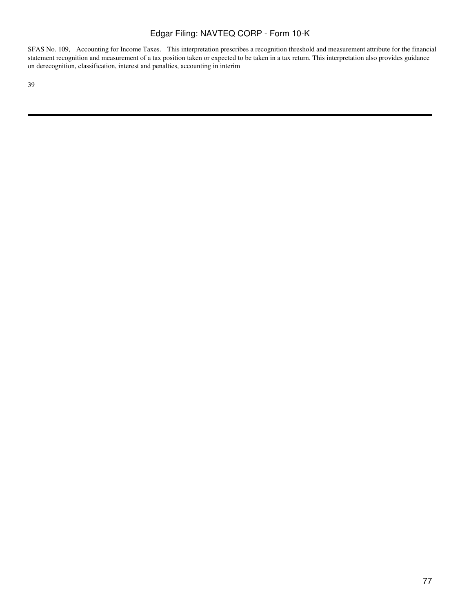SFAS No. 109, Accounting for Income Taxes. This interpretation prescribes a recognition threshold and measurement attribute for the financial statement recognition and measurement of a tax position taken or expected to be taken in a tax return. This interpretation also provides guidance on derecognition, classification, interest and penalties, accounting in interim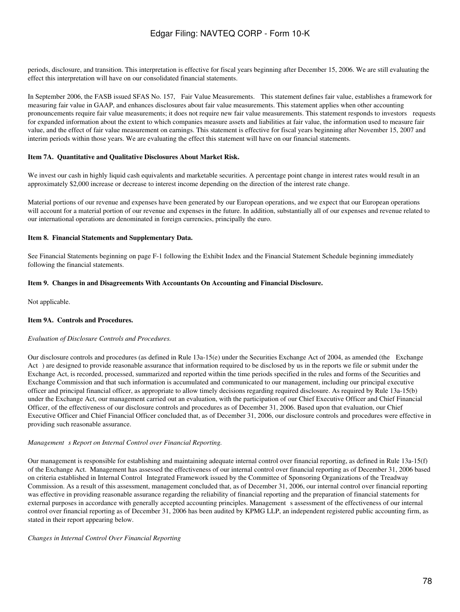periods, disclosure, and transition. This interpretation is effective for fiscal years beginning after December 15, 2006. We are still evaluating the effect this interpretation will have on our consolidated financial statements.

In September 2006, the FASB issued SFAS No. 157, Fair Value Measurements. This statement defines fair value, establishes a framework for measuring fair value in GAAP, and enhances disclosures about fair value measurements. This statement applies when other accounting pronouncements require fair value measurements; it does not require new fair value measurements. This statement responds to investors requests for expanded information about the extent to which companies measure assets and liabilities at fair value, the information used to measure fair value, and the effect of fair value measurement on earnings. This statement is effective for fiscal years beginning after November 15, 2007 and interim periods within those years. We are evaluating the effect this statement will have on our financial statements.

### **Item 7A. Quantitative and Qualitative Disclosures About Market Risk.**

We invest our cash in highly liquid cash equivalents and marketable securities. A percentage point change in interest rates would result in an approximately \$2,000 increase or decrease to interest income depending on the direction of the interest rate change.

Material portions of our revenue and expenses have been generated by our European operations, and we expect that our European operations will account for a material portion of our revenue and expenses in the future. In addition, substantially all of our expenses and revenue related to our international operations are denominated in foreign currencies, principally the euro.

#### **Item 8. Financial Statements and Supplementary Data.**

See Financial Statements beginning on page F-1 following the Exhibit Index and the Financial Statement Schedule beginning immediately following the financial statements.

#### **Item 9. Changes in and Disagreements With Accountants On Accounting and Financial Disclosure.**

Not applicable.

### **Item 9A. Controls and Procedures.**

### *Evaluation of Disclosure Controls and Procedures.*

Our disclosure controls and procedures (as defined in Rule 13a-15(e) under the Securities Exchange Act of 2004, as amended (the Exchange Act) are designed to provide reasonable assurance that information required to be disclosed by us in the reports we file or submit under the Exchange Act, is recorded, processed, summarized and reported within the time periods specified in the rules and forms of the Securities and Exchange Commission and that such information is accumulated and communicated to our management, including our principal executive officer and principal financial officer, as appropriate to allow timely decisions regarding required disclosure. As required by Rule 13a-15(b) under the Exchange Act, our management carried out an evaluation, with the participation of our Chief Executive Officer and Chief Financial Officer, of the effectiveness of our disclosure controls and procedures as of December 31, 2006. Based upon that evaluation, our Chief Executive Officer and Chief Financial Officer concluded that, as of December 31, 2006, our disclosure controls and procedures were effective in providing such reasonable assurance.

#### *Management s Report on Internal Control over Financial Reporting.*

Our management is responsible for establishing and maintaining adequate internal control over financial reporting, as defined in Rule 13a-15(f) of the Exchange Act. Management has assessed the effectiveness of our internal control over financial reporting as of December 31, 2006 based on criteria established in Internal Control Integrated Framework issued by the Committee of Sponsoring Organizations of the Treadway Commission. As a result of this assessment, management concluded that, as of December 31, 2006, our internal control over financial reporting was effective in providing reasonable assurance regarding the reliability of financial reporting and the preparation of financial statements for external purposes in accordance with generally accepted accounting principles. Management s assessment of the effectiveness of our internal control over financial reporting as of December 31, 2006 has been audited by KPMG LLP, an independent registered public accounting firm, as stated in their report appearing below.

#### *Changes in Internal Control Over Financial Reporting*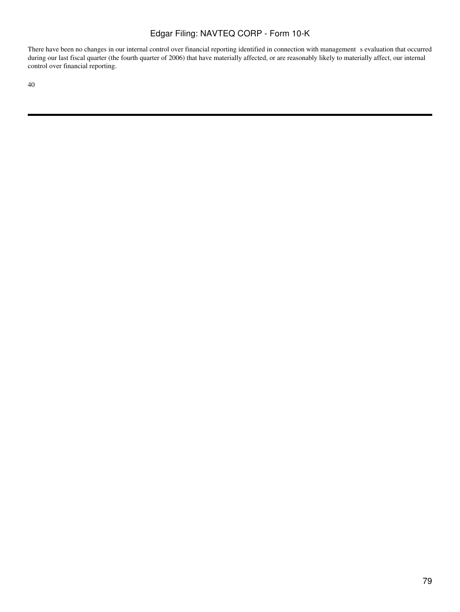There have been no changes in our internal control over financial reporting identified in connection with management s evaluation that occurred during our last fiscal quarter (the fourth quarter of 2006) that have materially affected, or are reasonably likely to materially affect, our internal control over financial reporting.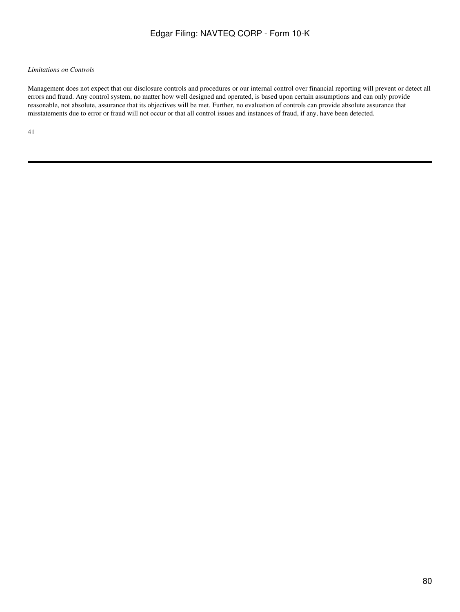### *Limitations on Controls*

Management does not expect that our disclosure controls and procedures or our internal control over financial reporting will prevent or detect all errors and fraud. Any control system, no matter how well designed and operated, is based upon certain assumptions and can only provide reasonable, not absolute, assurance that its objectives will be met. Further, no evaluation of controls can provide absolute assurance that misstatements due to error or fraud will not occur or that all control issues and instances of fraud, if any, have been detected.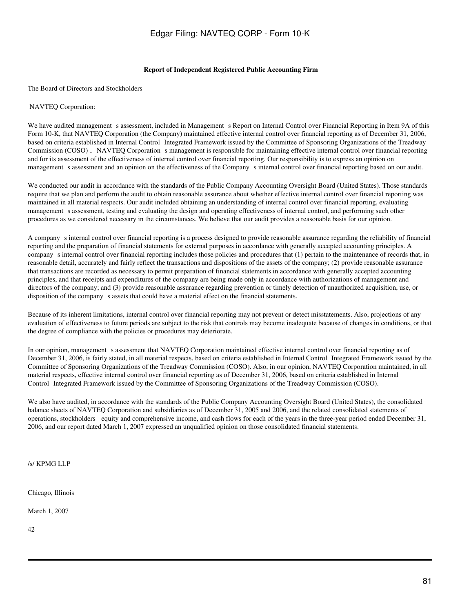#### **Report of Independent Registered Public Accounting Firm**

The Board of Directors and Stockholders

#### NAVTEQ Corporation:

We have audited management s assessment, included in Management s Report on Internal Control over Financial Reporting in Item 9A of this Form 10-K, that NAVTEQ Corporation (the Company) maintained effective internal control over financial reporting as of December 31, 2006, based on criteria established in Internal Control Integrated Framework issued by the Committee of Sponsoring Organizations of the Treadway Commission (COSO) .. NAVTEQ Corporation s management is responsible for maintaining effective internal control over financial reporting and for its assessment of the effectiveness of internal control over financial reporting. Our responsibility is to express an opinion on management s assessment and an opinion on the effectiveness of the Company s internal control over financial reporting based on our audit.

We conducted our audit in accordance with the standards of the Public Company Accounting Oversight Board (United States). Those standards require that we plan and perform the audit to obtain reasonable assurance about whether effective internal control over financial reporting was maintained in all material respects. Our audit included obtaining an understanding of internal control over financial reporting, evaluating management s assessment, testing and evaluating the design and operating effectiveness of internal control, and performing such other procedures as we considered necessary in the circumstances. We believe that our audit provides a reasonable basis for our opinion.

A companys internal control over financial reporting is a process designed to provide reasonable assurance regarding the reliability of financial reporting and the preparation of financial statements for external purposes in accordance with generally accepted accounting principles. A companys internal control over financial reporting includes those policies and procedures that (1) pertain to the maintenance of records that, in reasonable detail, accurately and fairly reflect the transactions and dispositions of the assets of the company; (2) provide reasonable assurance that transactions are recorded as necessary to permit preparation of financial statements in accordance with generally accepted accounting principles, and that receipts and expenditures of the company are being made only in accordance with authorizations of management and directors of the company; and (3) provide reasonable assurance regarding prevention or timely detection of unauthorized acquisition, use, or disposition of the company s assets that could have a material effect on the financial statements.

Because of its inherent limitations, internal control over financial reporting may not prevent or detect misstatements. Also, projections of any evaluation of effectiveness to future periods are subject to the risk that controls may become inadequate because of changes in conditions, or that the degree of compliance with the policies or procedures may deteriorate.

In our opinion, management s assessment that NAVTEQ Corporation maintained effective internal control over financial reporting as of December 31, 2006, is fairly stated, in all material respects, based on criteria established in Internal Control Integrated Framework issued by the Committee of Sponsoring Organizations of the Treadway Commission (COSO). Also, in our opinion, NAVTEQ Corporation maintained, in all material respects, effective internal control over financial reporting as of December 31, 2006, based on criteria established in Internal Control Integrated Framework issued by the Committee of Sponsoring Organizations of the Treadway Commission (COSO).

We also have audited, in accordance with the standards of the Public Company Accounting Oversight Board (United States), the consolidated balance sheets of NAVTEQ Corporation and subsidiaries as of December 31, 2005 and 2006, and the related consolidated statements of operations, stockholders equity and comprehensive income, and cash flows for each of the years in the three-year period ended December 31, 2006, and our report dated March 1, 2007 expressed an unqualified opinion on those consolidated financial statements.

/s/ KPMG LLP

Chicago, Illinois

March 1, 2007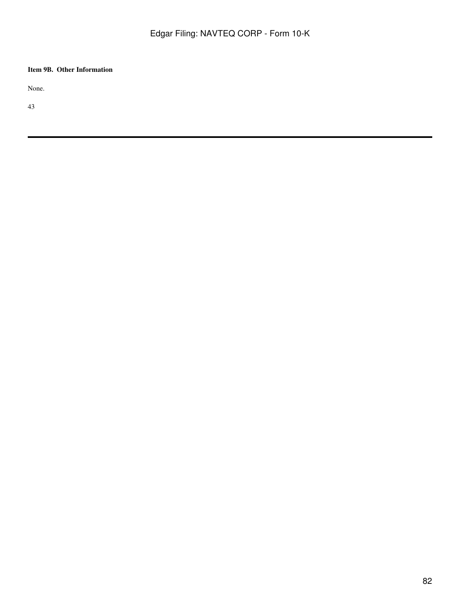# **Item 9B. Other Information**

None.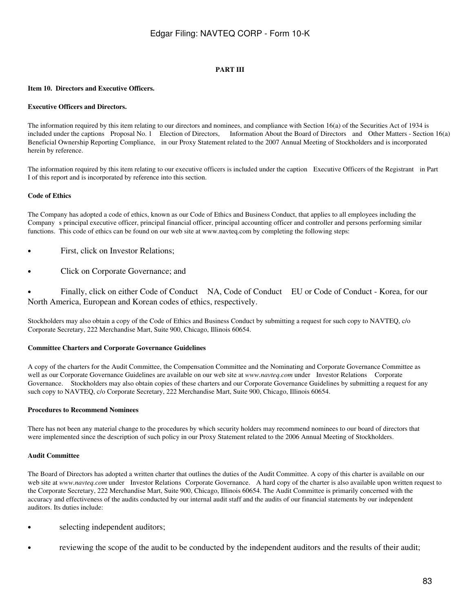### **PART III**

### **Item 10. Directors and Executive Officers.**

### **Executive Officers and Directors.**

The information required by this item relating to our directors and nominees, and compliance with Section 16(a) of the Securities Act of 1934 is included under the captions Proposal No. 1 Election of Directors, Information About the Board of Directors and Other Matters - Section 16(a) Beneficial Ownership Reporting Compliance, in our Proxy Statement related to the 2007 Annual Meeting of Stockholders and is incorporated herein by reference.

The information required by this item relating to our executive officers is included under the caption Executive Officers of the Registrant in Part I of this report and is incorporated by reference into this section.

#### **Code of Ethics**

The Company has adopted a code of ethics, known as our Code of Ethics and Business Conduct, that applies to all employees including the Companys principal executive officer, principal financial officer, principal accounting officer and controller and persons performing similar functions. This code of ethics can be found on our web site at www.navteq.com by completing the following steps:

- First, click on Investor Relations;
- Click on Corporate Governance; and

• Finally, click on either Code of Conduct NA, Code of Conduct EU or Code of Conduct - Korea, for our North America, European and Korean codes of ethics, respectively.

Stockholders may also obtain a copy of the Code of Ethics and Business Conduct by submitting a request for such copy to NAVTEQ, c/o Corporate Secretary, 222 Merchandise Mart, Suite 900, Chicago, Illinois 60654.

### **Committee Charters and Corporate Governance Guidelines**

A copy of the charters for the Audit Committee, the Compensation Committee and the Nominating and Corporate Governance Committee as well as our Corporate Governance Guidelines are available on our web site at *www.navteq.com* under Investor Relations Corporate Governance. Stockholders may also obtain copies of these charters and our Corporate Governance Guidelines by submitting a request for any such copy to NAVTEQ, c/o Corporate Secretary, 222 Merchandise Mart, Suite 900, Chicago, Illinois 60654.

#### **Procedures to Recommend Nominees**

There has not been any material change to the procedures by which security holders may recommend nominees to our board of directors that were implemented since the description of such policy in our Proxy Statement related to the 2006 Annual Meeting of Stockholders.

#### **Audit Committee**

The Board of Directors has adopted a written charter that outlines the duties of the Audit Committee. A copy of this charter is available on our web site at www.navteq.com under Investor Relations Corporate Governance. A hard copy of the charter is also available upon written request to the Corporate Secretary, 222 Merchandise Mart, Suite 900, Chicago, Illinois 60654. The Audit Committee is primarily concerned with the accuracy and effectiveness of the audits conducted by our internal audit staff and the audits of our financial statements by our independent auditors. Its duties include:

- selecting independent auditors;
- reviewing the scope of the audit to be conducted by the independent auditors and the results of their audit;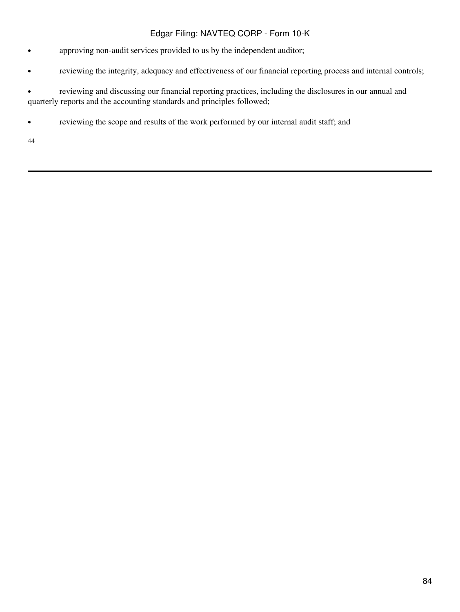- approving non-audit services provided to us by the independent auditor;
- reviewing the integrity, adequacy and effectiveness of our financial reporting process and internal controls;

• reviewing and discussing our financial reporting practices, including the disclosures in our annual and quarterly reports and the accounting standards and principles followed;

• reviewing the scope and results of the work performed by our internal audit staff; and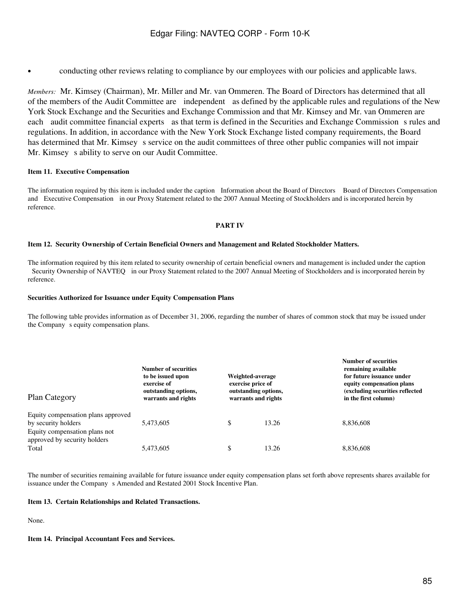• conducting other reviews relating to compliance by our employees with our policies and applicable laws.

*Members:* Mr. Kimsey (Chairman), Mr. Miller and Mr. van Ommeren. The Board of Directors has determined that all of the members of the Audit Committee are independent as defined by the applicable rules and regulations of the New York Stock Exchange and the Securities and Exchange Commission and that Mr. Kimsey and Mr. van Ommeren are each audit committee financial experts as that term is defined in the Securities and Exchange Commission s rules and regulations. In addition, in accordance with the New York Stock Exchange listed company requirements, the Board has determined that Mr. Kimsey s service on the audit committees of three other public companies will not impair Mr. Kimsey s ability to serve on our Audit Committee.

### **Item 11. Executive Compensation**

The information required by this item is included under the caption Information about the Board of Directors Board of Directors Compensation and Executive Compensation in our Proxy Statement related to the 2007 Annual Meeting of Stockholders and is incorporated herein by reference.

### **PART IV**

### **Item 12. Security Ownership of Certain Beneficial Owners and Management and Related Stockholder Matters.**

The information required by this item related to security ownership of certain beneficial owners and management is included under the caption Security Ownership of NAVTEQ in our Proxy Statement related to the 2007 Annual Meeting of Stockholders and is incorporated herein by reference.

### **Securities Authorized for Issuance under Equity Compensation Plans**

The following table provides information as of December 31, 2006, regarding the number of shares of common stock that may be issued under the Company s equity compensation plans.

| <b>Plan Category</b>                                                                       | Number of securities<br>to be issued upon<br>exercise of<br>outstanding options,<br>warrants and rights | Weighted-average<br>exercise price of<br>outstanding options,<br>warrants and rights | <b>Number of securities</b><br>remaining available<br>for future issuance under<br>equity compensation plans<br>(excluding securities reflected<br>in the first column) |  |  |
|--------------------------------------------------------------------------------------------|---------------------------------------------------------------------------------------------------------|--------------------------------------------------------------------------------------|-------------------------------------------------------------------------------------------------------------------------------------------------------------------------|--|--|
| Equity compensation plans approved<br>by security holders<br>Equity compensation plans not | 5,473,605                                                                                               | \$<br>13.26                                                                          | 8,836,608                                                                                                                                                               |  |  |
| approved by security holders<br>Total                                                      | 5,473,605                                                                                               | \$<br>13.26                                                                          | 8.836.608                                                                                                                                                               |  |  |

The number of securities remaining available for future issuance under equity compensation plans set forth above represents shares available for issuance under the Company s Amended and Restated 2001 Stock Incentive Plan.

### **Item 13. Certain Relationships and Related Transactions.**

None.

**Item 14. Principal Accountant Fees and Services.**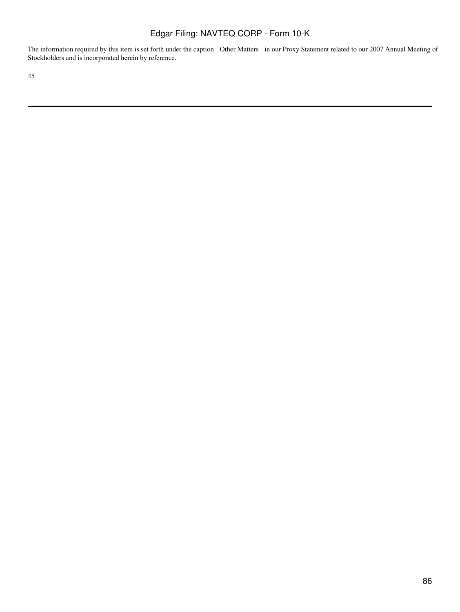The information required by this item is set forth under the caption Other Matters in our Proxy Statement related to our 2007 Annual Meeting of Stockholders and is incorporated herein by reference.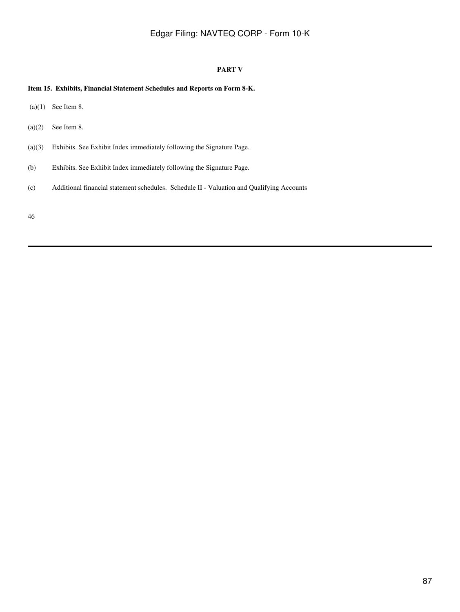### **PART V**

### **Item 15. Exhibits, Financial Statement Schedules and Reports on Form 8-K.**

- $(a)(1)$  See Item 8.
- $(a)(2)$  See Item 8.
- (a)(3) Exhibits. See Exhibit Index immediately following the Signature Page.
- (b) Exhibits. See Exhibit Index immediately following the Signature Page.
- (c) Additional financial statement schedules. Schedule II Valuation and Qualifying Accounts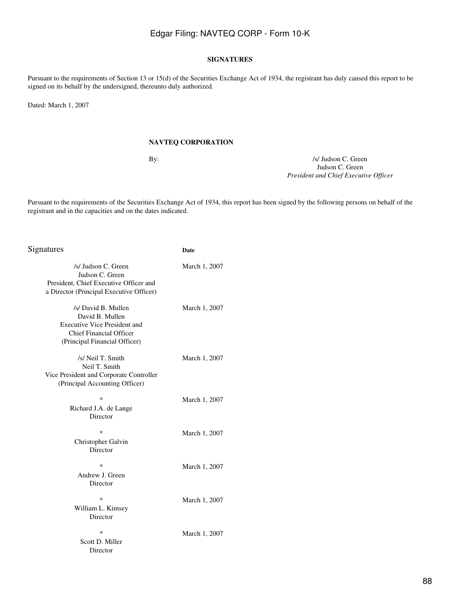### **SIGNATURES**

Pursuant to the requirements of Section 13 or 15(d) of the Securities Exchange Act of 1934, the registrant has duly caused this report to be signed on its behalf by the undersigned, thereunto duly authorized.

Dated: March 1, 2007

### **NAVTEQ CORPORATION**

By:  $\frac{1}{s}$  Judson C. Green Judson C. Green *President and Chief Executive Officer*

Pursuant to the requirements of the Securities Exchange Act of 1934, this report has been signed by the following persons on behalf of the registrant and in the capacities and on the dates indicated.

| Signatures                                                                                                                                       | Date          |
|--------------------------------------------------------------------------------------------------------------------------------------------------|---------------|
| /s/ Judson C. Green<br>Judson C. Green<br>President, Chief Executive Officer and<br>a Director (Principal Executive Officer)                     | March 1, 2007 |
| /s/ David B. Mullen<br>David B. Mullen<br><b>Executive Vice President and</b><br><b>Chief Financial Officer</b><br>(Principal Financial Officer) | March 1, 2007 |
| /s/ Neil T. Smith<br>Neil T. Smith<br>Vice President and Corporate Controller<br>(Principal Accounting Officer)                                  | March 1, 2007 |
| $\ast$<br>Richard J.A. de Lange<br>Director                                                                                                      | March 1, 2007 |
| $\ast$<br>Christopher Galvin<br>Director                                                                                                         | March 1, 2007 |
| $\ast$<br>Andrew J. Green<br>Director                                                                                                            | March 1, 2007 |
| $\ast$<br>William L. Kimsey<br>Director                                                                                                          | March 1, 2007 |
| $\ast$<br>Scott D. Miller<br>Director                                                                                                            | March 1, 2007 |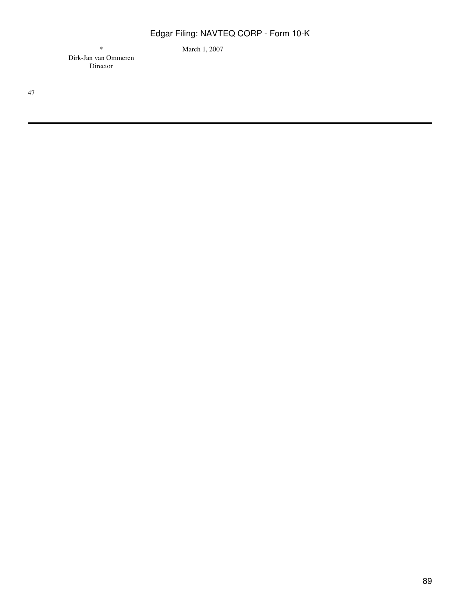\* March 1, 2007

Dirk-Jan van Ommeren Director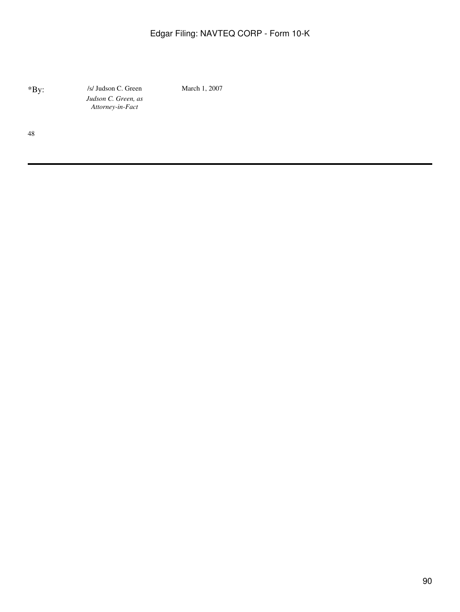\*By: /s/ Judson C. Green March 1, 2007 *Judson C. Green, as Attorney-in-Fact*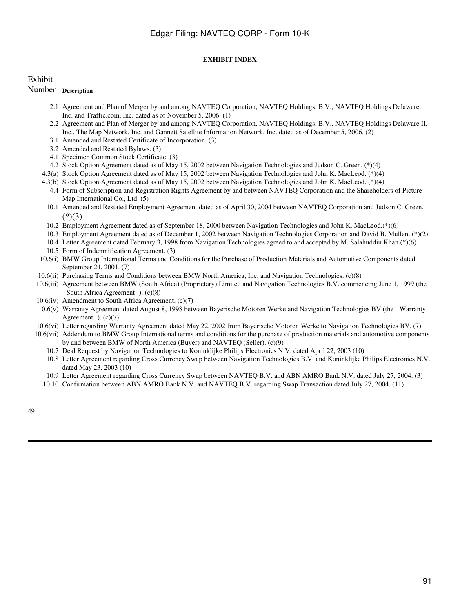### **EXHIBIT INDEX**

### Exhibit

### Number **Description**

- 2.1 Agreement and Plan of Merger by and among NAVTEQ Corporation, NAVTEQ Holdings, B.V., NAVTEQ Holdings Delaware, Inc. and Traffic.com, Inc. dated as of November 5, 2006. (1)
- 2.2 Agreement and Plan of Merger by and among NAVTEQ Corporation, NAVTEQ Holdings, B.V., NAVTEQ Holdings Delaware II, Inc., The Map Network, Inc. and Gannett Satellite Information Network, Inc. dated as of December 5, 2006. (2)
- 3.1 Amended and Restated Certificate of Incorporation. (3)
- 3.2 Amended and Restated Bylaws. (3)
- 4.1 Specimen Common Stock Certificate. (3)
- 4.2 Stock Option Agreement dated as of May 15, 2002 between Navigation Technologies and Judson C. Green. (\*)(4)
- 4.3(a) Stock Option Agreement dated as of May 15, 2002 between Navigation Technologies and John K. MacLeod. (\*)(4)
- 4.3(b) Stock Option Agreement dated as of May 15, 2002 between Navigation Technologies and John K. MacLeod. (\*)(4)
	- 4.4 Form of Subscription and Registration Rights Agreement by and between NAVTEQ Corporation and the Shareholders of Picture Map International Co., Ltd. (5)
	- 10.1 Amended and Restated Employment Agreement dated as of April 30, 2004 between NAVTEQ Corporation and Judson C. Green.  $(*)(3)$
	- 10.2 Employment Agreement dated as of September 18, 2000 between Navigation Technologies and John K. MacLeod.(\*)(6)
	- 10.3 Employment Agreement dated as of December 1, 2002 between Navigation Technologies Corporation and David B. Mullen. (\*)(2)
- 10.4 Letter Agreement dated February 3, 1998 from Navigation Technologies agreed to and accepted by M. Salahuddin Khan.(\*)(6)
- 10.5 Form of Indemnification Agreement. (3)
- 10.6(i) BMW Group International Terms and Conditions for the Purchase of Production Materials and Automotive Components dated September 24, 2001. (7)
- 10.6(ii) Purchasing Terms and Conditions between BMW North America, Inc. and Navigation Technologies. (c)(8)
- 10.6(iii) Agreement between BMW (South Africa) (Proprietary) Limited and Navigation Technologies B.V. commencing June 1, 1999 (the South Africa Agreement ). (c)(8)
- 10.6(iv) Amendment to South Africa Agreement. (c)(7)
- 10.6(v) Warranty Agreement dated August 8, 1998 between Bayerische Motoren Werke and Navigation Technologies BV (the Warranty Agreement  $(c)(7)$
- 10.6(vi) Letter regarding Warranty Agreement dated May 22, 2002 from Bayerische Motoren Werke to Navigation Technologies BV. (7)
- 10.6(vii) Addendum to BMW Group International terms and conditions for the purchase of production materials and automotive components by and between BMW of North America (Buyer) and NAVTEQ (Seller). (c)(9)
	- 10.7 Deal Request by Navigation Technologies to Koninklijke Philips Electronics N.V. dated April 22, 2003 (10)
	- 10.8 Letter Agreement regarding Cross Currency Swap between Navigation Technologies B.V. and Koninklijke Philips Electronics N.V. dated May 23, 2003 (10)
	- 10.9 Letter Agreement regarding Cross Currency Swap between NAVTEQ B.V. and ABN AMRO Bank N.V. dated July 27, 2004. (3)
	- 10.10 Confirmation between ABN AMRO Bank N.V. and NAVTEQ B.V. regarding Swap Transaction dated July 27, 2004. (11)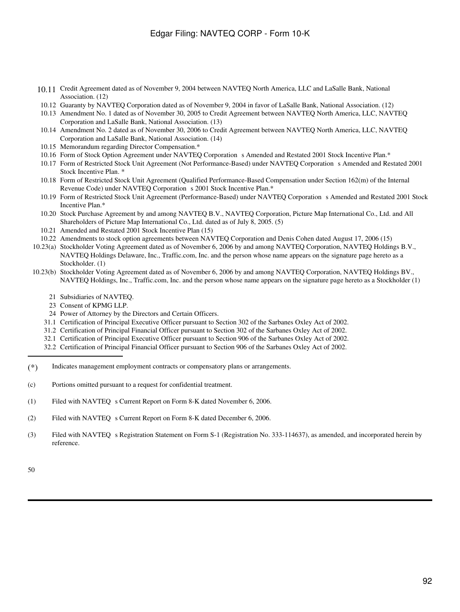- 10.11 Credit Agreement dated as of November 9, 2004 between NAVTEQ North America, LLC and LaSalle Bank, National Association. (12)
- 10.12 Guaranty by NAVTEQ Corporation dated as of November 9, 2004 in favor of LaSalle Bank, National Association. (12)
- 10.13 Amendment No. 1 dated as of November 30, 2005 to Credit Agreement between NAVTEQ North America, LLC, NAVTEQ Corporation and LaSalle Bank, National Association. (13)
- 10.14 Amendment No. 2 dated as of November 30, 2006 to Credit Agreement between NAVTEQ North America, LLC, NAVTEQ Corporation and LaSalle Bank, National Association. (14)
- 10.15 Memorandum regarding Director Compensation.\*
- 10.16 Form of Stock Option Agreement under NAVTEQ Corporation s Amended and Restated 2001 Stock Incentive Plan.\*
- 10.17 Form of Restricted Stock Unit Agreement (Not Performance-Based) under NAVTEQ Corporations Amended and Restated 2001 Stock Incentive Plan. \*
- 10.18 Form of Restricted Stock Unit Agreement (Qualified Performance-Based Compensation under Section 162(m) of the Internal Revenue Code) under NAVTEQ Corporation s 2001 Stock Incentive Plan.\*
- 10.19 Form of Restricted Stock Unit Agreement (Performance-Based) under NAVTEQ Corporations Amended and Restated 2001 Stock Incentive Plan.\*
- 10.20 Stock Purchase Agreement by and among NAVTEQ B.V., NAVTEQ Corporation, Picture Map International Co., Ltd. and All Shareholders of Picture Map International Co., Ltd. dated as of July 8, 2005. (5)
- 10.21 Amended and Restated 2001 Stock Incentive Plan (15)
- 10.22 Amendments to stock option agreements between NAVTEQ Corporation and Denis Cohen dated August 17, 2006 (15)
- 10.23(a) Stockholder Voting Agreement dated as of November 6, 2006 by and among NAVTEQ Corporation, NAVTEQ Holdings B.V., NAVTEQ Holdings Delaware, Inc., Traffic.com, Inc. and the person whose name appears on the signature page hereto as a Stockholder. (1)
- 10.23(b) Stockholder Voting Agreement dated as of November 6, 2006 by and among NAVTEQ Corporation, NAVTEQ Holdings BV., NAVTEQ Holdings, Inc., Traffic.com, Inc. and the person whose name appears on the signature page hereto as a Stockholder (1)
	- 21 Subsidiaries of NAVTEQ.
	- 23 Consent of KPMG LLP.
	- 24 Power of Attorney by the Directors and Certain Officers.
	- 31.1 Certification of Principal Executive Officer pursuant to Section 302 of the Sarbanes Oxley Act of 2002.
	- 31.2 Certification of Principal Financial Officer pursuant to Section 302 of the Sarbanes Oxley Act of 2002.
	- 32.1 Certification of Principal Executive Officer pursuant to Section 906 of the Sarbanes Oxley Act of 2002.
	- 32.2 Certification of Principal Financial Officer pursuant to Section 906 of the Sarbanes Oxley Act of 2002.
- (\*) Indicates management employment contracts or compensatory plans or arrangements.
- (c) Portions omitted pursuant to a request for confidential treatment.
- (1) Filed with NAVTEQ s Current Report on Form 8-K dated November 6, 2006.
- (2) Filed with NAVTEQ s Current Report on Form 8-K dated December 6, 2006.
- (3) Filed with NAVTEO s Registration Statement on Form S-1 (Registration No. 333-114637), as amended, and incorporated herein by reference.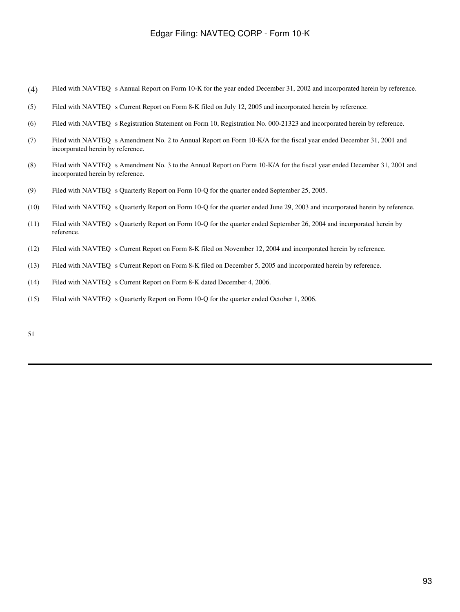- (4) Filed with NAVTEQ s Annual Report on Form 10-K for the year ended December 31, 2002 and incorporated herein by reference.
- (5) Filed with NAVTEQ s Current Report on Form 8-K filed on July 12, 2005 and incorporated herein by reference.
- (6) Filed with NAVTEQ s Registration Statement on Form 10, Registration No. 000-21323 and incorporated herein by reference.
- (7) Filed with NAVTEQ s Amendment No. 2 to Annual Report on Form 10-K/A for the fiscal year ended December 31, 2001 and incorporated herein by reference.
- (8) Filed with NAVTEQ s Amendment No. 3 to the Annual Report on Form 10-K/A for the fiscal year ended December 31, 2001 and incorporated herein by reference.
- (9) Filed with NAVTEQ s Quarterly Report on Form 10-Q for the quarter ended September 25, 2005.
- (10) Filed with NAVTEQ s Quarterly Report on Form 10-Q for the quarter ended June 29, 2003 and incorporated herein by reference.
- (11) Filed with NAVTEQ s Quarterly Report on Form 10-Q for the quarter ended September 26, 2004 and incorporated herein by reference.
- (12) Filed with NAVTEO s Current Report on Form 8-K filed on November 12, 2004 and incorporated herein by reference.
- (13) Filed with NAVTEQ s Current Report on Form 8-K filed on December 5, 2005 and incorporated herein by reference.
- (14) Filed with NAVTEQ s Current Report on Form 8-K dated December 4, 2006.
- (15) Filed with NAVTEQ s Quarterly Report on Form 10-Q for the quarter ended October 1, 2006.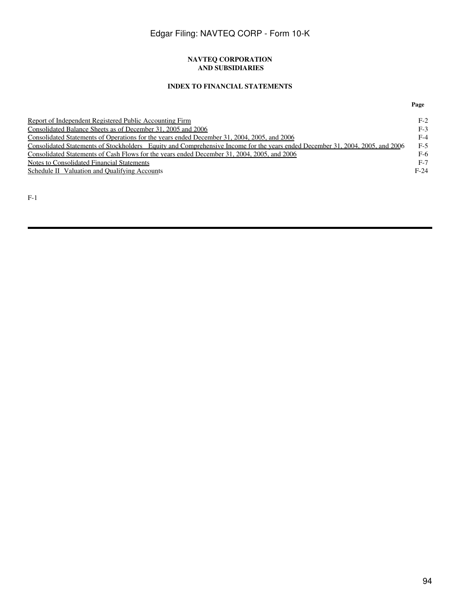#### **NAVTEQ CORPORATION AND SUBSIDIARIES**

### **INDEX TO FINANCIAL STATEMENTS**

| Report of Independent Registered Public Accounting Firm                                                                       | $F-2$  |
|-------------------------------------------------------------------------------------------------------------------------------|--------|
| Consolidated Balance Sheets as of December 31, 2005 and 2006                                                                  | $F-3$  |
| Consolidated Statements of Operations for the years ended December 31, 2004, 2005, and 2006                                   | F-4    |
| Consolidated Statements of Stockholders Equity and Comprehensive Income for the years ended December 31, 2004, 2005, and 2006 | $F-5$  |
| Consolidated Statements of Cash Flows for the years ended December 31, 2004, 2005, and 2006                                   | F-6    |
| <b>Notes to Consolidated Financial Statements</b>                                                                             | $F-7$  |
| Schedule II Valuation and Qualifying Accounts                                                                                 | $F-24$ |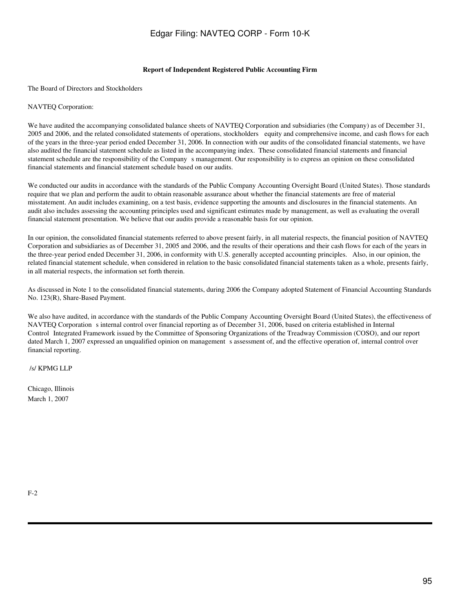#### **Report of Independent Registered Public Accounting Firm**

<span id="page-94-0"></span>The Board of Directors and Stockholders

#### NAVTEQ Corporation:

We have audited the accompanying consolidated balance sheets of NAVTEQ Corporation and subsidiaries (the Company) as of December 31, 2005 and 2006, and the related consolidated statements of operations, stockholders equity and comprehensive income, and cash flows for each of the years in the three-year period ended December 31, 2006. In connection with our audits of the consolidated financial statements, we have also audited the financial statement schedule as listed in the accompanying index. These consolidated financial statements and financial statement schedule are the responsibility of the Companys management. Our responsibility is to express an opinion on these consolidated financial statements and financial statement schedule based on our audits.

We conducted our audits in accordance with the standards of the Public Company Accounting Oversight Board (United States). Those standards require that we plan and perform the audit to obtain reasonable assurance about whether the financial statements are free of material misstatement. An audit includes examining, on a test basis, evidence supporting the amounts and disclosures in the financial statements. An audit also includes assessing the accounting principles used and significant estimates made by management, as well as evaluating the overall financial statement presentation. We believe that our audits provide a reasonable basis for our opinion.

In our opinion, the consolidated financial statements referred to above present fairly, in all material respects, the financial position of NAVTEQ Corporation and subsidiaries as of December 31, 2005 and 2006, and the results of their operations and their cash flows for each of the years in the three-year period ended December 31, 2006, in conformity with U.S. generally accepted accounting principles. Also, in our opinion, the related financial statement schedule, when considered in relation to the basic consolidated financial statements taken as a whole, presents fairly, in all material respects, the information set forth therein.

As discussed in Note 1 to the consolidated financial statements, during 2006 the Company adopted Statement of Financial Accounting Standards No. 123(R), Share-Based Payment.

We also have audited, in accordance with the standards of the Public Company Accounting Oversight Board (United States), the effectiveness of NAVTEQ Corporation s internal control over financial reporting as of December 31, 2006, based on criteria established in Internal Control Integrated Framework issued by the Committee of Sponsoring Organizations of the Treadway Commission (COSO), and our report dated March 1, 2007 expressed an unqualified opinion on management s assessment of, and the effective operation of, internal control over financial reporting.

/s/ KPMG LLP

Chicago, Illinois March 1, 2007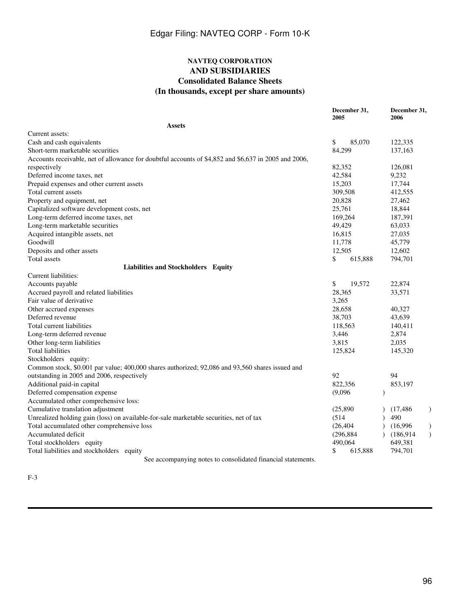### **NAVTEQ CORPORATION AND SUBSIDIARIES Consolidated Balance Sheets (In thousands, except per share amounts)**

<span id="page-95-0"></span>

|                                                                                                      |         | December 31,<br>2005 |               | December 31,<br>2006 |                          |
|------------------------------------------------------------------------------------------------------|---------|----------------------|---------------|----------------------|--------------------------|
| <b>Assets</b>                                                                                        |         |                      |               |                      |                          |
| Current assets:                                                                                      |         |                      |               |                      |                          |
| Cash and cash equivalents                                                                            | \$      | 85,070               |               | 122,335              |                          |
| Short-term marketable securities                                                                     |         | 84,299               |               | 137,163              |                          |
| Accounts receivable, net of allowance for doubtful accounts of \$4,852 and \$6,637 in 2005 and 2006, |         |                      |               |                      |                          |
| respectively                                                                                         |         | 82,352               |               | 126,081              |                          |
| Deferred income taxes, net                                                                           |         | 42,584               |               | 9,232                |                          |
| Prepaid expenses and other current assets                                                            |         | 15,203               |               | 17,744               |                          |
| Total current assets                                                                                 |         | 309,508              |               | 412,555              |                          |
| Property and equipment, net                                                                          |         | 20,828               |               | 27,462               |                          |
| Capitalized software development costs, net                                                          |         | 25,761               |               | 18,844               |                          |
| Long-term deferred income taxes, net                                                                 |         | 169,264              |               | 187,391              |                          |
| Long-term marketable securities                                                                      |         | 49,429               |               | 63,033               |                          |
| Acquired intangible assets, net                                                                      |         | 16,815               |               | 27,035               |                          |
| Goodwill                                                                                             |         | 11,778               |               | 45,779               |                          |
| Deposits and other assets                                                                            |         | 12,505               |               | 12,602               |                          |
| Total assets                                                                                         | \$      | 615,888              |               | 794,701              |                          |
| Liabilities and Stockholders Equity                                                                  |         |                      |               |                      |                          |
| Current liabilities:                                                                                 |         |                      |               |                      |                          |
| Accounts payable                                                                                     | \$      | 19,572               |               | 22,874               |                          |
| Accrued payroll and related liabilities                                                              |         | 28,365               |               | 33,571               |                          |
| Fair value of derivative                                                                             | 3,265   |                      |               |                      |                          |
| Other accrued expenses                                                                               |         | 28,658               |               | 40,327               |                          |
| Deferred revenue                                                                                     |         | 38,703               |               | 43,639               |                          |
| Total current liabilities                                                                            |         | 118,563              |               | 140,411              |                          |
| Long-term deferred revenue                                                                           | 3,446   |                      |               | 2,874                |                          |
| Other long-term liabilities                                                                          | 3,815   |                      |               | 2,035                |                          |
| <b>Total liabilities</b>                                                                             |         | 125,824              |               | 145,320              |                          |
| Stockholders equity:                                                                                 |         |                      |               |                      |                          |
| Common stock, \$0.001 par value; 400,000 shares authorized; 92,086 and 93,560 shares issued and      |         |                      |               |                      |                          |
| outstanding in 2005 and 2006, respectively                                                           | 92      |                      |               | 94                   |                          |
| Additional paid-in capital                                                                           |         | 822,356              |               | 853,197              |                          |
| Deferred compensation expense                                                                        | (9,096) |                      | $\mathcal{E}$ |                      |                          |
| Accumulated other comprehensive loss:                                                                |         |                      |               |                      |                          |
| Cumulative translation adjustment                                                                    |         | (25, 890)            |               | (17, 486)            |                          |
| Unrealized holding gain (loss) on available-for-sale marketable securities, net of tax               | (514)   |                      |               | 490                  |                          |
| Total accumulated other comprehensive loss                                                           |         | (26, 404)            |               | (16,996)             |                          |
| Accumulated deficit                                                                                  |         | (296, 884)           |               | (186, 914)           | $\overline{\phantom{a}}$ |
| Total stockholders equity                                                                            |         | 490,064              |               | 649,381              |                          |
| Total liabilities and stockholders equity                                                            | \$      | 615,888              |               | 794,701              |                          |
| See accompanying notes to consolidated financial statements.                                         |         |                      |               |                      |                          |

F-3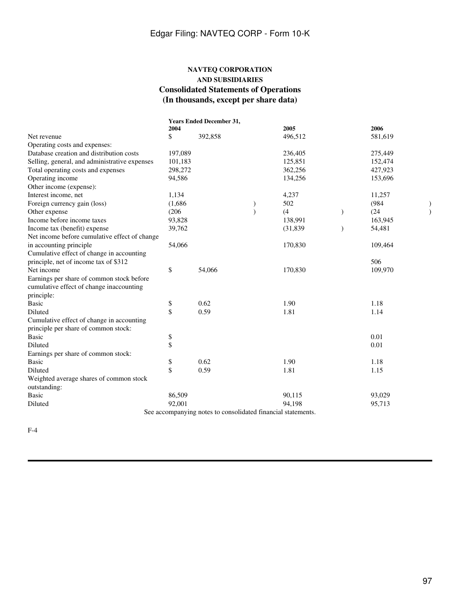# **NAVTEQ CORPORATION AND SUBSIDIARIES Consolidated Statements of Operations (In thousands, except per share data)**

<span id="page-96-0"></span>

|                                               |         | <b>Years Ended December 31,</b>                              |           |               |         |  |
|-----------------------------------------------|---------|--------------------------------------------------------------|-----------|---------------|---------|--|
|                                               | 2004    |                                                              | 2005      |               | 2006    |  |
| Net revenue                                   | \$      | 392,858                                                      | 496,512   |               | 581,619 |  |
| Operating costs and expenses:                 |         |                                                              |           |               |         |  |
| Database creation and distribution costs      | 197,089 |                                                              | 236,405   |               | 275,449 |  |
| Selling, general, and administrative expenses | 101,183 |                                                              | 125,851   |               | 152,474 |  |
| Total operating costs and expenses            | 298,272 |                                                              | 362,256   |               | 427,923 |  |
| Operating income                              | 94,586  |                                                              | 134,256   |               | 153,696 |  |
| Other income (expense):                       |         |                                                              |           |               |         |  |
| Interest income, net                          | 1,134   |                                                              | 4,237     |               | 11,257  |  |
| Foreign currency gain (loss)                  | (1,686) |                                                              | 502       |               | (984)   |  |
| Other expense                                 | (206)   |                                                              | (4)       | $\mathcal{E}$ | (24)    |  |
| Income before income taxes                    | 93,828  |                                                              | 138,991   |               | 163,945 |  |
| Income tax (benefit) expense                  | 39,762  |                                                              | (31, 839) | $\lambda$     | 54,481  |  |
| Net income before cumulative effect of change |         |                                                              |           |               |         |  |
| in accounting principle                       | 54,066  |                                                              | 170,830   |               | 109,464 |  |
| Cumulative effect of change in accounting     |         |                                                              |           |               |         |  |
| principle, net of income tax of \$312         |         |                                                              |           |               | 506     |  |
| Net income                                    | \$      | 54,066                                                       | 170,830   |               | 109,970 |  |
| Earnings per share of common stock before     |         |                                                              |           |               |         |  |
| cumulative effect of change inaccounting      |         |                                                              |           |               |         |  |
| principle:                                    |         |                                                              |           |               |         |  |
| <b>Basic</b>                                  | \$      | 0.62                                                         | 1.90      |               | 1.18    |  |
| Diluted                                       | \$      | 0.59                                                         | 1.81      |               | 1.14    |  |
| Cumulative effect of change in accounting     |         |                                                              |           |               |         |  |
| principle per share of common stock:          |         |                                                              |           |               |         |  |
| <b>Basic</b>                                  | \$      |                                                              |           |               | 0.01    |  |
| Diluted                                       | \$      |                                                              |           |               | 0.01    |  |
| Earnings per share of common stock:           |         |                                                              |           |               |         |  |
| <b>Basic</b>                                  | \$      | 0.62                                                         | 1.90      |               | 1.18    |  |
| Diluted                                       | \$      | 0.59                                                         | 1.81      |               | 1.15    |  |
| Weighted average shares of common stock       |         |                                                              |           |               |         |  |
| outstanding:                                  |         |                                                              |           |               |         |  |
| <b>Basic</b>                                  | 86,509  |                                                              | 90,115    |               | 93,029  |  |
| Diluted                                       | 92,001  |                                                              | 94,198    |               | 95,713  |  |
|                                               |         | See accompanying notes to consolidated financial statements. |           |               |         |  |

F-4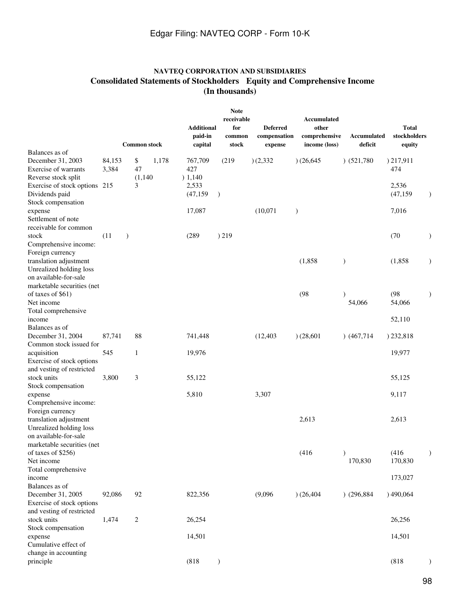# **NAVTEQ CORPORATION AND SUBSIDIARIES Consolidated Statements of Stockholders Equity and Comprehensive Income (In thousands)**

<span id="page-97-0"></span>

|                                                  |        |               | <b>Common stock</b> |       | <b>Additional</b><br>paid-in<br>capital | <b>Note</b><br>receivable<br>for<br>common<br>stock | <b>Deferred</b><br>compensation<br>expense | Accumulated<br>other<br>comprehensive<br>income (loss) | Accumulated<br>deficit | <b>Total</b><br>stockholders<br>equity |           |
|--------------------------------------------------|--------|---------------|---------------------|-------|-----------------------------------------|-----------------------------------------------------|--------------------------------------------|--------------------------------------------------------|------------------------|----------------------------------------|-----------|
| Balances as of<br>December 31, 2003              | 84,153 |               | \$                  | 1,178 | 767,709                                 | (219)                                               | )(2,332)                                   | (26, 645)                                              | $)$ (521,780)          | 217,911                                |           |
| Exercise of warrants                             | 3,384  |               | 47                  |       | 427                                     |                                                     |                                            |                                                        |                        | 474                                    |           |
| Reverse stock split                              |        |               | (1,140)             |       | ) 1,140                                 |                                                     |                                            |                                                        |                        |                                        |           |
| Exercise of stock options 215                    |        |               | 3                   |       | 2,533                                   |                                                     |                                            |                                                        |                        | 2,536                                  |           |
| Dividends paid                                   |        |               |                     |       | (47, 159)                               | $\mathcal{E}$                                       |                                            |                                                        |                        | (47, 159)                              | $\lambda$ |
| Stock compensation                               |        |               |                     |       |                                         |                                                     |                                            |                                                        |                        |                                        |           |
| expense                                          |        |               |                     |       | 17,087                                  |                                                     | (10,071)                                   | $\mathcal{E}$                                          |                        | 7,016                                  |           |
| Settlement of note<br>receivable for common      |        |               |                     |       |                                         |                                                     |                                            |                                                        |                        |                                        |           |
| stock                                            | (11)   | $\mathcal{E}$ |                     |       | (289)                                   | )219                                                |                                            |                                                        |                        | (70)                                   |           |
| Comprehensive income:                            |        |               |                     |       |                                         |                                                     |                                            |                                                        |                        |                                        |           |
| Foreign currency                                 |        |               |                     |       |                                         |                                                     |                                            |                                                        |                        |                                        |           |
| translation adjustment                           |        |               |                     |       |                                         |                                                     |                                            | (1,858)                                                | $\mathcal{E}$          | (1, 858)                               |           |
| Unrealized holding loss                          |        |               |                     |       |                                         |                                                     |                                            |                                                        |                        |                                        |           |
| on available-for-sale                            |        |               |                     |       |                                         |                                                     |                                            |                                                        |                        |                                        |           |
| marketable securities (net                       |        |               |                     |       |                                         |                                                     |                                            |                                                        |                        |                                        |           |
| of taxes of \$61)<br>Net income                  |        |               |                     |       |                                         |                                                     |                                            | (98)                                                   | $\lambda$              | (98)<br>54,066                         |           |
| Total comprehensive                              |        |               |                     |       |                                         |                                                     |                                            |                                                        | 54,066                 |                                        |           |
| income                                           |        |               |                     |       |                                         |                                                     |                                            |                                                        |                        | 52,110                                 |           |
| Balances as of                                   |        |               |                     |       |                                         |                                                     |                                            |                                                        |                        |                                        |           |
| December 31, 2004                                | 87,741 |               | 88                  |       | 741,448                                 |                                                     | (12, 403)                                  | (28, 601)                                              | (467, 714)             | ) 232,818                              |           |
| Common stock issued for                          |        |               |                     |       |                                         |                                                     |                                            |                                                        |                        |                                        |           |
| acquisition                                      | 545    |               | 1                   |       | 19,976                                  |                                                     |                                            |                                                        |                        | 19,977                                 |           |
| Exercise of stock options                        |        |               |                     |       |                                         |                                                     |                                            |                                                        |                        |                                        |           |
| and vesting of restricted<br>stock units         | 3,800  |               | 3                   |       | 55,122                                  |                                                     |                                            |                                                        |                        | 55,125                                 |           |
| Stock compensation                               |        |               |                     |       |                                         |                                                     |                                            |                                                        |                        |                                        |           |
| expense                                          |        |               |                     |       | 5,810                                   |                                                     | 3,307                                      |                                                        |                        | 9,117                                  |           |
| Comprehensive income:                            |        |               |                     |       |                                         |                                                     |                                            |                                                        |                        |                                        |           |
| Foreign currency                                 |        |               |                     |       |                                         |                                                     |                                            |                                                        |                        |                                        |           |
| translation adjustment                           |        |               |                     |       |                                         |                                                     |                                            | 2,613                                                  |                        | 2,613                                  |           |
| Unrealized holding loss                          |        |               |                     |       |                                         |                                                     |                                            |                                                        |                        |                                        |           |
| on available-for-sale                            |        |               |                     |       |                                         |                                                     |                                            |                                                        |                        |                                        |           |
| marketable securities (net<br>of taxes of \$256) |        |               |                     |       |                                         |                                                     |                                            | (416)                                                  |                        | (416)                                  |           |
| Net income                                       |        |               |                     |       |                                         |                                                     |                                            |                                                        | 170,830                | 170,830                                |           |
| Total comprehensive                              |        |               |                     |       |                                         |                                                     |                                            |                                                        |                        |                                        |           |
| income                                           |        |               |                     |       |                                         |                                                     |                                            |                                                        |                        | 173,027                                |           |
| Balances as of                                   |        |               |                     |       |                                         |                                                     |                                            |                                                        |                        |                                        |           |
| December 31, 2005                                | 92,086 |               | 92                  |       | 822,356                                 |                                                     | (9,096)                                    | (26, 404)                                              | $)$ (296,884)          | )490,064                               |           |
| Exercise of stock options                        |        |               |                     |       |                                         |                                                     |                                            |                                                        |                        |                                        |           |
| and vesting of restricted                        |        |               |                     |       |                                         |                                                     |                                            |                                                        |                        |                                        |           |
| stock units<br>Stock compensation                | 1,474  |               | 2                   |       | 26,254                                  |                                                     |                                            |                                                        |                        | 26,256                                 |           |
| expense                                          |        |               |                     |       | 14,501                                  |                                                     |                                            |                                                        |                        | 14,501                                 |           |
| Cumulative effect of                             |        |               |                     |       |                                         |                                                     |                                            |                                                        |                        |                                        |           |
| change in accounting                             |        |               |                     |       |                                         |                                                     |                                            |                                                        |                        |                                        |           |
| principle                                        |        |               |                     |       | (818)                                   | $\mathcal{E}$                                       |                                            |                                                        |                        | (818)                                  |           |
|                                                  |        |               |                     |       |                                         |                                                     |                                            |                                                        |                        |                                        |           |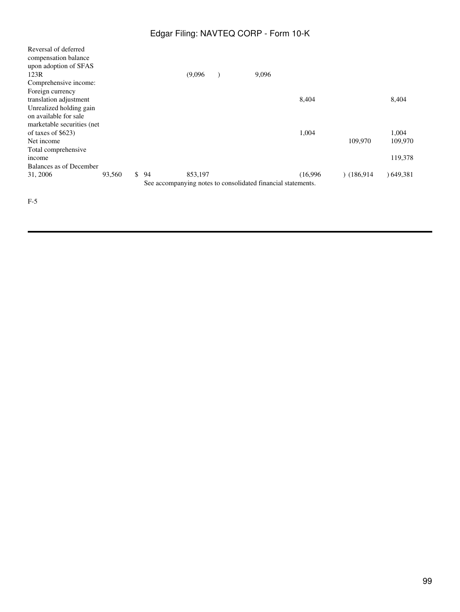| Reversal of deferred<br>compensation balance<br>upon adoption of SFAS |        |          |         |                                                              |          |           |           |
|-----------------------------------------------------------------------|--------|----------|---------|--------------------------------------------------------------|----------|-----------|-----------|
| 123R                                                                  |        |          | (9,096) | 9,096                                                        |          |           |           |
| Comprehensive income:                                                 |        |          |         |                                                              |          |           |           |
| Foreign currency                                                      |        |          |         |                                                              |          |           |           |
| translation adjustment                                                |        |          |         |                                                              | 8,404    |           | 8,404     |
| Unrealized holding gain                                               |        |          |         |                                                              |          |           |           |
| on available for sale                                                 |        |          |         |                                                              |          |           |           |
| marketable securities (net                                            |        |          |         |                                                              |          |           |           |
| of taxes of $$623)$                                                   |        |          |         |                                                              | 1,004    |           | 1,004     |
| Net income                                                            |        |          |         |                                                              |          | 109,970   | 109.970   |
| Total comprehensive                                                   |        |          |         |                                                              |          |           |           |
| income                                                                |        |          |         |                                                              |          |           | 119,378   |
| Balances as of December                                               |        |          |         |                                                              |          |           |           |
| 31, 2006                                                              | 93,560 | \$<br>94 | 853,197 |                                                              | (16.996) | (186.914) | 0.649,381 |
|                                                                       |        |          |         | See accompanying notes to consolidated financial statements. |          |           |           |

F-5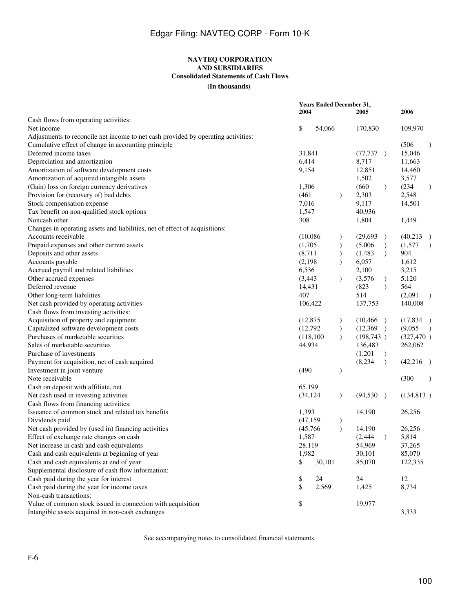# **NAVTEQ CORPORATION AND SUBSIDIARIES Consolidated Statements of Cash Flows**

**(In thousands)**

<span id="page-99-0"></span>

|                                                                                   | <b>Years Ended December 31,</b><br>2004 | 2006      |               |            |               |                           |
|-----------------------------------------------------------------------------------|-----------------------------------------|-----------|---------------|------------|---------------|---------------------------|
| Cash flows from operating activities:                                             |                                         |           |               |            |               |                           |
| Net income                                                                        | \$                                      | 54,066    |               | 170,830    |               | 109,970                   |
| Adjustments to reconcile net income to net cash provided by operating activities: |                                         |           |               |            |               |                           |
| Cumulative effect of change in accounting principle                               |                                         |           |               |            |               | (506)<br>$\lambda$        |
| Deferred income taxes                                                             | 31,841                                  |           |               | (77, 737)  |               | 15,046                    |
| Depreciation and amortization                                                     | 6,414                                   |           |               | 8,717      |               | 11,663                    |
| Amortization of software development costs                                        | 9,154                                   |           |               | 12,851     |               | 14,460                    |
| Amortization of acquired intangible assets                                        |                                         |           |               | 1,502      |               | 3,577                     |
| (Gain) loss on foreign currency derivatives                                       | 1,306                                   |           |               | (660)      | $\mathcal{L}$ | (234)<br>$\mathcal{Y}$    |
| Provision for (recovery of) bad debts                                             | (461)                                   |           | $\mathcal{F}$ | 2,303      |               | 2,548                     |
| Stock compensation expense                                                        | 7,016                                   |           |               | 9,117      |               | 14,501                    |
| Tax benefit on non-qualified stock options                                        | 1,547                                   |           |               | 40,936     |               |                           |
| Noncash other                                                                     | 308                                     |           |               | 1,804      |               | 1,449                     |
| Changes in operating assets and liabilities, net of effect of acquisitions:       |                                         |           |               |            |               |                           |
| Accounts receivable                                                               | (10,086)                                |           |               | (29,693)   | $\lambda$     | (40,213)<br>$\rightarrow$ |
| Prepaid expenses and other current assets                                         | (1,705)                                 |           |               | (5,006)    | $\mathcal{L}$ | (1,577)<br>$\lambda$      |
| Deposits and other assets                                                         | (8,711)                                 |           | $\mathcal{L}$ | (1,483)    | $\lambda$     | 904                       |
| Accounts payable                                                                  | (2,198)                                 |           | $\lambda$     | 6,057      |               | 1,612                     |
| Accrued payroll and related liabilities                                           | 6,536                                   |           |               | 2,100      |               | 3,215                     |
| Other accrued expenses                                                            | (3,443)                                 |           | $\mathcal{L}$ | (3,576)    | $\mathcal{L}$ | 5,120                     |
| Deferred revenue                                                                  | 14,431                                  |           |               | (823)      | $\lambda$     | 564                       |
| Other long-term liabilities                                                       | 407                                     |           |               | 514        |               | (2,091)<br>$\mathcal{E}$  |
| Net cash provided by operating activities                                         |                                         | 106,422   |               | 137,753    |               | 140,008                   |
| Cash flows from investing activities:                                             |                                         |           |               |            |               |                           |
| Acquisition of property and equipment                                             | (12, 875)                               |           | $\mathcal{F}$ | (10, 466)  | $\rightarrow$ | (17,834)                  |
| Capitalized software development costs                                            | (12,792)                                |           | $\mathcal{E}$ | (12, 369)  | $\rightarrow$ | (9,055)<br>$\lambda$      |
| Purchases of marketable securities                                                |                                         | (118,100) | $\lambda$     | (198, 743) |               | (327, 470)                |
| Sales of marketable securities                                                    | 44,934                                  |           |               | 136,483    |               |                           |
|                                                                                   |                                         |           |               |            |               | 262,062                   |
| Purchase of investments                                                           |                                         |           |               | (1,201)    | $\mathcal{L}$ |                           |
| Payment for acquisition, net of cash acquired                                     |                                         |           |               | (8,234)    | $\mathcal{L}$ | (42,216)                  |
| Investment in joint venture                                                       | (490)                                   |           |               |            |               |                           |
| Note receivable                                                                   |                                         |           |               |            |               | (300)                     |
| Cash on deposit with affiliate, net                                               | 65,199                                  |           |               |            |               |                           |
| Net cash used in investing activities                                             | (34, 124)                               |           | $\mathcal{L}$ | (94, 530)  | $\rightarrow$ | (134, 813)                |
| Cash flows from financing activities:                                             |                                         |           |               |            |               |                           |
| Issuance of common stock and related tax benefits                                 | 1,393                                   |           |               | 14,190     |               | 26,256                    |
| Dividends paid                                                                    | (47, 159)                               |           | $\mathcal{F}$ |            |               |                           |
| Net cash provided by (used in) financing activities                               | (45,766)                                |           | $\lambda$     | 14,190     |               | 26,256                    |
| Effect of exchange rate changes on cash                                           | 1,587                                   |           |               | (2, 444)   | $\lambda$     | 5,814                     |
| Net increase in cash and cash equivalents                                         | 28,119                                  |           |               | 54,969     |               | 37,265                    |
| Cash and cash equivalents at beginning of year                                    | 1,982                                   |           |               | 30,101     |               | 85,070                    |
| Cash and cash equivalents at end of year                                          | \$                                      | 30,101    |               | 85,070     |               | 122,335                   |
| Supplemental disclosure of cash flow information:                                 |                                         |           |               |            |               |                           |
| Cash paid during the year for interest                                            | \$                                      | 24        |               | 24         |               | 12                        |
| Cash paid during the year for income taxes                                        | \$                                      | 2,569     |               | 1,425      |               | 8,734                     |
| Non-cash transactions:                                                            |                                         |           |               |            |               |                           |
| Value of common stock issued in connection with acquisition                       | \$                                      |           |               | 19,977     |               |                           |
| Intangible assets acquired in non-cash exchanges                                  |                                         |           |               |            |               | 3,333                     |

See accompanying notes to consolidated financial statements.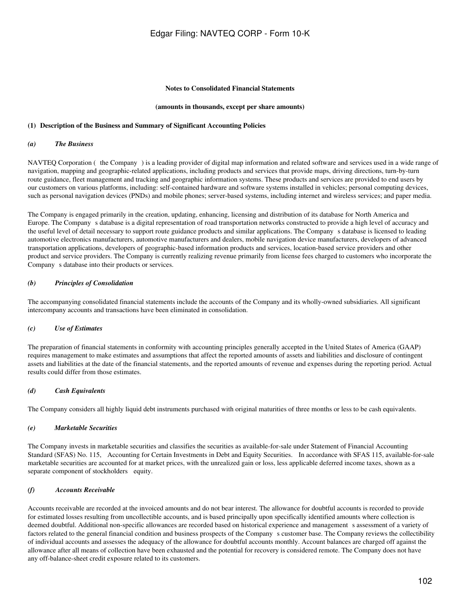#### **Notes to Consolidated Financial Statements**

#### **(amounts in thousands, except per share amounts)**

#### <span id="page-101-0"></span>**(1)Description of the Business and Summary of Significant Accounting Policies**

#### *(a) The Business*

NAVTEQ Corporation (the Company) is a leading provider of digital map information and related software and services used in a wide range of navigation, mapping and geographic-related applications, including products and services that provide maps, driving directions, turn-by-turn route guidance, fleet management and tracking and geographic information systems. These products and services are provided to end users by our customers on various platforms, including: self-contained hardware and software systems installed in vehicles; personal computing devices, such as personal navigation devices (PNDs) and mobile phones; server-based systems, including internet and wireless services; and paper media.

The Company is engaged primarily in the creation, updating, enhancing, licensing and distribution of its database for North America and Europe. The Companys database is a digital representation of road transportation networks constructed to provide a high level of accuracy and the useful level of detail necessary to support route guidance products and similar applications. The Companys database is licensed to leading automotive electronics manufacturers, automotive manufacturers and dealers, mobile navigation device manufacturers, developers of advanced transportation applications, developers of geographic-based information products and services, location-based service providers and other product and service providers. The Company is currently realizing revenue primarily from license fees charged to customers who incorporate the Company s database into their products or services.

#### *(b) Principles of Consolidation*

The accompanying consolidated financial statements include the accounts of the Company and its wholly-owned subsidiaries. All significant intercompany accounts and transactions have been eliminated in consolidation.

#### *(c) Use of Estimates*

The preparation of financial statements in conformity with accounting principles generally accepted in the United States of America (GAAP) requires management to make estimates and assumptions that affect the reported amounts of assets and liabilities and disclosure of contingent assets and liabilities at the date of the financial statements, and the reported amounts of revenue and expenses during the reporting period. Actual results could differ from those estimates.

#### *(d) Cash Equivalents*

The Company considers all highly liquid debt instruments purchased with original maturities of three months or less to be cash equivalents.

#### *(e) Marketable Securities*

The Company invests in marketable securities and classifies the securities as available-for-sale under Statement of Financial Accounting Standard (SFAS) No. 115, Accounting for Certain Investments in Debt and Equity Securities. In accordance with SFAS 115, available-for-sale marketable securities are accounted for at market prices, with the unrealized gain or loss, less applicable deferred income taxes, shown as a separate component of stockholders equity.

### *(f) Accounts Receivable*

Accounts receivable are recorded at the invoiced amounts and do not bear interest. The allowance for doubtful accounts is recorded to provide for estimated losses resulting from uncollectible accounts, and is based principally upon specifically identified amounts where collection is deemed doubtful. Additional non-specific allowances are recorded based on historical experience and management s assessment of a variety of factors related to the general financial condition and business prospects of the Company s customer base. The Company reviews the collectibility of individual accounts and assesses the adequacy of the allowance for doubtful accounts monthly. Account balances are charged off against the allowance after all means of collection have been exhausted and the potential for recovery is considered remote. The Company does not have any off-balance-sheet credit exposure related to its customers.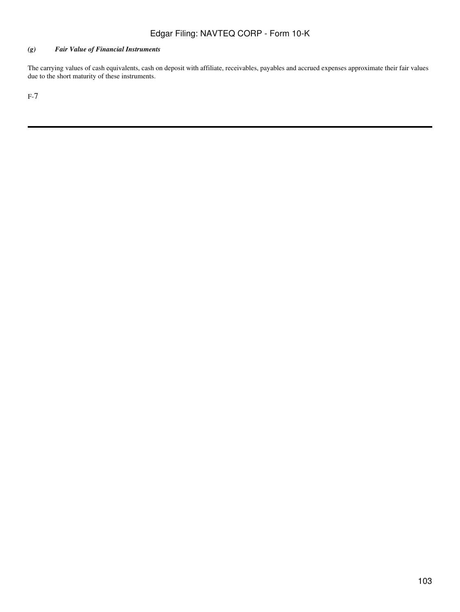### *(g) Fair Value of Financial Instruments*

The carrying values of cash equivalents, cash on deposit with affiliate, receivables, payables and accrued expenses approximate their fair values due to the short maturity of these instruments.

F-7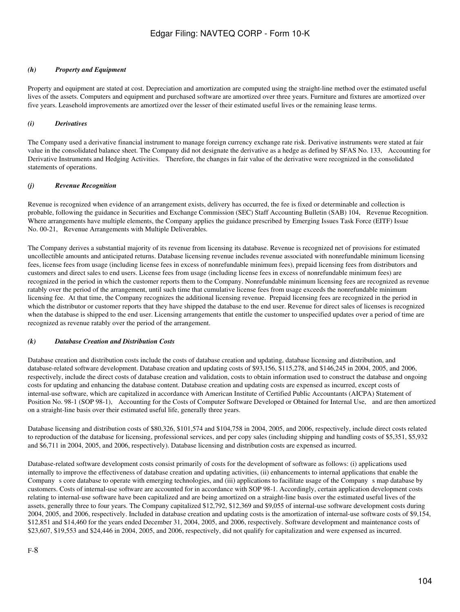### *(h) Property and Equipment*

Property and equipment are stated at cost. Depreciation and amortization are computed using the straight-line method over the estimated useful lives of the assets. Computers and equipment and purchased software are amortized over three years. Furniture and fixtures are amortized over five years. Leasehold improvements are amortized over the lesser of their estimated useful lives or the remaining lease terms.

### *(i) Derivatives*

The Company used a derivative financial instrument to manage foreign currency exchange rate risk. Derivative instruments were stated at fair value in the consolidated balance sheet. The Company did not designate the derivative as a hedge as defined by SFAS No. 133, Accounting for Derivative Instruments and Hedging Activities. Therefore, the changes in fair value of the derivative were recognized in the consolidated statements of operations.

### *(j) Revenue Recognition*

Revenue is recognized when evidence of an arrangement exists, delivery has occurred, the fee is fixed or determinable and collection is probable, following the guidance in Securities and Exchange Commission (SEC) Staff Accounting Bulletin (SAB) 104, Revenue Recognition. Where arrangements have multiple elements, the Company applies the guidance prescribed by Emerging Issues Task Force (EITF) Issue No. 00-21, Revenue Arrangements with Multiple Deliverables.

The Company derives a substantial majority of its revenue from licensing its database. Revenue is recognized net of provisions for estimated uncollectible amounts and anticipated returns. Database licensing revenue includes revenue associated with nonrefundable minimum licensing fees, license fees from usage (including license fees in excess of nonrefundable minimum fees), prepaid licensing fees from distributors and customers and direct sales to end users. License fees from usage (including license fees in excess of nonrefundable minimum fees) are recognized in the period in which the customer reports them to the Company. Nonrefundable minimum licensing fees are recognized as revenue ratably over the period of the arrangement, until such time that cumulative license fees from usage exceeds the nonrefundable minimum licensing fee. At that time, the Company recognizes the additional licensing revenue. Prepaid licensing fees are recognized in the period in which the distributor or customer reports that they have shipped the database to the end user. Revenue for direct sales of licenses is recognized when the database is shipped to the end user. Licensing arrangements that entitle the customer to unspecified updates over a period of time are recognized as revenue ratably over the period of the arrangement.

### *(k) Database Creation and Distribution Costs*

Database creation and distribution costs include the costs of database creation and updating, database licensing and distribution, and database-related software development. Database creation and updating costs of \$93,156, \$115,278, and \$146,245 in 2004, 2005, and 2006, respectively, include the direct costs of database creation and validation, costs to obtain information used to construct the database and ongoing costs for updating and enhancing the database content. Database creation and updating costs are expensed as incurred, except costs of internal-use software, which are capitalized in accordance with American Institute of Certified Public Accountants (AICPA) Statement of Position No. 98-1 (SOP 98-1), Accounting for the Costs of Computer Software Developed or Obtained for Internal Use, and are then amortized on a straight-line basis over their estimated useful life, generally three years.

Database licensing and distribution costs of \$80,326, \$101,574 and \$104,758 in 2004, 2005, and 2006, respectively, include direct costs related to reproduction of the database for licensing, professional services, and per copy sales (including shipping and handling costs of \$5,351, \$5,932 and \$6,711 in 2004, 2005, and 2006, respectively). Database licensing and distribution costs are expensed as incurred.

Database-related software development costs consist primarily of costs for the development of software as follows: (i) applications used internally to improve the effectiveness of database creation and updating activities, (ii) enhancements to internal applications that enable the Company s core database to operate with emerging technologies, and (iii) applications to facilitate usage of the Company s map database by customers. Costs of internal-use software are accounted for in accordance with SOP 98-1. Accordingly, certain application development costs relating to internal-use software have been capitalized and are being amortized on a straight-line basis over the estimated useful lives of the assets, generally three to four years. The Company capitalized \$12,792, \$12,369 and \$9,055 of internal-use software development costs during 2004, 2005, and 2006, respectively. Included in database creation and updating costs is the amortization of internal-use software costs of \$9,154, \$12,851 and \$14,460 for the years ended December 31, 2004, 2005, and 2006, respectively. Software development and maintenance costs of \$23,607, \$19,553 and \$24,446 in 2004, 2005, and 2006, respectively, did not qualify for capitalization and were expensed as incurred.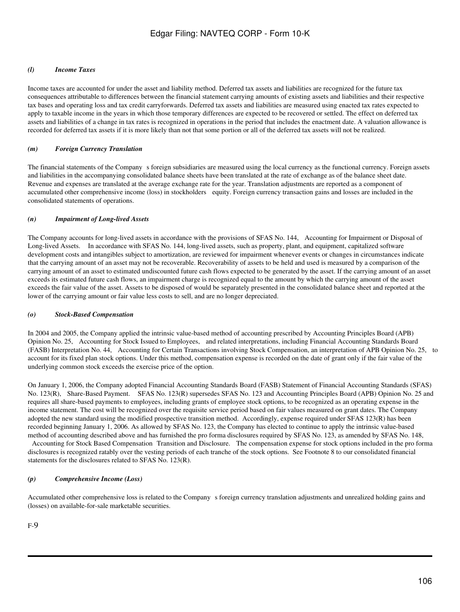### *(l) Income Taxes*

Income taxes are accounted for under the asset and liability method. Deferred tax assets and liabilities are recognized for the future tax consequences attributable to differences between the financial statement carrying amounts of existing assets and liabilities and their respective tax bases and operating loss and tax credit carryforwards. Deferred tax assets and liabilities are measured using enacted tax rates expected to apply to taxable income in the years in which those temporary differences are expected to be recovered or settled. The effect on deferred tax assets and liabilities of a change in tax rates is recognized in operations in the period that includes the enactment date. A valuation allowance is recorded for deferred tax assets if it is more likely than not that some portion or all of the deferred tax assets will not be realized.

### *(m) Foreign Currency Translation*

The financial statements of the Company s foreign subsidiaries are measured using the local currency as the functional currency. Foreign assets and liabilities in the accompanying consolidated balance sheets have been translated at the rate of exchange as of the balance sheet date. Revenue and expenses are translated at the average exchange rate for the year. Translation adjustments are reported as a component of accumulated other comprehensive income (loss) in stockholders equity. Foreign currency transaction gains and losses are included in the consolidated statements of operations.

### *(n) Impairment of Long-lived Assets*

The Company accounts for long-lived assets in accordance with the provisions of SFAS No. 144, Accounting for Impairment or Disposal of Long-lived Assets. In accordance with SFAS No. 144, long-lived assets, such as property, plant, and equipment, capitalized software development costs and intangibles subject to amortization, are reviewed for impairment whenever events or changes in circumstances indicate that the carrying amount of an asset may not be recoverable. Recoverability of assets to be held and used is measured by a comparison of the carrying amount of an asset to estimated undiscounted future cash flows expected to be generated by the asset. If the carrying amount of an asset exceeds its estimated future cash flows, an impairment charge is recognized equal to the amount by which the carrying amount of the asset exceeds the fair value of the asset. Assets to be disposed of would be separately presented in the consolidated balance sheet and reported at the lower of the carrying amount or fair value less costs to sell, and are no longer depreciated.

### *(o) Stock-Based Compensation*

In 2004 and 2005, the Company applied the intrinsic value-based method of accounting prescribed by Accounting Principles Board (APB) Opinion No. 25, Accounting for Stock Issued to Employees, and related interpretations, including Financial Accounting Standards Board (FASB) Interpretation No. 44, Accounting for Certain Transactions involving Stock Compensation, an interpretation of APB Opinion No. 25, to account for its fixed plan stock options. Under this method, compensation expense is recorded on the date of grant only if the fair value of the underlying common stock exceeds the exercise price of the option.

On January 1, 2006, the Company adopted Financial Accounting Standards Board (FASB) Statement of Financial Accounting Standards (SFAS) No. 123(R), Share-Based Payment. SFAS No. 123(R) supersedes SFAS No. 123 and Accounting Principles Board (APB) Opinion No. 25 and requires all share-based payments to employees, including grants of employee stock options, to be recognized as an operating expense in the income statement. The cost will be recognized over the requisite service period based on fair values measured on grant dates. The Company adopted the new standard using the modified prospective transition method. Accordingly, expense required under SFAS 123(R) has been recorded beginning January 1, 2006. As allowed by SFAS No. 123, the Company has elected to continue to apply the intrinsic value-based method of accounting described above and has furnished the pro forma disclosures required by SFAS No. 123, as amended by SFAS No. 148,

Accounting for Stock Based Compensation Transition and Disclosure. The compensation expense for stock options included in the pro forma disclosures is recognized ratably over the vesting periods of each tranche of the stock options. See Footnote 8 to our consolidated financial statements for the disclosures related to SFAS No. 123(R).

### *(p) Comprehensive Income (Loss)*

Accumulated other comprehensive loss is related to the Company s foreign currency translation adjustments and unrealized holding gains and (losses) on available-for-sale marketable securities.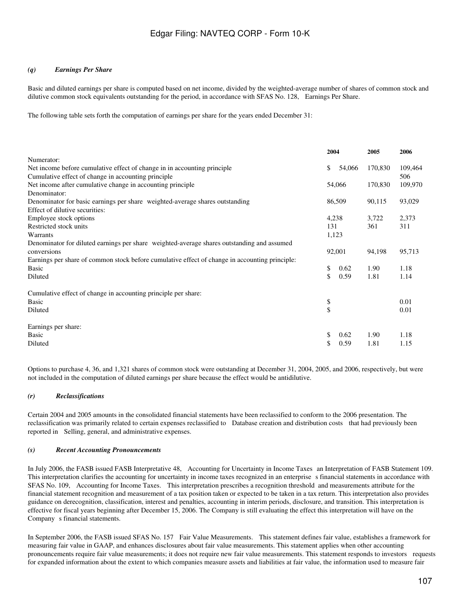### *(q) Earnings Per Share*

Basic and diluted earnings per share is computed based on net income, divided by the weighted-average number of shares of common stock and dilutive common stock equivalents outstanding for the period, in accordance with SFAS No. 128, Earnings Per Share.

The following table sets forth the computation of earnings per share for the years ended December 31:

|                                                                                                |        | 2004   | 2005    | 2006    |  |
|------------------------------------------------------------------------------------------------|--------|--------|---------|---------|--|
| Numerator:                                                                                     |        |        |         |         |  |
| Net income before cumulative effect of change in in accounting principle                       | \$     | 54,066 | 170,830 | 109,464 |  |
| Cumulative effect of change in accounting principle                                            |        |        |         | 506     |  |
| Net income after cumulative change in accounting principle                                     |        | 54,066 | 170,830 | 109,970 |  |
| Denominator:                                                                                   |        |        |         |         |  |
| Denominator for basic earnings per share weighted-average shares outstanding                   |        | 86,509 | 90,115  | 93,029  |  |
| Effect of dilutive securities:                                                                 |        |        |         |         |  |
| Employee stock options                                                                         | 4,238  |        | 3,722   | 2,373   |  |
| Restricted stock units                                                                         | 131    |        | 361     | 311     |  |
| Warrants                                                                                       | 1,123  |        |         |         |  |
| Denominator for diluted earnings per share weighted-average shares outstanding and assumed     |        |        |         |         |  |
| conversions                                                                                    | 92,001 |        | 94,198  | 95,713  |  |
| Earnings per share of common stock before cumulative effect of change in accounting principle: |        |        |         |         |  |
| <b>Basic</b>                                                                                   | \$     | 0.62   | 1.90    | 1.18    |  |
| Diluted                                                                                        | \$     | 0.59   | 1.81    | 1.14    |  |
| Cumulative effect of change in accounting principle per share:                                 |        |        |         |         |  |
| <b>Basic</b>                                                                                   | \$     |        |         | 0.01    |  |
| Diluted                                                                                        | \$     |        |         | 0.01    |  |
| Earnings per share:                                                                            |        |        |         |         |  |
| Basic                                                                                          | \$     | 0.62   | 1.90    | 1.18    |  |
| Diluted                                                                                        | \$     | 0.59   | 1.81    | 1.15    |  |

Options to purchase 4, 36, and 1,321 shares of common stock were outstanding at December 31, 2004, 2005, and 2006, respectively, but were not included in the computation of diluted earnings per share because the effect would be antidilutive.

### *(r) Reclassifications*

Certain 2004 and 2005 amounts in the consolidated financial statements have been reclassified to conform to the 2006 presentation. The reclassification was primarily related to certain expenses reclassified to Database creation and distribution costs that had previously been reported in Selling, general, and administrative expenses.

#### *(s) Recent Accounting Pronouncements*

In July 2006, the FASB issued FASB Interpretative 48, Accounting for Uncertainty in Income Taxes an Interpretation of FASB Statement 109. This interpretation clarifies the accounting for uncertainty in income taxes recognized in an enterprise s financial statements in accordance with SFAS No. 109, Accounting for Income Taxes. This interpretation prescribes a recognition threshold and measurements attribute for the financial statement recognition and measurement of a tax position taken or expected to be taken in a tax return. This interpretation also provides guidance on derecognition, classification, interest and penalties, accounting in interim periods, disclosure, and transition. This interpretation is effective for fiscal years beginning after December 15, 2006. The Company is still evaluating the effect this interpretation will have on the Company s financial statements.

In September 2006, the FASB issued SFAS No. 157 Fair Value Measurements. This statement defines fair value, establishes a framework for measuring fair value in GAAP, and enhances disclosures about fair value measurements. This statement applies when other accounting pronouncements require fair value measurements; it does not require new fair value measurements. This statement responds to investors requests for expanded information about the extent to which companies measure assets and liabilities at fair value, the information used to measure fair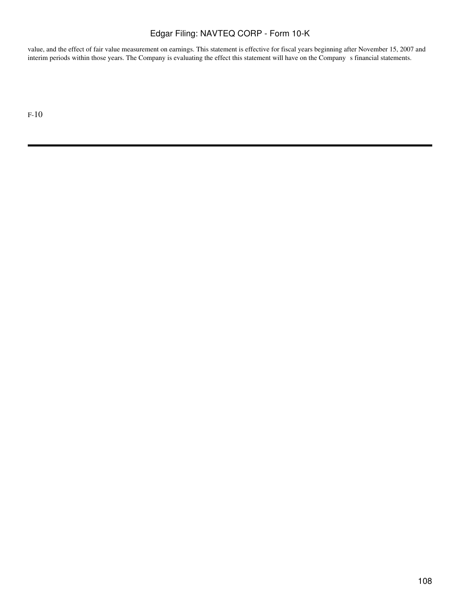value, and the effect of fair value measurement on earnings. This statement is effective for fiscal years beginning after November 15, 2007 and interim periods within those years. The Company is evaluating the effect this statement will have on the Company s financial statements.

F-10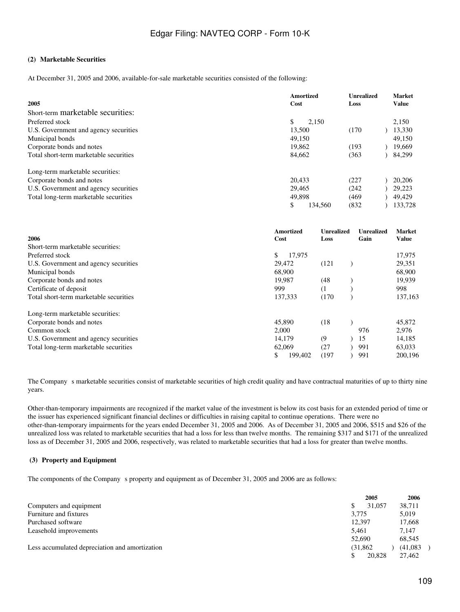## **(2)Marketable Securities**

At December 31, 2005 and 2006, available-for-sale marketable securities consisted of the following:

| 2005                                   | Amortized<br>Cost | <b>Unrealized</b><br>Loss | <b>Market</b><br><b>Value</b> |
|----------------------------------------|-------------------|---------------------------|-------------------------------|
| Short-term marketable securities:      |                   |                           |                               |
| Preferred stock                        | 2.150             |                           | 2,150                         |
| U.S. Government and agency securities  | 13,500            | (170)                     | 13,330                        |
| Municipal bonds                        | 49,150            |                           | 49.150                        |
| Corporate bonds and notes              | 19,862            | (193)                     | 19,669                        |
| Total short-term marketable securities | 84,662            | (363                      | 84,299                        |
| Long-term marketable securities:       |                   |                           |                               |
| Corporate bonds and notes              | 20.433            | (227                      | 20,206                        |
| U.S. Government and agency securities  | 29.465            | (242)                     | 29.223                        |
| Total long-term marketable securities  | 49,898            | (469)                     | 49.429                        |
|                                        | 134.560           | (832)                     | 133.728                       |

|                                        | Amortized     | Unrealized | Unrealized | <b>Market</b> |
|----------------------------------------|---------------|------------|------------|---------------|
| 2006                                   | Cost          | Loss       | Gain       | <b>Value</b>  |
| Short-term marketable securities:      |               |            |            |               |
| Preferred stock                        | \$<br>17,975  |            |            | 17,975        |
| U.S. Government and agency securities  | 29,472        | (121)      |            | 29,351        |
| Municipal bonds                        | 68,900        |            |            | 68,900        |
| Corporate bonds and notes              | 19.987        | (48)       |            | 19,939        |
| Certificate of deposit                 | 999           | (1)        |            | 998           |
| Total short-term marketable securities | 137,333       | (170)      |            | 137,163       |
| Long-term marketable securities:       |               |            |            |               |
| Corporate bonds and notes              | 45,890        | (18)       |            | 45,872        |
| Common stock                           | 2.000         |            | 976        | 2,976         |
| U.S. Government and agency securities  | 14,179        | (9)        | 15         | 14,185        |
| Total long-term marketable securities  | 62,069        | (27        | 991        | 63,033        |
|                                        | \$<br>199,402 | (197)      | 991        | 200,196       |

The Company s marketable securities consist of marketable securities of high credit quality and have contractual maturities of up to thirty nine years.

Other-than-temporary impairments are recognized if the market value of the investment is below its cost basis for an extended period of time or the issuer has experienced significant financial declines or difficulties in raising capital to continue operations. There were no other-than-temporary impairments for the years ended December 31, 2005 and 2006. As of December 31, 2005 and 2006, \$515 and \$26 of the unrealized loss was related to marketable securities that had a loss for less than twelve months. The remaining \$317 and \$171 of the unrealized loss as of December 31, 2005 and 2006, respectively, was related to marketable securities that had a loss for greater than twelve months.

#### **(3) Property and Equipment**

The components of the Company s property and equipment as of December 31, 2005 and 2006 are as follows:

|                                                | 2005         | 2006     |
|------------------------------------------------|--------------|----------|
| Computers and equipment                        | 31,057<br>\$ | 38,711   |
| Furniture and fixtures                         | 3,775        | 5,019    |
| Purchased software                             | 12.397       | 17,668   |
| Leasehold improvements                         | 5.461        | 7.147    |
|                                                | 52,690       | 68.545   |
| Less accumulated depreciation and amortization | (31.862)     | (41,083) |
|                                                | 20,828<br>\$ | 27.462   |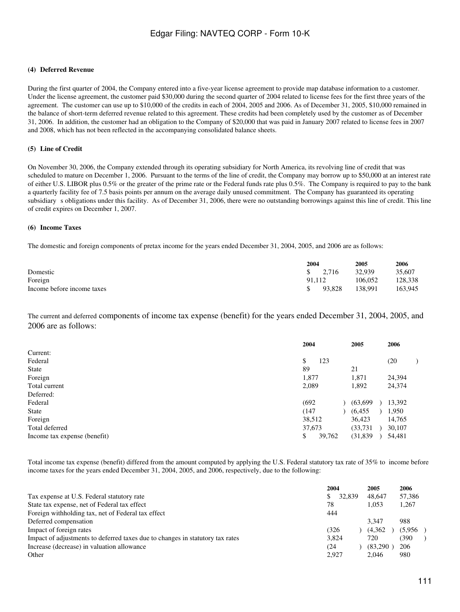#### **(4) Deferred Revenue**

During the first quarter of 2004, the Company entered into a five-year license agreement to provide map database information to a customer. Under the license agreement, the customer paid \$30,000 during the second quarter of 2004 related to license fees for the first three years of the agreement. The customer can use up to \$10,000 of the credits in each of 2004, 2005 and 2006. As of December 31, 2005, \$10,000 remained in the balance of short-term deferred revenue related to this agreement. These credits had been completely used by the customer as of December 31, 2006. In addition, the customer had an obligation to the Company of \$20,000 that was paid in January 2007 related to license fees in 2007 and 2008, which has not been reflected in the accompanying consolidated balance sheets.

#### **(5)Line of Credit**

On November 30, 2006, the Company extended through its operating subsidiary for North America, its revolving line of credit that was scheduled to mature on December 1, 2006. Pursuant to the terms of the line of credit, the Company may borrow up to \$50,000 at an interest rate of either U.S. LIBOR plus 0.5% or the greater of the prime rate or the Federal funds rate plus 0.5%. The Company is required to pay to the bank a quarterly facility fee of 7.5 basis points per annum on the average daily unused commitment. The Company has guaranteed its operating subsidiary s obligations under this facility. As of December 31, 2006, there were no outstanding borrowings against this line of credit. This line of credit expires on December 1, 2007.

#### **(6)Income Taxes**

The domestic and foreign components of pretax income for the years ended December 31, 2004, 2005, and 2006 are as follows:

|                            | 2004          |                    | 2005    | 2006    |
|----------------------------|---------------|--------------------|---------|---------|
| Domestic                   |               | $\frac{\$}{2.716}$ | 32.939  | 35,607  |
| Foreign                    | 91.112        |                    | 106.052 | 128.338 |
| Income before income taxes | $\mathcal{S}$ | 93.828             | 138.991 | 163.945 |

The current and deferred components of income tax expense (benefit) for the years ended December 31, 2004, 2005, and 2006 are as follows:

|                              | 2004   |        | 2005      | 2006   |  |
|------------------------------|--------|--------|-----------|--------|--|
| Current:                     |        |        |           |        |  |
| Federal                      | \$     | 123    |           | (20)   |  |
| <b>State</b>                 | 89     |        | 21        |        |  |
| Foreign                      | 1,877  |        | 1,871     | 24,394 |  |
| Total current                | 2.089  |        | 1,892     | 24,374 |  |
| Deferred:                    |        |        |           |        |  |
| Federal                      | (692)  |        | (63, 699) | 13,392 |  |
| <b>State</b>                 | (147)  |        | (6, 455)  | 1,950  |  |
| Foreign                      | 38,512 |        | 36,423    | 14,765 |  |
| Total deferred               | 37,673 |        | (33, 731) | 30,107 |  |
| Income tax expense (benefit) | \$     | 39,762 | (31, 839) | 54,481 |  |
|                              |        |        |           |        |  |

Total income tax expense (benefit) differed from the amount computed by applying the U.S. Federal statutory tax rate of 35% to income before income taxes for the years ended December 31, 2004, 2005, and 2006, respectively, due to the following:

|                                                                               | 2004  |        | 2005     | 2006    |  |
|-------------------------------------------------------------------------------|-------|--------|----------|---------|--|
| Tax expense at U.S. Federal statutory rate                                    | \$.   | 32,839 | 48.647   | 57.386  |  |
| State tax expense, net of Federal tax effect                                  | 78    |        | 1.053    | 1,267   |  |
| Foreign withholding tax, net of Federal tax effect                            | 444   |        |          |         |  |
| Deferred compensation                                                         |       |        | 3.347    | 988     |  |
| Impact of foreign rates                                                       | (326) |        | (4,362)  | (5,956) |  |
| Impact of adjustments to deferred taxes due to changes in statutory tax rates | 3.824 |        | 720      | 1390    |  |
| Increase (decrease) in valuation allowance                                    | (24)  |        | (83,290) | 206     |  |
| Other                                                                         | 2.927 |        | 2.046    | 980     |  |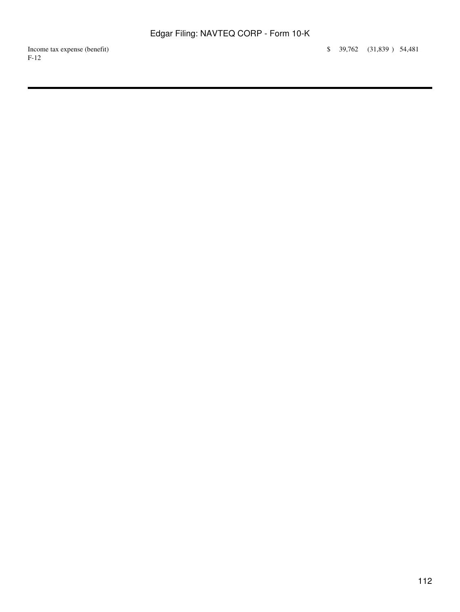Income tax expense (benefit) \$ 39,762 (31,839 ) 54,481 F-12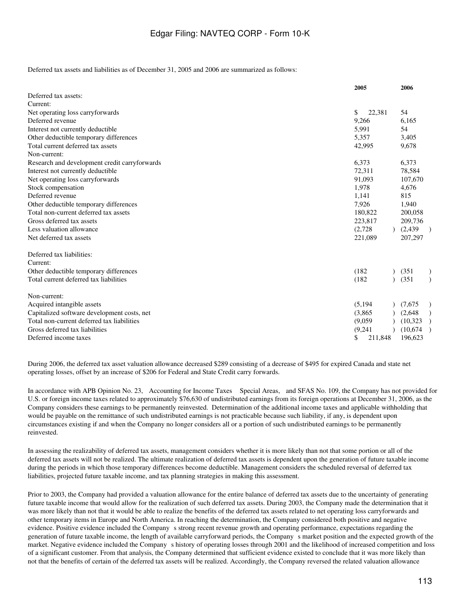Deferred tax assets and liabilities as of December 31, 2005 and 2006 are summarized as follows:

|                                               | 2005          | 2006      |               |
|-----------------------------------------------|---------------|-----------|---------------|
| Deferred tax assets:                          |               |           |               |
| Current:                                      |               |           |               |
| Net operating loss carryforwards              | \$<br>22,381  | 54        |               |
| Deferred revenue                              | 9,266         | 6,165     |               |
| Interest not currently deductible             | 5,991         | 54        |               |
| Other deductible temporary differences        | 5,357         | 3,405     |               |
| Total current deferred tax assets             | 42,995        | 9,678     |               |
| Non-current:                                  |               |           |               |
| Research and development credit carryforwards | 6,373         | 6,373     |               |
| Interest not currently deductible             | 72,311        | 78,584    |               |
| Net operating loss carryforwards              | 91,093        | 107,670   |               |
| Stock compensation                            | 1,978         | 4,676     |               |
| Deferred revenue                              | 1,141         | 815       |               |
| Other deductible temporary differences        | 7,926         | 1,940     |               |
| Total non-current deferred tax assets         | 180,822       | 200,058   |               |
| Gross deferred tax assets                     | 223,817       | 209,736   |               |
| Less valuation allowance                      | (2,728)       | (2, 439)  | $\rightarrow$ |
| Net deferred tax assets                       | 221,089       | 207,297   |               |
| Deferred tax liabilities:                     |               |           |               |
| Current:                                      |               |           |               |
| Other deductible temporary differences        | (182)         | (351)     | $\mathcal{E}$ |
| Total current deferred tax liabilities        | (182)         | (351)     |               |
| Non-current:                                  |               |           |               |
| Acquired intangible assets                    | (5, 194)      | (7,675)   | $\mathcal{E}$ |
| Capitalized software development costs, net   | (3,865)       | (2,648)   |               |
| Total non-current deferred tax liabilities    | (9.059)       | (10, 323) | $\rightarrow$ |
| Gross deferred tax liabilities                | (9,241)       | (10,674)  | $\rightarrow$ |
| Deferred income taxes                         | \$<br>211,848 | 196,623   |               |

During 2006, the deferred tax asset valuation allowance decreased \$289 consisting of a decrease of \$495 for expired Canada and state net operating losses, offset by an increase of \$206 for Federal and State Credit carry forwards.

In accordance with APB Opinion No. 23, Accounting for Income Taxes Special Areas, and SFAS No. 109, the Company has not provided for U.S. or foreign income taxes related to approximately \$76,630 of undistributed earnings from its foreign operations at December 31, 2006, as the Company considers these earnings to be permanently reinvested. Determination of the additional income taxes and applicable withholding that would be payable on the remittance of such undistributed earnings is not practicable because such liability, if any, is dependent upon circumstances existing if and when the Company no longer considers all or a portion of such undistributed earnings to be permanently reinvested.

In assessing the realizability of deferred tax assets, management considers whether it is more likely than not that some portion or all of the deferred tax assets will not be realized. The ultimate realization of deferred tax assets is dependent upon the generation of future taxable income during the periods in which those temporary differences become deductible. Management considers the scheduled reversal of deferred tax liabilities, projected future taxable income, and tax planning strategies in making this assessment.

Prior to 2003, the Company had provided a valuation allowance for the entire balance of deferred tax assets due to the uncertainty of generating future taxable income that would allow for the realization of such deferred tax assets. During 2003, the Company made the determination that it was more likely than not that it would be able to realize the benefits of the deferred tax assets related to net operating loss carryforwards and other temporary items in Europe and North America. In reaching the determination, the Company considered both positive and negative evidence. Positive evidence included the Company s strong recent revenue growth and operating performance, expectations regarding the generation of future taxable income, the length of available carryforward periods, the Companys market position and the expected growth of the market. Negative evidence included the Companys history of operating losses through 2001 and the likelihood of increased competition and loss of a significant customer. From that analysis, the Company determined that sufficient evidence existed to conclude that it was more likely than not that the benefits of certain of the deferred tax assets will be realized. Accordingly, the Company reversed the related valuation allowance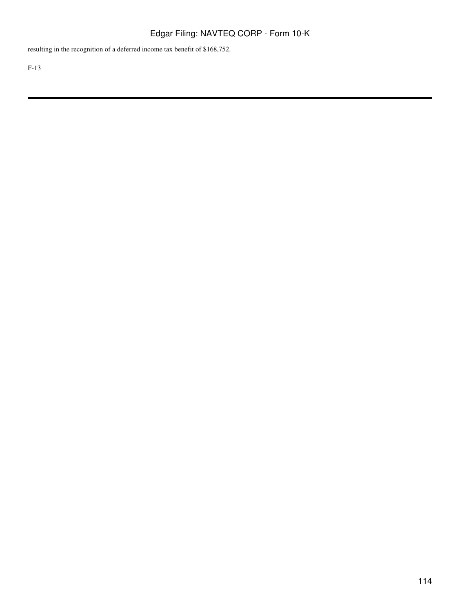resulting in the recognition of a deferred income tax benefit of \$168,752.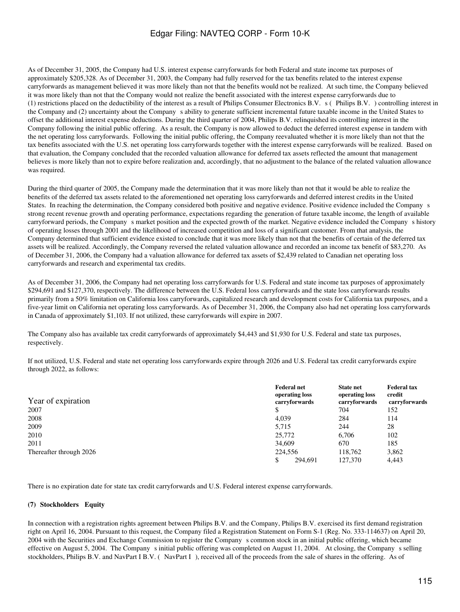As of December 31, 2005, the Company had U.S. interest expense carryforwards for both Federal and state income tax purposes of approximately \$205,328. As of December 31, 2003, the Company had fully reserved for the tax benefits related to the interest expense carryforwards as management believed it was more likely than not that the benefits would not be realized. At such time, the Company believed it was more likely than not that the Company would not realize the benefit associated with the interest expense carryforwards due to (1) restrictions placed on the deductibility of the interest as a result of Philips Consumer Electronics B.V. s (Philips B.V.) controlling interest in the Company and (2) uncertainty about the Companys ability to generate sufficient incremental future taxable income in the United States to offset the additional interest expense deductions. During the third quarter of 2004, Philips B.V. relinquished its controlling interest in the Company following the initial public offering. As a result, the Company is now allowed to deduct the deferred interest expense in tandem with the net operating loss carryforwards. Following the initial public offering, the Company reevaluated whether it is more likely than not that the tax benefits associated with the U.S. net operating loss carryforwards together with the interest expense carryforwards will be realized. Based on that evaluation, the Company concluded that the recorded valuation allowance for deferred tax assets reflected the amount that management believes is more likely than not to expire before realization and, accordingly, that no adjustment to the balance of the related valuation allowance was required.

During the third quarter of 2005, the Company made the determination that it was more likely than not that it would be able to realize the benefits of the deferred tax assets related to the aforementioned net operating loss carryforwards and deferred interest credits in the United States. In reaching the determination, the Company considered both positive and negative evidence. Positive evidence included the Companys strong recent revenue growth and operating performance, expectations regarding the generation of future taxable income, the length of available carryforward periods, the Company s market position and the expected growth of the market. Negative evidence included the Company s history of operating losses through 2001 and the likelihood of increased competition and loss of a significant customer. From that analysis, the Company determined that sufficient evidence existed to conclude that it was more likely than not that the benefits of certain of the deferred tax assets will be realized. Accordingly, the Company reversed the related valuation allowance and recorded an income tax benefit of \$83,270. As of December 31, 2006, the Company had a valuation allowance for deferred tax assets of \$2,439 related to Canadian net operating loss carryforwards and research and experimental tax credits.

As of December 31, 2006, the Company had net operating loss carryforwards for U.S. Federal and state income tax purposes of approximately \$294,691 and \$127,370, respectively. The difference between the U.S. Federal loss carryforwards and the state loss carryforwards results primarily from a 50% limitation on California loss carryforwards, capitalized research and development costs for California tax purposes, and a five-year limit on California net operating loss carryforwards. As of December 31, 2006, the Company also had net operating loss carryforwards in Canada of approximately \$1,103. If not utilized, these carryforwards will expire in 2007.

The Company also has available tax credit carryforwards of approximately \$4,443 and \$1,930 for U.S. Federal and state tax purposes, respectively.

If not utilized, U.S. Federal and state net operating loss carryforwards expire through 2026 and U.S. Federal tax credit carryforwards expire through 2022, as follows:

| Year of expiration      | <b>Federal net</b><br>operating loss<br>carryforwards | <b>State net</b><br>operating loss<br>carryforwards | <b>Federal tax</b><br>credit<br>carryforwards |
|-------------------------|-------------------------------------------------------|-----------------------------------------------------|-----------------------------------------------|
| 2007                    | \$                                                    | 704                                                 | 152                                           |
| 2008                    | 4,039                                                 | 284                                                 | 114                                           |
| 2009                    | 5.715                                                 | 244                                                 | 28                                            |
| 2010                    | 25,772                                                | 6,706                                               | 102                                           |
| 2011                    | 34,609                                                | 670                                                 | 185                                           |
| Thereafter through 2026 | 224,556                                               | 118.762                                             | 3,862                                         |
|                         | \$<br>294,691                                         | 127,370                                             | 4.443                                         |

There is no expiration date for state tax credit carryforwards and U.S. Federal interest expense carryforwards.

#### (7) Stockholders Equity

In connection with a registration rights agreement between Philips B.V. and the Company, Philips B.V. exercised its first demand registration right on April 16, 2004. Pursuant to this request, the Company filed a Registration Statement on Form S-1 (Reg. No. 333-114637) on April 20, 2004 with the Securities and Exchange Commission to register the Companys common stock in an initial public offering, which became effective on August 5, 2004. The Company s initial public offering was completed on August 11, 2004. At closing, the Company s selling stockholders, Philips B.V. and NavPart I B.V. (NavPart I), received all of the proceeds from the sale of shares in the offering. As of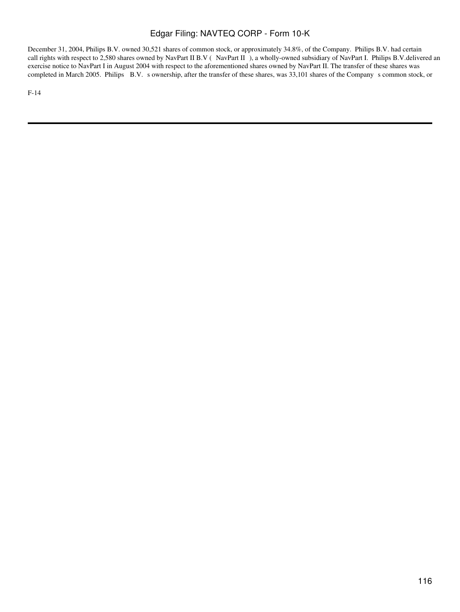December 31, 2004, Philips B.V. owned 30,521 shares of common stock, or approximately 34.8%, of the Company. Philips B.V. had certain call rights with respect to 2,580 shares owned by NavPart II B.V (NavPart II), a wholly-owned subsidiary of NavPart I. Philips B.V.delivered an exercise notice to NavPart I in August 2004 with respect to the aforementioned shares owned by NavPart II. The transfer of these shares was completed in March 2005. Philips B.V. s ownership, after the transfer of these shares, was 33,101 shares of the Company s common stock, or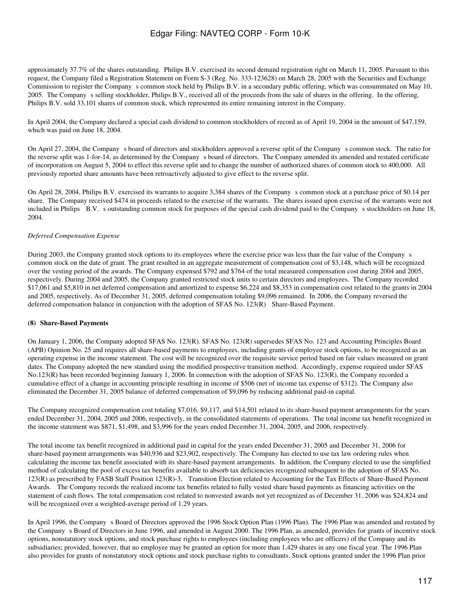approximately 37.7% of the shares outstanding. Philips B.V. exercised its second demand registration right on March 11, 2005. Pursuant to this request, the Company filed a Registration Statement on Form S-3 (Reg. No. 333-123628) on March 28, 2005 with the Securities and Exchange Commission to register the Company s common stock held by Philips B.V. in a secondary public offering, which was consummated on May 10, 2005. The Companys selling stockholder, Philips B.V., received all of the proceeds from the sale of shares in the offering. In the offering, Philips B.V. sold 33,101 shares of common stock, which represented its entire remaining interest in the Company.

In April 2004, the Company declared a special cash dividend to common stockholders of record as of April 19, 2004 in the amount of \$47,159, which was paid on June 18, 2004.

On April 27, 2004, the Company s board of directors and stockholders approved a reverse split of the Company s common stock. The ratio for the reverse split was 1-for-14, as determined by the Companys board of directors. The Company amended its amended and restated certificate of incorporation on August 5, 2004 to effect this reverse split and to change the number of authorized shares of common stock to 400,000. All previously reported share amounts have been retroactively adjusted to give effect to the reverse split.

On April 28, 2004, Philips B.V. exercised its warrants to acquire 3,384 shares of the Companys common stock at a purchase price of \$0.14 per share. The Company received \$474 in proceeds related to the exercise of the warrants. The shares issued upon exercise of the warrants were not included in Philips B.V. s outstanding common stock for purposes of the special cash dividend paid to the Company s stockholders on June 18, 2004.

#### *Deferred Compensation Expense*

During 2003, the Company granted stock options to its employees where the exercise price was less than the fair value of the Company s common stock on the date of grant. The grant resulted in an aggregate measurement of compensation cost of \$3,148, which will be recognized over the vesting period of the awards. The Company expensed \$792 and \$764 of the total measured compensation cost during 2004 and 2005, respectively. During 2004 and 2005, the Company granted restricted stock units to certain directors and employees. The Company recorded \$17,061 and \$5,810 in net deferred compensation and amortized to expense \$6,224 and \$8,353 in compensation cost related to the grants in 2004 and 2005, respectively. As of December 31, 2005, deferred compensation totaling \$9,096 remained. In 2006, the Company reversed the deferred compensation balance in conjunction with the adoption of SFAS No. 123(R) Share-Based Payment.

#### **(8) Share-Based Payments**

On January 1, 2006, the Company adopted SFAS No. 123(R). SFAS No. 123(R) supersedes SFAS No. 123 and Accounting Principles Board (APB) Opinion No. 25 and requires all share-based payments to employees, including grants of employee stock options, to be recognized as an operating expense in the income statement. The cost will be recognized over the requisite service period based on fair values measured on grant dates. The Company adopted the new standard using the modified prospective transition method. Accordingly, expense required under SFAS No.123(R) has been recorded beginning January 1, 2006. In connection with the adoption of SFAS No. 123(R), the Company recorded a cumulative effect of a change in accounting principle resulting in income of \$506 (net of income tax expense of \$312). The Company also eliminated the December 31, 2005 balance of deferred compensation of \$9,096 by reducing additional paid-in capital.

The Company recognized compensation cost totaling \$7,016, \$9,117, and \$14,501 related to its share-based payment arrangements for the years ended December 31, 2004, 2005 and 2006, respectively, in the consolidated statements of operations. The total income tax benefit recognized in the income statement was \$871, \$1,498, and \$3,996 for the years ended December 31, 2004, 2005, and 2006, respectively.

The total income tax benefit recognized in additional paid in capital for the years ended December 31, 2005 and December 31, 2006 for share-based payment arrangements was \$40,936 and \$23,902, respectively. The Company has elected to use tax law ordering rules when calculating the income tax benefit associated with its share-based payment arrangements. In addition, the Company elected to use the simplified method of calculating the pool of excess tax benefits available to absorb tax deficiencies recognized subsequent to the adoption of SFAS No. 123(R) as prescribed by FASB Staff Position 123(R)-3, Transition Election related to Accounting for the Tax Effects of Share-Based Payment Awards. The Company records the realized income tax benefits related to fully vested share based payments as financing activities on the statement of cash flows. The total compensation cost related to nonvested awards not yet recognized as of December 31, 2006 was \$24,824 and will be recognized over a weighted-average period of 1.29 years.

In April 1996, the Company s Board of Directors approved the 1996 Stock Option Plan (1996 Plan). The 1996 Plan was amended and restated by the Company s Board of Directors in June 1996, and amended in August 2000. The 1996 Plan, as amended, provides for grants of incentive stock options, nonstatutory stock options, and stock purchase rights to employees (including employees who are officers) of the Company and its subsidiaries; provided, however, that no employee may be granted an option for more than 1,429 shares in any one fiscal year. The 1996 Plan also provides for grants of nonstatutory stock options and stock purchase rights to consultants. Stock options granted under the 1996 Plan prior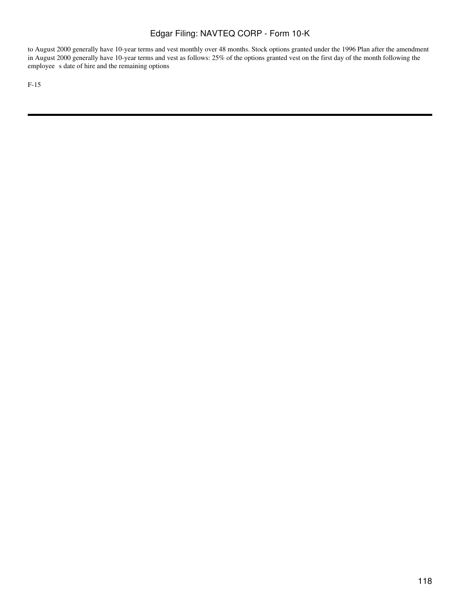to August 2000 generally have 10-year terms and vest monthly over 48 months. Stock options granted under the 1996 Plan after the amendment in August 2000 generally have 10-year terms and vest as follows: 25% of the options granted vest on the first day of the month following the employee s date of hire and the remaining options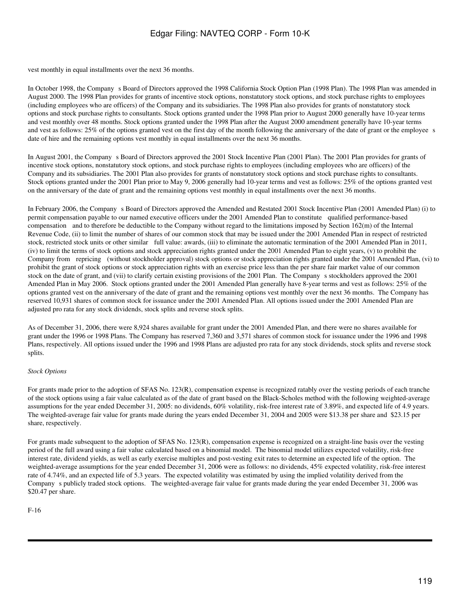vest monthly in equal installments over the next 36 months.

In October 1998, the Company s Board of Directors approved the 1998 California Stock Option Plan (1998 Plan). The 1998 Plan was amended in August 2000. The 1998 Plan provides for grants of incentive stock options, nonstatutory stock options, and stock purchase rights to employees (including employees who are officers) of the Company and its subsidiaries. The 1998 Plan also provides for grants of nonstatutory stock options and stock purchase rights to consultants. Stock options granted under the 1998 Plan prior to August 2000 generally have 10-year terms and vest monthly over 48 months. Stock options granted under the 1998 Plan after the August 2000 amendment generally have 10-year terms and vest as follows: 25% of the options granted vest on the first day of the month following the anniversary of the date of grant or the employee s date of hire and the remaining options vest monthly in equal installments over the next 36 months.

In August 2001, the Company s Board of Directors approved the 2001 Stock Incentive Plan (2001 Plan). The 2001 Plan provides for grants of incentive stock options, nonstatutory stock options, and stock purchase rights to employees (including employees who are officers) of the Company and its subsidiaries. The 2001 Plan also provides for grants of nonstatutory stock options and stock purchase rights to consultants. Stock options granted under the 2001 Plan prior to May 9, 2006 generally had 10-year terms and vest as follows: 25% of the options granted vest on the anniversary of the date of grant and the remaining options vest monthly in equal installments over the next 36 months.

In February 2006, the Companys Board of Directors approved the Amended and Restated 2001 Stock Incentive Plan (2001 Amended Plan) (i) to permit compensation payable to our named executive officers under the 2001 Amended Plan to constitute qualified performance-based compensation and to therefore be deductible to the Company without regard to the limitations imposed by Section 162(m) of the Internal Revenue Code, (ii) to limit the number of shares of our common stock that may be issued under the 2001 Amended Plan in respect of restricted stock, restricted stock units or other similar full value: awards, (iii) to eliminate the automatic termination of the 2001 Amended Plan in 2011, (iv) to limit the terms of stock options and stock appreciation rights granted under the 2001 Amended Plan to eight years, (v) to prohibit the Company from repricing (without stockholder approval) stock options or stock appreciation rights granted under the 2001 Amended Plan, (vi) to prohibit the grant of stock options or stock appreciation rights with an exercise price less than the per share fair market value of our common stock on the date of grant, and (vii) to clarify certain existing provisions of the 2001 Plan. The Company s stockholders approved the 2001 Amended Plan in May 2006. Stock options granted under the 2001 Amended Plan generally have 8-year terms and vest as follows: 25% of the options granted vest on the anniversary of the date of grant and the remaining options vest monthly over the next 36 months. The Company has reserved 10,931 shares of common stock for issuance under the 2001 Amended Plan. All options issued under the 2001 Amended Plan are adjusted pro rata for any stock dividends, stock splits and reverse stock splits.

As of December 31, 2006, there were 8,924 shares available for grant under the 2001 Amended Plan, and there were no shares available for grant under the 1996 or 1998 Plans. The Company has reserved 7,360 and 3,571 shares of common stock for issuance under the 1996 and 1998 Plans, respectively. All options issued under the 1996 and 1998 Plans are adjusted pro rata for any stock dividends, stock splits and reverse stock splits.

#### *Stock Options*

For grants made prior to the adoption of SFAS No. 123(R), compensation expense is recognized ratably over the vesting periods of each tranche of the stock options using a fair value calculated as of the date of grant based on the Black-Scholes method with the following weighted-average assumptions for the year ended December 31, 2005: no dividends, 60% volatility, risk-free interest rate of 3.89%, and expected life of 4.9 years. The weighted-average fair value for grants made during the years ended December 31, 2004 and 2005 were \$13.38 per share and \$23.15 per share, respectively.

For grants made subsequent to the adoption of SFAS No. 123(R), compensation expense is recognized on a straight-line basis over the vesting period of the full award using a fair value calculated based on a binomial model. The binomial model utilizes expected volatility, risk-free interest rate, dividend yields, as well as early exercise multiples and post-vesting exit rates to determine an expected life of the option. The weighted-average assumptions for the year ended December 31, 2006 were as follows: no dividends, 45% expected volatility, risk-free interest rate of 4.74%, and an expected life of 5.3 years. The expected volatility was estimated by using the implied volatility derived from the Company s publicly traded stock options. The weighted-average fair value for grants made during the year ended December 31, 2006 was \$20.47 per share.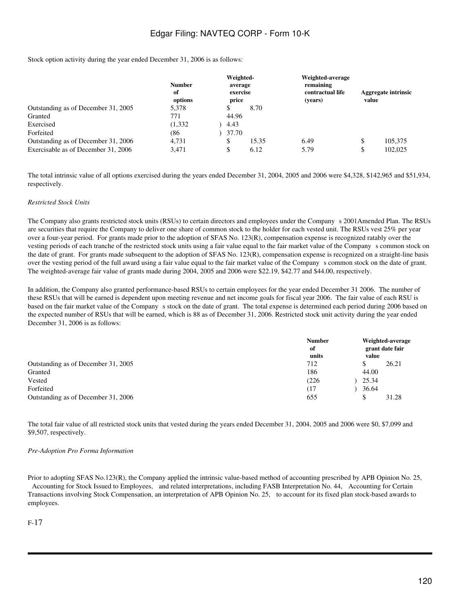Stock option activity during the year ended December 31, 2006 is as follows:

|                                     | <b>Number</b><br>of<br>options | Weighted-<br>average<br>exercise<br>price |       | Weighted-average<br>remaining<br>contractual life<br>(vears) | value | <b>Aggregate intrinsic</b> |
|-------------------------------------|--------------------------------|-------------------------------------------|-------|--------------------------------------------------------------|-------|----------------------------|
| Outstanding as of December 31, 2005 | 5,378                          | ъ                                         | 8.70  |                                                              |       |                            |
| Granted                             | 771                            | 44.96                                     |       |                                                              |       |                            |
| Exercised                           | (1, 332)                       | 4.43                                      |       |                                                              |       |                            |
| Forfeited                           | (86                            | 37.70                                     |       |                                                              |       |                            |
| Outstanding as of December 31, 2006 | 4.731                          | \$.                                       | 15.35 | 6.49                                                         |       | 105.375                    |
| Exercisable as of December 31, 2006 | 3.471                          | \$                                        | 6.12  | 5.79                                                         | \$    | 102,025                    |

The total intrinsic value of all options exercised during the years ended December 31, 2004, 2005 and 2006 were \$4,328, \$142,965 and \$51,934, respectively.

#### *Restricted Stock Units*

The Company also grants restricted stock units (RSUs) to certain directors and employees under the Company s 2001Amended Plan. The RSUs are securities that require the Company to deliver one share of common stock to the holder for each vested unit. The RSUs vest 25% per year over a four-year period. For grants made prior to the adoption of SFAS No. 123(R), compensation expense is recognized ratably over the vesting periods of each tranche of the restricted stock units using a fair value equal to the fair market value of the Company s common stock on the date of grant. For grants made subsequent to the adoption of SFAS No. 123(R), compensation expense is recognized on a straight-line basis over the vesting period of the full award using a fair value equal to the fair market value of the Companys common stock on the date of grant. The weighted-average fair value of grants made during 2004, 2005 and 2006 were \$22.19, \$42.77 and \$44.00, respectively.

In addition, the Company also granted performance-based RSUs to certain employees for the year ended December 31 2006. The number of these RSUs that will be earned is dependent upon meeting revenue and net income goals for fiscal year 2006. The fair value of each RSU is based on the fair market value of the Company s stock on the date of grant. The total expense is determined each period during 2006 based on the expected number of RSUs that will be earned, which is 88 as of December 31, 2006. Restricted stock unit activity during the year ended December 31, 2006 is as follows:

|                                     | <b>Number</b><br>of<br>units | value | Weighted-average<br>grant date fair |
|-------------------------------------|------------------------------|-------|-------------------------------------|
| Outstanding as of December 31, 2005 | 712                          | S     | 26.21                               |
| Granted                             | 186                          | 44.00 |                                     |
| Vested                              | (226                         | 25.34 |                                     |
| Forfeited                           | 17                           | 36.64 |                                     |
| Outstanding as of December 31, 2006 | 655                          | S     | 31.28                               |

The total fair value of all restricted stock units that vested during the years ended December 31, 2004, 2005 and 2006 were \$0, \$7,099 and \$9,507, respectively.

#### *Pre-Adoption Pro Forma Information*

Prior to adopting SFAS No.123(R), the Company applied the intrinsic value-based method of accounting prescribed by APB Opinion No. 25, Accounting for Stock Issued to Employees, and related interpretations, including FASB Interpretation No. 44, Accounting for Certain Transactions involving Stock Compensation, an interpretation of APB Opinion No. 25, to account for its fixed plan stock-based awards to employees.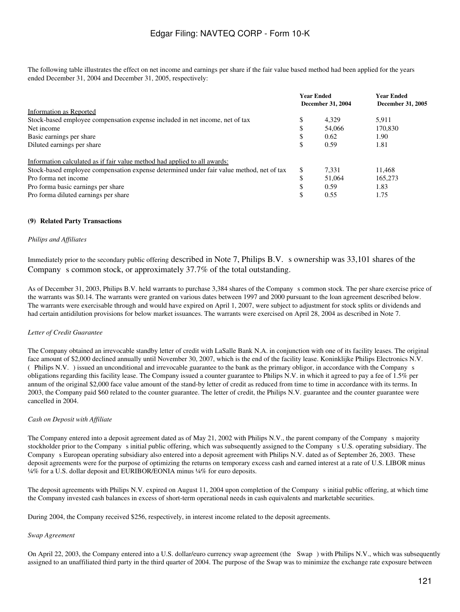The following table illustrates the effect on net income and earnings per share if the fair value based method had been applied for the years ended December 31, 2004 and December 31, 2005, respectively:

|                                                                                          |     | <b>Year Ended</b><br><b>Year Ended</b><br>December 31, 2004<br><b>December 31, 2005</b> |         |
|------------------------------------------------------------------------------------------|-----|-----------------------------------------------------------------------------------------|---------|
| Information as Reported                                                                  |     |                                                                                         |         |
| Stock-based employee compensation expense included in net income, net of tax             | ۰D  | 4.329                                                                                   | 5.911   |
| Net income                                                                               |     | 54,066                                                                                  | 170,830 |
| Basic earnings per share                                                                 |     | 0.62                                                                                    | 1.90    |
| Diluted earnings per share                                                               |     | 0.59                                                                                    | 1.81    |
| Information calculated as if fair value method had applied to all awards:                |     |                                                                                         |         |
| Stock-based employee compensation expense determined under fair value method, net of tax | \$. | 7.331                                                                                   | 11.468  |
| Pro forma net income                                                                     |     | 51,064                                                                                  | 165,273 |
| Pro forma basic earnings per share                                                       |     | 0.59                                                                                    | 1.83    |
| Pro forma diluted earnings per share                                                     |     | 0.55                                                                                    | 1.75    |

#### **(9)Related Party Transactions**

#### *Philips and Affiliates*

Immediately prior to the secondary public offering described in Note 7, Philips B.V. s ownership was 33,101 shares of the Company s common stock, or approximately 37.7% of the total outstanding.

As of December 31, 2003, Philips B.V. held warrants to purchase 3,384 shares of the Companys common stock. The per share exercise price of the warrants was \$0.14. The warrants were granted on various dates between 1997 and 2000 pursuant to the loan agreement described below. The warrants were exercisable through and would have expired on April 1, 2007, were subject to adjustment for stock splits or dividends and had certain antidilution provisions for below market issuances. The warrants were exercised on April 28, 2004 as described in Note 7.

#### *Letter of Credit Guarantee*

The Company obtained an irrevocable standby letter of credit with LaSalle Bank N.A. in conjunction with one of its facility leases. The original face amount of \$2,000 declined annually until November 30, 2007, which is the end of the facility lease. Koninklijke Philips Electronics N.V. (Philips N.V.) issued an unconditional and irrevocable guarantee to the bank as the primary obligor, in accordance with the Companys obligations regarding this facility lease. The Company issued a counter guarantee to Philips N.V. in which it agreed to pay a fee of 1.5% per annum of the original \$2,000 face value amount of the stand-by letter of credit as reduced from time to time in accordance with its terms. In 2003, the Company paid \$60 related to the counter guarantee. The letter of credit, the Philips N.V. guarantee and the counter guarantee were cancelled in 2004.

#### *Cash on Deposit with Affiliate*

The Company entered into a deposit agreement dated as of May 21, 2002 with Philips N.V., the parent company of the Company s majority stockholder prior to the Company s initial public offering, which was subsequently assigned to the Company s U.S. operating subsidiary. The Company s European operating subsidiary also entered into a deposit agreement with Philips N.V. dated as of September 26, 2003. These deposit agreements were for the purpose of optimizing the returns on temporary excess cash and earned interest at a rate of U.S. LIBOR minus ¼% for a U.S. dollar deposit and EURIBOR/EONIA minus ¼% for euro deposits.

The deposit agreements with Philips N.V. expired on August 11, 2004 upon completion of the Companys initial public offering, at which time the Company invested cash balances in excess of short-term operational needs in cash equivalents and marketable securities.

During 2004, the Company received \$256, respectively, in interest income related to the deposit agreements.

#### *Swap Agreement*

On April 22, 2003, the Company entered into a U.S. dollar/euro currency swap agreement (the Swap) with Philips N.V., which was subsequently assigned to an unaffiliated third party in the third quarter of 2004. The purpose of the Swap was to minimize the exchange rate exposure between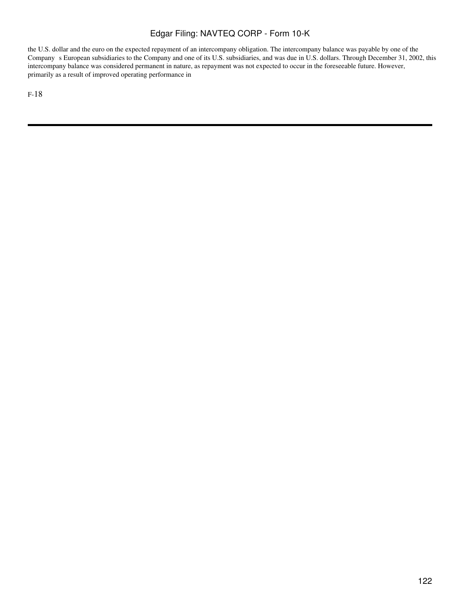the U.S. dollar and the euro on the expected repayment of an intercompany obligation. The intercompany balance was payable by one of the Company s European subsidiaries to the Company and one of its U.S. subsidiaries, and was due in U.S. dollars. Through December 31, 2002, this intercompany balance was considered permanent in nature, as repayment was not expected to occur in the foreseeable future. However, primarily as a result of improved operating performance in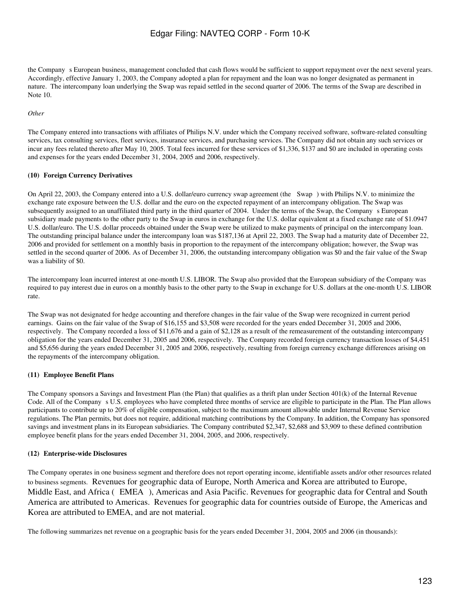the Company s European business, management concluded that cash flows would be sufficient to support repayment over the next several years. Accordingly, effective January 1, 2003, the Company adopted a plan for repayment and the loan was no longer designated as permanent in nature. The intercompany loan underlying the Swap was repaid settled in the second quarter of 2006. The terms of the Swap are described in Note 10.

#### *Other*

The Company entered into transactions with affiliates of Philips N.V. under which the Company received software, software-related consulting services, tax consulting services, fleet services, insurance services, and purchasing services. The Company did not obtain any such services or incur any fees related thereto after May 10, 2005. Total fees incurred for these services of \$1,336, \$137 and \$0 are included in operating costs and expenses for the years ended December 31, 2004, 2005 and 2006, respectively.

#### **(10)Foreign Currency Derivatives**

On April 22, 2003, the Company entered into a U.S. dollar/euro currency swap agreement (the Swap) with Philips N.V. to minimize the exchange rate exposure between the U.S. dollar and the euro on the expected repayment of an intercompany obligation. The Swap was subsequently assigned to an unaffiliated third party in the third quarter of 2004. Under the terms of the Swap, the Company s European subsidiary made payments to the other party to the Swap in euros in exchange for the U.S. dollar equivalent at a fixed exchange rate of \$1.0947 U.S. dollar/euro. The U.S. dollar proceeds obtained under the Swap were be utilized to make payments of principal on the intercompany loan. The outstanding principal balance under the intercompany loan was \$187,136 at April 22, 2003. The Swap had a maturity date of December 22, 2006 and provided for settlement on a monthly basis in proportion to the repayment of the intercompany obligation; however, the Swap was settled in the second quarter of 2006. As of December 31, 2006, the outstanding intercompany obligation was \$0 and the fair value of the Swap was a liability of \$0.

The intercompany loan incurred interest at one-month U.S. LIBOR. The Swap also provided that the European subsidiary of the Company was required to pay interest due in euros on a monthly basis to the other party to the Swap in exchange for U.S. dollars at the one-month U.S. LIBOR rate.

The Swap was not designated for hedge accounting and therefore changes in the fair value of the Swap were recognized in current period earnings. Gains on the fair value of the Swap of \$16,155 and \$3,508 were recorded for the years ended December 31, 2005 and 2006, respectively. The Company recorded a loss of \$11,676 and a gain of \$2,128 as a result of the remeasurement of the outstanding intercompany obligation for the years ended December 31, 2005 and 2006, respectively. The Company recorded foreign currency transaction losses of \$4,451 and \$5,656 during the years ended December 31, 2005 and 2006, respectively, resulting from foreign currency exchange differences arising on the repayments of the intercompany obligation.

#### **(11)Employee Benefit Plans**

The Company sponsors a Savings and Investment Plan (the Plan) that qualifies as a thrift plan under Section 401(k) of the Internal Revenue Code. All of the Company s U.S. employees who have completed three months of service are eligible to participate in the Plan. The Plan allows participants to contribute up to 20% of eligible compensation, subject to the maximum amount allowable under Internal Revenue Service regulations. The Plan permits, but does not require, additional matching contributions by the Company. In addition, the Company has sponsored savings and investment plans in its European subsidiaries. The Company contributed \$2,347, \$2,688 and \$3,909 to these defined contribution employee benefit plans for the years ended December 31, 2004, 2005, and 2006, respectively.

#### **(12)Enterprise-wide Disclosures**

The Company operates in one business segment and therefore does not report operating income, identifiable assets and/or other resources related to business segments. Revenues for geographic data of Europe, North America and Korea are attributed to Europe, Middle East, and Africa (EMEA), Americas and Asia Pacific. Revenues for geographic data for Central and South America are attributed to Americas. Revenues for geographic data for countries outside of Europe, the Americas and Korea are attributed to EMEA, and are not material.

The following summarizes net revenue on a geographic basis for the years ended December 31, 2004, 2005 and 2006 (in thousands):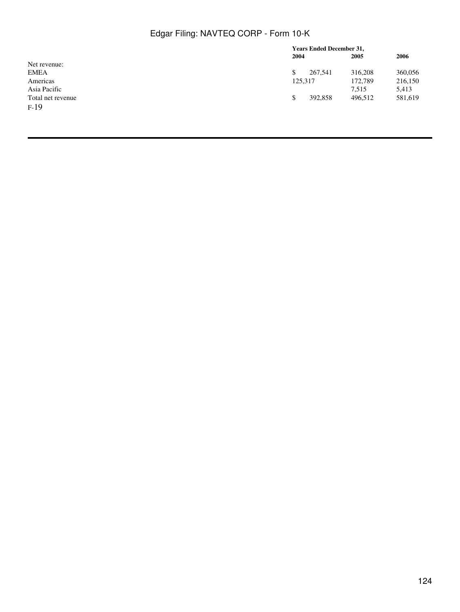|                   | <b>Years Ended December 31,</b> |         |         |  |
|-------------------|---------------------------------|---------|---------|--|
|                   | 2004                            | 2005    | 2006    |  |
| Net revenue:      |                                 |         |         |  |
| <b>EMEA</b>       | 267,541<br>\$                   | 316,208 | 360,056 |  |
| Americas          | 125,317                         | 172,789 | 216,150 |  |
| Asia Pacific      |                                 | 7.515   | 5,413   |  |
| Total net revenue | 392,858<br>\$                   | 496.512 | 581,619 |  |
| $F-19$            |                                 |         |         |  |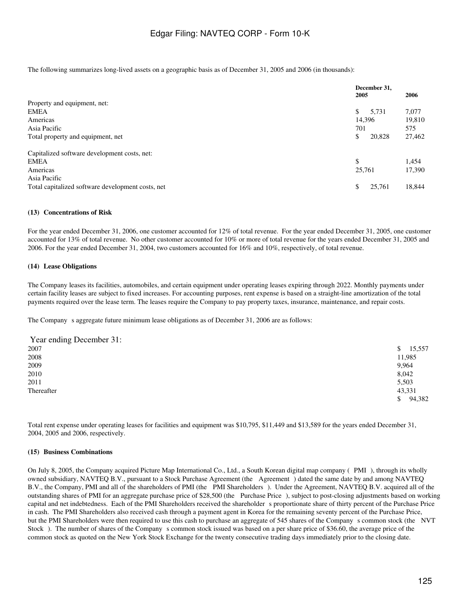The following summarizes long-lived assets on a geographic basis as of December 31, 2005 and 2006 (in thousands):

|                                                   | December 31.<br>2005 | 2006   |  |
|---------------------------------------------------|----------------------|--------|--|
| Property and equipment, net:                      |                      |        |  |
| <b>EMEA</b>                                       | \$<br>5.731          | 7,077  |  |
| Americas                                          | 14,396               | 19,810 |  |
| Asia Pacific                                      | 701                  | 575    |  |
| Total property and equipment, net                 | \$<br>20,828         | 27,462 |  |
| Capitalized software development costs, net:      |                      |        |  |
| <b>EMEA</b>                                       | \$                   | 1,454  |  |
| Americas                                          | 25,761               | 17,390 |  |
| Asia Pacific                                      |                      |        |  |
| Total capitalized software development costs, net | \$<br>25,761         | 18,844 |  |

#### **(13)Concentrations of Risk**

For the year ended December 31, 2006, one customer accounted for 12% of total revenue. For the year ended December 31, 2005, one customer accounted for 13% of total revenue. No other customer accounted for 10% or more of total revenue for the years ended December 31, 2005 and 2006. For the year ended December 31, 2004, two customers accounted for 16% and 10%, respectively, of total revenue.

#### **(14)Lease Obligations**

The Company leases its facilities, automobiles, and certain equipment under operating leases expiring through 2022. Monthly payments under certain facility leases are subject to fixed increases. For accounting purposes, rent expense is based on a straight-line amortization of the total payments required over the lease term. The leases require the Company to pay property taxes, insurance, maintenance, and repair costs.

The Company s aggregate future minimum lease obligations as of December 31, 2006 are as follows:

| Year ending December 31: |              |
|--------------------------|--------------|
| 2007                     | 15,557<br>\$ |
| 2008                     | 11,985       |
| 2009                     | 9,964        |
| 2010                     | 8,042        |
| 2011                     | 5,503        |
| Thereafter               | 43,331       |
|                          | 94,382<br>S  |

Total rent expense under operating leases for facilities and equipment was \$10,795, \$11,449 and \$13,589 for the years ended December 31, 2004, 2005 and 2006, respectively.

#### **(15) Business Combinations**

On July 8, 2005, the Company acquired Picture Map International Co., Ltd., a South Korean digital map company (PMI), through its wholly owned subsidiary, NAVTEQ B.V., pursuant to a Stock Purchase Agreement (the Agreement) dated the same date by and among NAVTEQ B.V., the Company, PMI and all of the shareholders of PMI (the PMI Shareholders). Under the Agreement, NAVTEQ B.V. acquired all of the outstanding shares of PMI for an aggregate purchase price of \$28,500 (the Purchase Price), subject to post-closing adjustments based on working capital and net indebtedness. Each of the PMI Shareholders received the shareholder s proportionate share of thirty percent of the Purchase Price in cash. The PMI Shareholders also received cash through a payment agent in Korea for the remaining seventy percent of the Purchase Price, but the PMI Shareholders were then required to use this cash to purchase an aggregate of 545 shares of the Company s common stock (the NVT Stock). The number of shares of the Company s common stock issued was based on a per share price of \$36.60, the average price of the common stock as quoted on the New York Stock Exchange for the twenty consecutive trading days immediately prior to the closing date.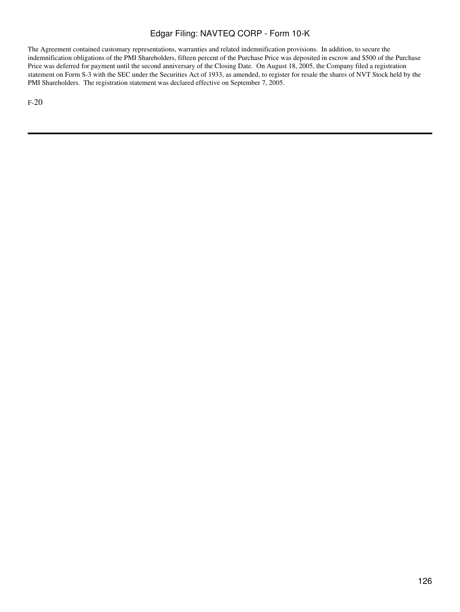The Agreement contained customary representations, warranties and related indemnification provisions. In addition, to secure the indemnification obligations of the PMI Shareholders, fifteen percent of the Purchase Price was deposited in escrow and \$500 of the Purchase Price was deferred for payment until the second anniversary of the Closing Date. On August 18, 2005, the Company filed a registration statement on Form S-3 with the SEC under the Securities Act of 1933, as amended, to register for resale the shares of NVT Stock held by the PMI Shareholders. The registration statement was declared effective on September 7, 2005.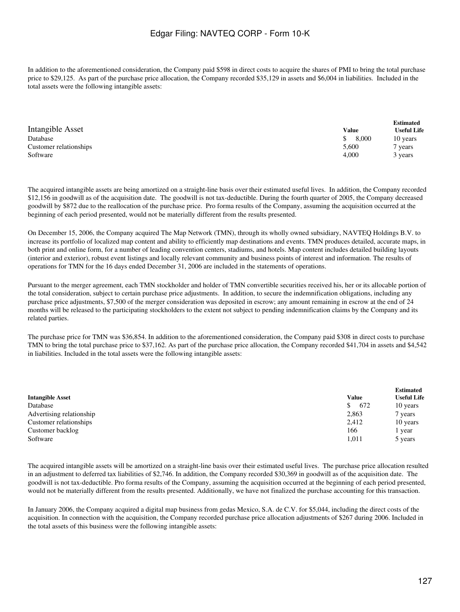In addition to the aforementioned consideration, the Company paid \$598 in direct costs to acquire the shares of PMI to bring the total purchase price to \$29,125. As part of the purchase price allocation, the Company recorded \$35,129 in assets and \$6,004 in liabilities. Included in the total assets were the following intangible assets:

|                        |       | <b>Estimated</b>   |
|------------------------|-------|--------------------|
| Intangible Asset       | Value | <b>Useful Life</b> |
| Database               | 8.000 | 10 years           |
| Customer relationships | 5.600 | vears              |
| Software               | 4.000 | 3 years            |

The acquired intangible assets are being amortized on a straight-line basis over their estimated useful lives. In addition, the Company recorded \$12,156 in goodwill as of the acquisition date. The goodwill is not tax-deductible. During the fourth quarter of 2005, the Company decreased goodwill by \$872 due to the reallocation of the purchase price. Pro forma results of the Company, assuming the acquisition occurred at the beginning of each period presented, would not be materially different from the results presented.

On December 15, 2006, the Company acquired The Map Network (TMN), through its wholly owned subsidiary, NAVTEQ Holdings B.V. to increase its portfolio of localized map content and ability to efficiently map destinations and events. TMN produces detailed, accurate maps, in both print and online form, for a number of leading convention centers, stadiums, and hotels. Map content includes detailed building layouts (interior and exterior), robust event listings and locally relevant community and business points of interest and information. The results of operations for TMN for the 16 days ended December 31, 2006 are included in the statements of operations.

Pursuant to the merger agreement, each TMN stockholder and holder of TMN convertible securities received his, her or its allocable portion of the total consideration, subject to certain purchase price adjustments. In addition, to secure the indemnification obligations, including any purchase price adjustments, \$7,500 of the merger consideration was deposited in escrow; any amount remaining in escrow at the end of 24 months will be released to the participating stockholders to the extent not subject to pending indemnification claims by the Company and its related parties.

The purchase price for TMN was \$36,854. In addition to the aforementioned consideration, the Company paid \$308 in direct costs to purchase TMN to bring the total purchase price to \$37,162. As part of the purchase price allocation, the Company recorded \$41,704 in assets and \$4,542 in liabilities. Included in the total assets were the following intangible assets:

| <b>Intangible Asset</b>  | Value     | <b>Estimated</b><br><b>Useful Life</b> |
|--------------------------|-----------|----------------------------------------|
| Database                 | \$<br>672 | 10 years                               |
| Advertising relationship | 2,863     | 7 years                                |
| Customer relationships   | 2,412     | 10 years                               |
| Customer backlog         | 166       | vear                                   |
| Software                 | 1,011     | 5 years                                |

The acquired intangible assets will be amortized on a straight-line basis over their estimated useful lives. The purchase price allocation resulted in an adjustment to deferred tax liabilities of \$2,746. In addition, the Company recorded \$30,369 in goodwill as of the acquisition date. The goodwill is not tax-deductible. Pro forma results of the Company, assuming the acquisition occurred at the beginning of each period presented, would not be materially different from the results presented. Additionally, we have not finalized the purchase accounting for this transaction.

In January 2006, the Company acquired a digital map business from gedas Mexico, S.A. de C.V. for \$5,044, including the direct costs of the acquisition. In connection with the acquisition, the Company recorded purchase price allocation adjustments of \$267 during 2006. Included in the total assets of this business were the following intangible assets: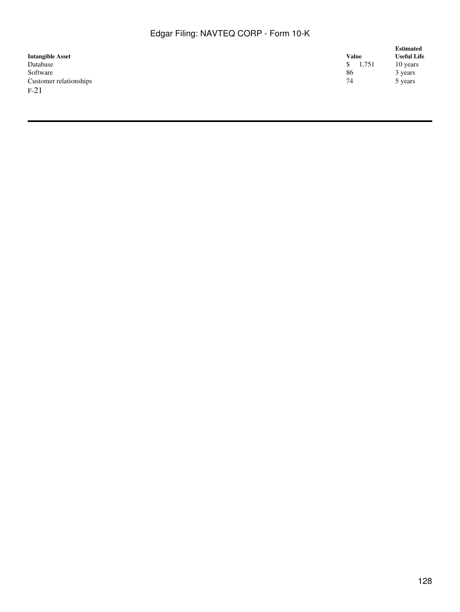|                         |              | <b>Estimated</b><br><b>Useful Life</b> |  |
|-------------------------|--------------|----------------------------------------|--|
| <b>Intangible Asset</b> | <b>Value</b> |                                        |  |
| Database                | S.<br>1,751  | 10 years                               |  |
| Software                | 86           | 3 years                                |  |
| Customer relationships  | 74           | 5 years                                |  |
| $F-21$                  |              |                                        |  |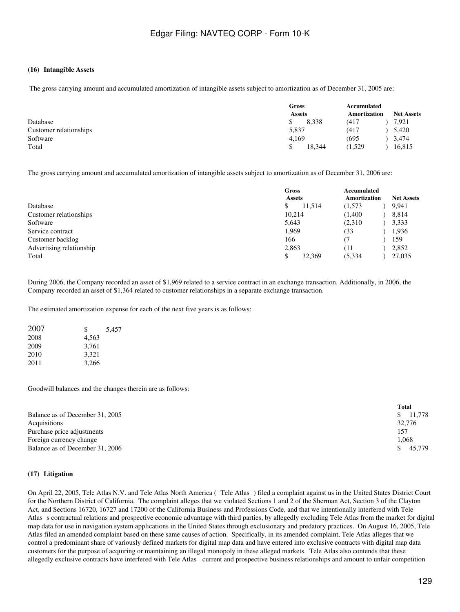#### **(16)Intangible Assets**

The gross carrying amount and accumulated amortization of intangible assets subject to amortization as of December 31, 2005 are:

|                        | Gross<br><b>Assets</b> |         | <b>Net Assets</b> |  |
|------------------------|------------------------|---------|-------------------|--|
| Database               | 8.338                  | (417    | 7,921             |  |
| Customer relationships | 5,837                  | (417    | 5,420             |  |
| Software               | 4,169                  | (695)   | 3,474             |  |
| Total                  | 18.344                 | (1,529) | 16,815            |  |

The gross carrying amount and accumulated amortization of intangible assets subject to amortization as of December 31, 2006 are:

|                          | Gross<br><b>Assets</b> |                    |
|--------------------------|------------------------|--------------------|
| Database                 | 11.514<br>\$           | 9,941<br>(1,573)   |
| Customer relationships   | 10,214                 | (1,400)<br>8,814   |
| Software                 | 5,643                  | (2,310)<br>3,333   |
| Service contract         | 1.969                  | 1,936<br>(33       |
| Customer backlog         | 166                    | 159                |
| Advertising relationship | 2,863                  | 2,852<br>(11       |
| Total                    | 32,369                 | (5, 334)<br>27,035 |

During 2006, the Company recorded an asset of \$1,969 related to a service contract in an exchange transaction. Additionally, in 2006, the Company recorded an asset of \$1,364 related to customer relationships in a separate exchange transaction.

The estimated amortization expense for each of the next five years is as follows:

| 2007 | S     | 5,457 |
|------|-------|-------|
| 2008 | 4,563 |       |
| 2009 | 3.761 |       |
| 2010 | 3,321 |       |
| 2011 | 3,266 |       |

Goodwill balances and the changes therein are as follows:

|                                 | Total    |
|---------------------------------|----------|
| Balance as of December 31, 2005 | \$11.778 |
| Acquisitions                    | 32,776   |
| Purchase price adjustments      | 157      |
| Foreign currency change         | 1.068    |
| Balance as of December 31, 2006 | 45.779   |

#### **(17)Litigation**

On April 22, 2005, Tele Atlas N.V. and Tele Atlas North America (Tele Atlas) filed a complaint against us in the United States District Court for the Northern District of California. The complaint alleges that we violated Sections 1 and 2 of the Sherman Act, Section 3 of the Clayton Act, and Sections 16720, 16727 and 17200 of the California Business and Professions Code, and that we intentionally interfered with Tele Atlass contractual relations and prospective economic advantage with third parties, by allegedly excluding Tele Atlas from the market for digital map data for use in navigation system applications in the United States through exclusionary and predatory practices. On August 16, 2005, Tele Atlas filed an amended complaint based on these same causes of action. Specifically, in its amended complaint, Tele Atlas alleges that we control a predominant share of variously defined markets for digital map data and have entered into exclusive contracts with digital map data customers for the purpose of acquiring or maintaining an illegal monopoly in these alleged markets. Tele Atlas also contends that these allegedly exclusive contracts have interfered with Tele Atlas current and prospective business relationships and amount to unfair competition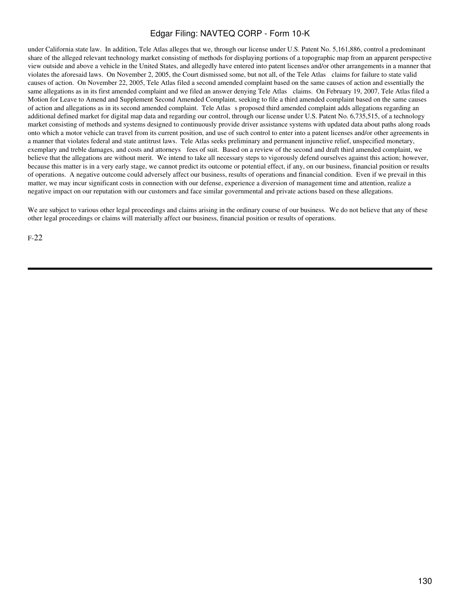under California state law. In addition, Tele Atlas alleges that we, through our license under U.S. Patent No. 5,161,886, control a predominant share of the alleged relevant technology market consisting of methods for displaying portions of a topographic map from an apparent perspective view outside and above a vehicle in the United States, and allegedly have entered into patent licenses and/or other arrangements in a manner that violates the aforesaid laws. On November 2, 2005, the Court dismissed some, but not all, of the Tele Atlas claims for failure to state valid causes of action. On November 22, 2005, Tele Atlas filed a second amended complaint based on the same causes of action and essentially the same allegations as in its first amended complaint and we filed an answer denying Tele Atlas claims. On February 19, 2007, Tele Atlas filed a Motion for Leave to Amend and Supplement Second Amended Complaint, seeking to file a third amended complaint based on the same causes of action and allegations as in its second amended complaint. Tele Atlass proposed third amended complaint adds allegations regarding an additional defined market for digital map data and regarding our control, through our license under U.S. Patent No. 6,735,515, of a technology market consisting of methods and systems designed to continuously provide driver assistance systems with updated data about paths along roads onto which a motor vehicle can travel from its current position, and use of such control to enter into a patent licenses and/or other agreements in a manner that violates federal and state antitrust laws. Tele Atlas seeks preliminary and permanent injunctive relief, unspecified monetary, exemplary and treble damages, and costs and attorneys fees of suit. Based on a review of the second and draft third amended complaint, we believe that the allegations are without merit. We intend to take all necessary steps to vigorously defend ourselves against this action; however, because this matter is in a very early stage, we cannot predict its outcome or potential effect, if any, on our business, financial position or results of operations. A negative outcome could adversely affect our business, results of operations and financial condition. Even if we prevail in this matter, we may incur significant costs in connection with our defense, experience a diversion of management time and attention, realize a negative impact on our reputation with our customers and face similar governmental and private actions based on these allegations.

We are subject to various other legal proceedings and claims arising in the ordinary course of our business. We do not believe that any of these other legal proceedings or claims will materially affect our business, financial position or results of operations.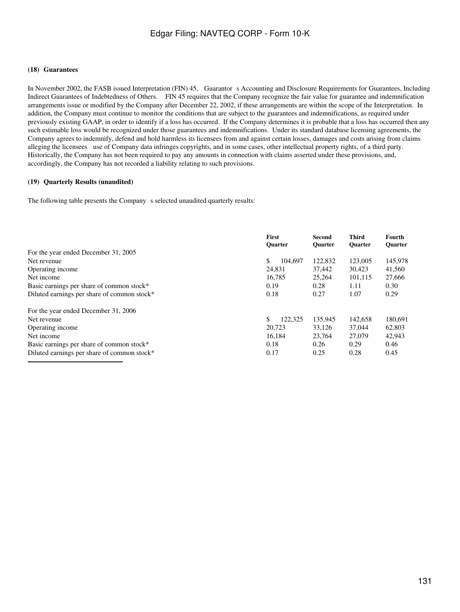#### **(18)Guarantees**

In November 2002, the FASB issued Interpretation (FIN) 45, Guarantors Accounting and Disclosure Requirements for Guarantees, Including Indirect Guarantees of Indebtedness of Others. FIN 45 requires that the Company recognize the fair value for guarantee and indemnification arrangements issue or modified by the Company after December 22, 2002, if these arrangements are within the scope of the Interpretation. In addition, the Company must continue to monitor the conditions that are subject to the guarantees and indemnifications, as required under previously existing GAAP, in order to identify if a loss has occurred. If the Company determines it is probable that a loss has occurred then any such estimable loss would be recognized under those guarantees and indemnifications. Under its standard database licensing agreements, the Company agrees to indemnify, defend and hold harmless its licensees from and against certain losses, damages and costs arising from claims alleging the licensees use of Company data infringes copyrights, and in some cases, other intellectual property rights, of a third party. Historically, the Company has not been required to pay any amounts in connection with claims asserted under these provisions, and, accordingly, the Company has not recorded a liability relating to such provisions.

#### **(19)Quarterly Results (unaudited)**

The following table presents the Company s selected unaudited quarterly results:

|                                             | First<br><b>Ouarter</b> | Second<br><b>Ouarter</b> | <b>Third</b><br><b>Ouarter</b> | Fourth<br><b>Ouarter</b> |
|---------------------------------------------|-------------------------|--------------------------|--------------------------------|--------------------------|
| For the year ended December 31, 2005        |                         |                          |                                |                          |
| Net revenue                                 | \$<br>104.697           | 122,832                  | 123,005                        | 145,978                  |
| Operating income                            | 24.831                  | 37.442                   | 30.423                         | 41,560                   |
| Net income                                  | 16.785                  | 25,264                   | 101.115                        | 27,666                   |
| Basic earnings per share of common stock*   | 0.19                    | 0.28                     | 1.11                           | 0.30                     |
| Diluted earnings per share of common stock* | 0.18                    | 0.27                     | 1.07                           | 0.29                     |
| For the year ended December 31, 2006        |                         |                          |                                |                          |
| Net revenue                                 | \$<br>122,325           | 135,945                  | 142,658                        | 180,691                  |
| Operating income                            | 20.723                  | 33.126                   | 37,044                         | 62,803                   |
| Net income                                  | 16.184                  | 23.764                   | 27,079                         | 42,943                   |
| Basic earnings per share of common stock*   | 0.18                    | 0.26                     | 0.29                           | 0.46                     |
| Diluted earnings per share of common stock* | 0.17                    | 0.25                     | 0.28                           | 0.45                     |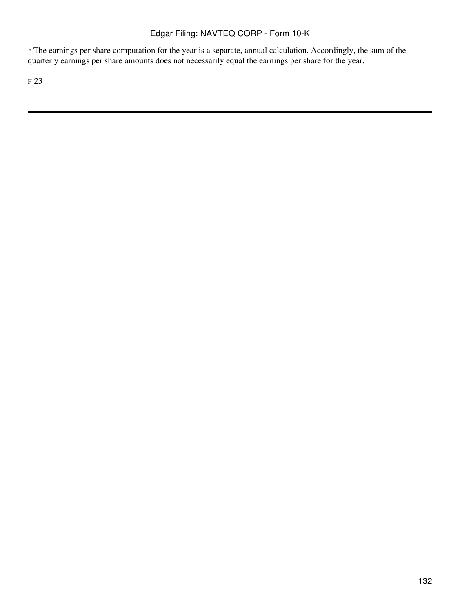*\** The earnings per share computation for the year is a separate, annual calculation. Accordingly, the sum of the quarterly earnings per share amounts does not necessarily equal the earnings per share for the year.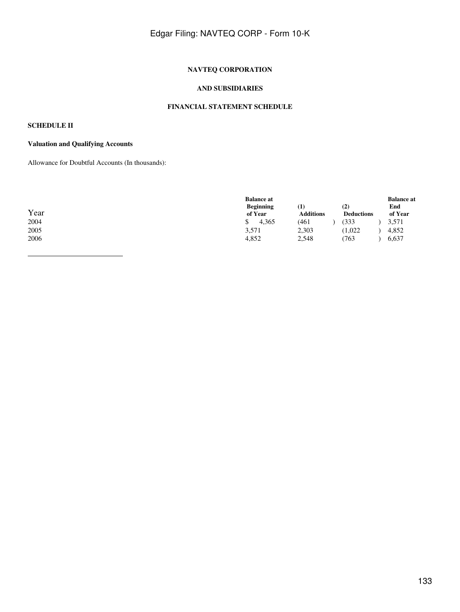## **NAVTEQ CORPORATION**

#### **AND SUBSIDIARIES**

### **FINANCIAL STATEMENT SCHEDULE**

## **SCHEDULE II**

### **Valuation and Qualifying Accounts**

Allowance for Doubtful Accounts (In thousands):

| Year<br>2004<br>2005<br>2006 | <b>Balance at</b><br><b>Beginning</b><br>of Year<br>4.365<br>\$<br>3,571<br>4,852 | $\left( 1\right)$<br><b>Additions</b><br>(461<br>2,303<br>2,548 | (2)<br><b>Deductions</b><br>333<br>(1.022)<br>763 | <b>Balance at</b><br>End<br>of Year<br>3,571<br>4,852<br>6,637 |  |
|------------------------------|-----------------------------------------------------------------------------------|-----------------------------------------------------------------|---------------------------------------------------|----------------------------------------------------------------|--|
|------------------------------|-----------------------------------------------------------------------------------|-----------------------------------------------------------------|---------------------------------------------------|----------------------------------------------------------------|--|